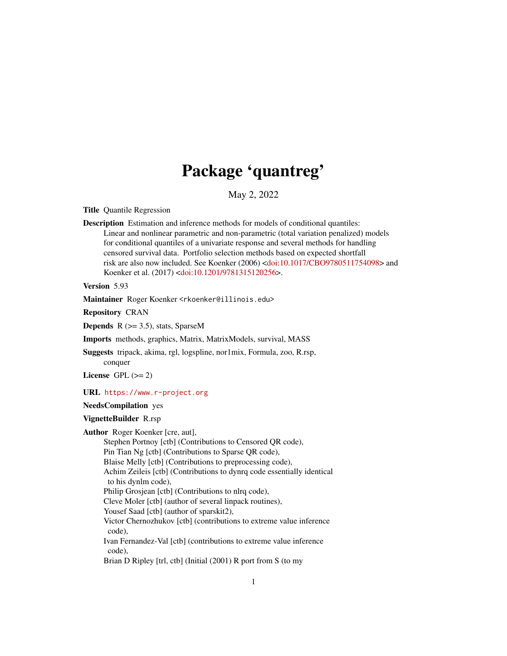# Package 'quantreg'

May 2, 2022

<span id="page-0-0"></span>Title Quantile Regression

Description Estimation and inference methods for models of conditional quantiles: Linear and nonlinear parametric and non-parametric (total variation penalized) models for conditional quantiles of a univariate response and several methods for handling censored survival data. Portfolio selection methods based on expected shortfall risk are also now included. See Koenker (2006) [<doi:10.1017/CBO9780511754098>](https://doi.org/10.1017/CBO9780511754098) and Koenker et al. (2017) [<doi:10.1201/9781315120256>](https://doi.org/10.1201/9781315120256).

Version 5.93

Maintainer Roger Koenker <rkoenker@illinois.edu>

Repository CRAN

**Depends**  $R$  ( $>= 3.5$ ), stats, SparseM

Imports methods, graphics, Matrix, MatrixModels, survival, MASS

Suggests tripack, akima, rgl, logspline, nor1mix, Formula, zoo, R.rsp, conquer

License GPL  $(>= 2)$ 

URL <https://www.r-project.org>

# NeedsCompilation yes

#### VignetteBuilder R.rsp

Author Roger Koenker [cre, aut],

Stephen Portnoy [ctb] (Contributions to Censored QR code), Pin Tian Ng [ctb] (Contributions to Sparse QR code), Blaise Melly [ctb] (Contributions to preprocessing code), Achim Zeileis [ctb] (Contributions to dynrq code essentially identical to his dynlm code), Philip Grosjean [ctb] (Contributions to nlrq code), Cleve Moler [ctb] (author of several linpack routines), Yousef Saad [ctb] (author of sparskit2), Victor Chernozhukov [ctb] (contributions to extreme value inference code), Ivan Fernandez-Val [ctb] (contributions to extreme value inference code), Brian D Ripley [trl, ctb] (Initial (2001) R port from S (to my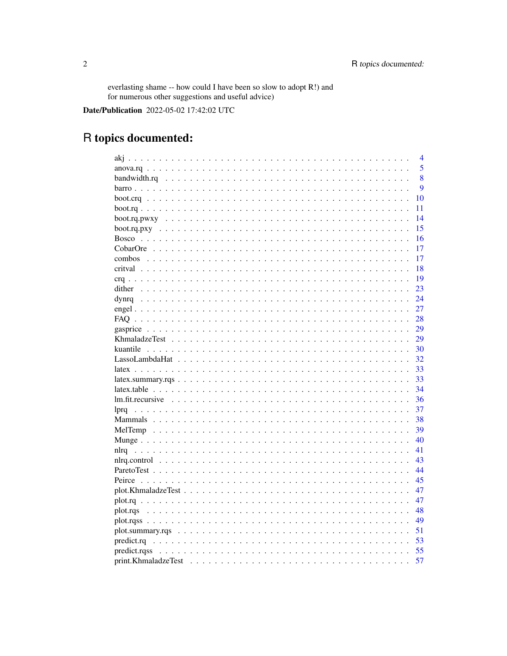everlasting shame -- how could I have been so slow to adopt R!) and<br>for numerous other suggestions and useful advice)

Date/Publication 2022-05-02 17:42:02 UTC

# R topics documented:

|                                                                                                            | $\overline{4}$ |
|------------------------------------------------------------------------------------------------------------|----------------|
|                                                                                                            | 5              |
|                                                                                                            | 8              |
|                                                                                                            | 9              |
|                                                                                                            | 10             |
|                                                                                                            | 11             |
|                                                                                                            | 14             |
|                                                                                                            | 15             |
| <b>Bosco</b>                                                                                               | 16             |
|                                                                                                            | 17             |
|                                                                                                            | 17             |
|                                                                                                            | 18             |
|                                                                                                            | 19             |
| dither                                                                                                     | 23             |
| dynrq                                                                                                      | 24             |
|                                                                                                            | 27             |
|                                                                                                            | 28             |
|                                                                                                            | 29             |
| KhmaladzeTest                                                                                              | 29             |
|                                                                                                            | 30             |
|                                                                                                            | 32             |
|                                                                                                            | 33             |
|                                                                                                            | 33             |
|                                                                                                            | 34             |
|                                                                                                            | 36             |
| lpra                                                                                                       | 37             |
|                                                                                                            | 38             |
|                                                                                                            | 39             |
|                                                                                                            | 40             |
|                                                                                                            | 41             |
|                                                                                                            | 43             |
| $nlrq. control \ldots \ldots \ldots \ldots \ldots \ldots \ldots \ldots \ldots \ldots \ldots \ldots \ldots$ | 44             |
|                                                                                                            | 45             |
|                                                                                                            |                |
|                                                                                                            | 47             |
|                                                                                                            | 47             |
| plot.rqs                                                                                                   | 48             |
|                                                                                                            | 49             |
|                                                                                                            | 51             |
|                                                                                                            | 53             |
|                                                                                                            | 55             |
| print.KhmaladzeTest                                                                                        | 57             |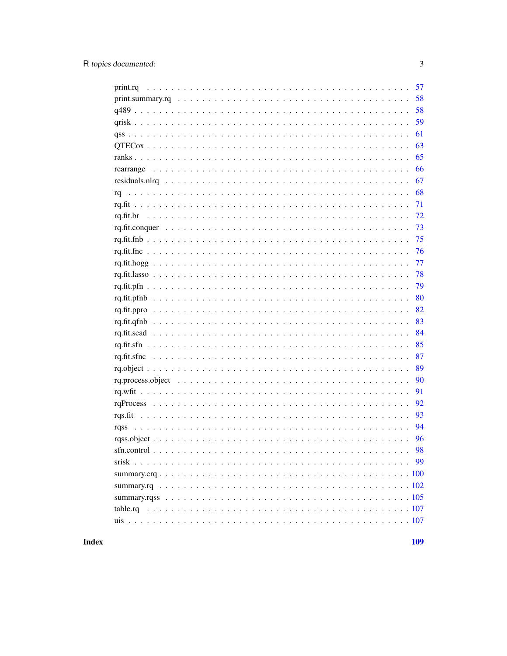|    | 58 |
|----|----|
|    | 59 |
|    | 61 |
|    | 63 |
|    | 65 |
|    | 66 |
|    | 67 |
| rq | 68 |
|    | 71 |
|    |    |
|    | 73 |
|    | 75 |
|    | 76 |
|    | 77 |
|    | 78 |
|    | 79 |
|    | 80 |
|    | 82 |
|    | 83 |
|    | 84 |
|    | 85 |
|    | 87 |
|    | 89 |
|    | 90 |
|    | 91 |
|    | 92 |
|    | 93 |
|    | 94 |
|    | 96 |
|    | 98 |
|    | 99 |
|    |    |
|    |    |
|    |    |
|    |    |
|    |    |

# **Index**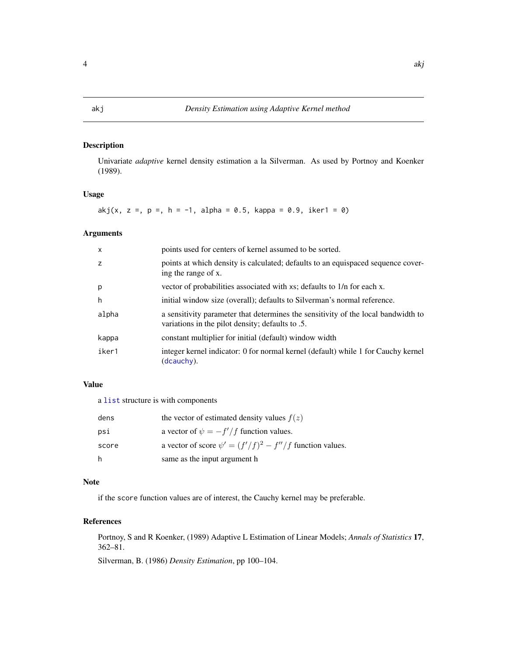# <span id="page-3-1"></span><span id="page-3-0"></span>Description

Univariate *adaptive* kernel density estimation a la Silverman. As used by Portnoy and Koenker (1989).

# Usage

akj(x, z =, p =, h = -1, alpha = 0.5, kappa = 0.9, iker1 = 0)

# Arguments

| $\mathsf{x}$ | points used for centers of kernel assumed to be sorted.                                                                               |
|--------------|---------------------------------------------------------------------------------------------------------------------------------------|
| z            | points at which density is calculated; defaults to an equispaced sequence cover-<br>ing the range of x.                               |
| p            | vector of probabilities associated with xs; defaults to 1/n for each x.                                                               |
| h            | initial window size (overall); defaults to Silverman's normal reference.                                                              |
| alpha        | a sensitivity parameter that determines the sensitivity of the local bandwidth to<br>variations in the pilot density; defaults to .5. |
| kappa        | constant multiplier for initial (default) window width                                                                                |
| iker1        | integer kernel indicator: 0 for normal kernel (default) while 1 for Cauchy kernel<br>(dcauchy).                                       |

# Value

a [list](#page-0-0) structure is with components

| dens  | the vector of estimated density values $f(z)$                 |
|-------|---------------------------------------------------------------|
| psi   | a vector of $\psi = -f'/f$ function values.                   |
| score | a vector of score $\psi' = (f'/f)^2 - f''/f$ function values. |
| -h    | same as the input argument h                                  |

# Note

if the score function values are of interest, the Cauchy kernel may be preferable.

# References

Portnoy, S and R Koenker, (1989) Adaptive L Estimation of Linear Models; *Annals of Statistics* 17, 362–81.

Silverman, B. (1986) *Density Estimation*, pp 100–104.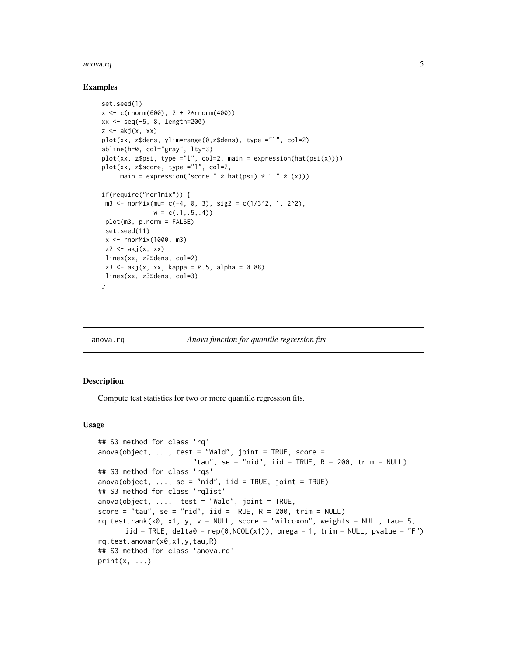#### <span id="page-4-0"></span>anova.rq 5

#### Examples

```
set.seed(1)
x < -c(\text{rnorm}(600), 2 + 2* \text{rnorm}(400))xx <- seq(-5, 8, length=200)
z \leftarrow akj(x, xx)plot(xx, z$dens, ylim=range(0,z$dens), type ="l", col=2)
abline(h=0, col="gray", lty=3)
plot(xx, z$psi, type = "l", col=2, main = expression(hat(psi(x))))plot(xx, z$score, type ="l", col=2,
     main = expression("score " * hat(psi) * "'" * (x)))
if(require("nor1mix")) {
m3 <- norMix(mu= c(-4, 0, 3), sig2 = c(1/3^2, 1, 2^2),
              w = c(.1, .5, .4)plot(m3, p.norm = FALSE)
 set.seed(11)
 x <- rnorMix(1000, m3)
 z2 \leftarrow akj(x, xx)lines(xx, z2$dens, col=2)
 z3 \leq akj(x, xx, kappa = 0.5, alpha = 0.88)lines(xx, z3$dens, col=3)
}
```
anova.rq *Anova function for quantile regression fits*

#### <span id="page-4-1"></span>Description

Compute test statistics for two or more quantile regression fits.

#### Usage

```
## S3 method for class 'rq'
anova(object, \ldots, test = "Wald", joint = TRUE, score =
                        "tau", se = "nid", iid = TRUE, R = 200, trim = NULL)
## S3 method for class 'rqs'
anova(object, \dots, se = "nid", iid = TRUE, joint = TRUE)
## S3 method for class 'rqlist'
anova(object, ..., test = "Wald", joint = TRUE,score = "tau", se = "nid", iid = TRUE, R = 200, trim = NULL)
rq.test.rank(x0, x1, y, v = NULL, score = "wilcoxon", weights = NULL, tau=.5,
      iid = TRUE, delta\theta = rep(\theta, NCOL(x1)), omega = 1, trim = NULL, pvalue = "F")
rq.test.anowar(x0,x1,y,tau,R)
## S3 method for class 'anova.rq'
print(x, \ldots)
```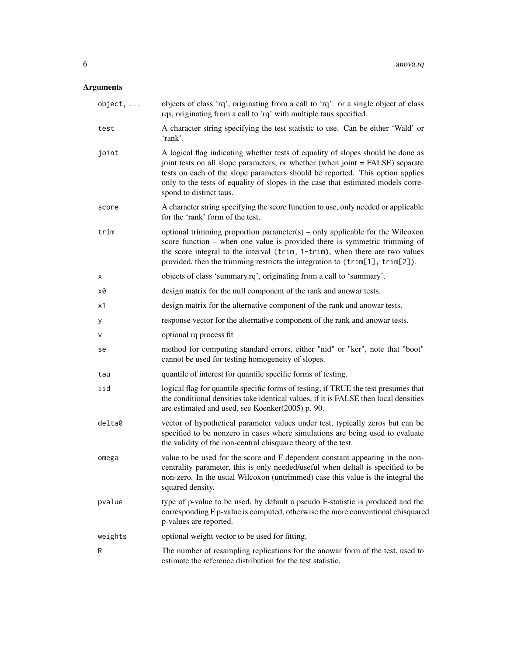# Arguments

| $object, \ldots$ | objects of class 'rq', originating from a call to 'rq'. or a single object of class<br>rqs, originating from a call to 'rq' with multiple taus specified.                                                                                                                                                                                                        |  |
|------------------|------------------------------------------------------------------------------------------------------------------------------------------------------------------------------------------------------------------------------------------------------------------------------------------------------------------------------------------------------------------|--|
| test             | A character string specifying the test statistic to use. Can be either 'Wald' or<br>'rank'.                                                                                                                                                                                                                                                                      |  |
| joint            | A logical flag indicating whether tests of equality of slopes should be done as<br>joint tests on all slope parameters, or whether (when joint = FALSE) separate<br>tests on each of the slope parameters should be reported. This option applies<br>only to the tests of equality of slopes in the case that estimated models corre-<br>spond to distinct taus. |  |
| score            | A character string specifying the score function to use, only needed or applicable<br>for the 'rank' form of the test.                                                                                                                                                                                                                                           |  |
| trim             | optional trimming proportion parameter(s) – only applicable for the Wilcoxon<br>score function $-$ when one value is provided there is symmetric trimming of<br>the score integral to the interval (trim, 1-trim), when there are two values<br>provided, then the trimming restricts the integration to (trim[1], trim[2]).                                     |  |
| х                | objects of class 'summary.rq', originating from a call to 'summary'.                                                                                                                                                                                                                                                                                             |  |
| х0               | design matrix for the null component of the rank and anowar tests.                                                                                                                                                                                                                                                                                               |  |
| x1               | design matrix for the alternative component of the rank and anowar tests.                                                                                                                                                                                                                                                                                        |  |
| У                | response vector for the alternative component of the rank and anowar tests.                                                                                                                                                                                                                                                                                      |  |
| v                | optional rq process fit                                                                                                                                                                                                                                                                                                                                          |  |
| se               | method for computing standard errors, either "nid" or "ker", note that "boot"<br>cannot be used for testing homogeneity of slopes.                                                                                                                                                                                                                               |  |
| tau              | quantile of interest for quantile specific forms of testing.                                                                                                                                                                                                                                                                                                     |  |
| iid              | logical flag for quantile specific forms of testing, if TRUE the test presumes that<br>the conditional densities take identical values, if it is FALSE then local densities<br>are estimated and used, see Koenker(2005) p. 90.                                                                                                                                  |  |
| delta0           | vector of hypothetical parameter values under test, typically zeros but can be<br>specified to be nonzero in cases where simulations are being used to evaluate<br>the validity of the non-central chisquare theory of the test.                                                                                                                                 |  |
| omega            | value to be used for the score and F dependent constant appearing in the non-<br>centrality parameter, this is only needed/useful when delta0 is specified to be<br>non-zero. In the usual Wilcoxon (untrimmed) case this value is the integral the<br>squared density.                                                                                          |  |
| pvalue           | type of p-value to be used, by default a pseudo F-statistic is produced and the<br>corresponding F p-value is computed, otherwise the more conventional chisquared<br>p-values are reported.                                                                                                                                                                     |  |
| weights          | optional weight vector to be used for fitting.                                                                                                                                                                                                                                                                                                                   |  |
| R                | The number of resampling replications for the anowar form of the test, used to<br>estimate the reference distribution for the test statistic.                                                                                                                                                                                                                    |  |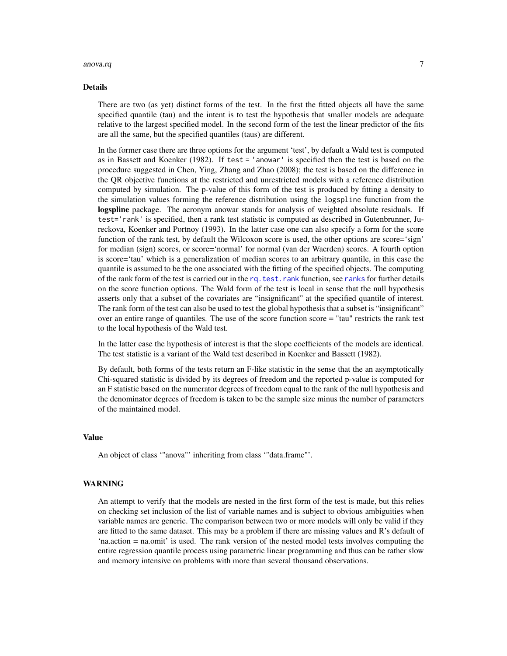#### anova.rq 7

#### Details

There are two (as yet) distinct forms of the test. In the first the fitted objects all have the same specified quantile (tau) and the intent is to test the hypothesis that smaller models are adequate relative to the largest specified model. In the second form of the test the linear predictor of the fits are all the same, but the specified quantiles (taus) are different.

In the former case there are three options for the argument 'test', by default a Wald test is computed as in Bassett and Koenker (1982). If test = 'anowar' is specified then the test is based on the procedure suggested in Chen, Ying, Zhang and Zhao (2008); the test is based on the difference in the QR objective functions at the restricted and unrestricted models with a reference distribution computed by simulation. The p-value of this form of the test is produced by fitting a density to the simulation values forming the reference distribution using the logspline function from the logspline package. The acronym anowar stands for analysis of weighted absolute residuals. If test='rank' is specified, then a rank test statistic is computed as described in Gutenbrunner, Jureckova, Koenker and Portnoy (1993). In the latter case one can also specify a form for the score function of the rank test, by default the Wilcoxon score is used, the other options are score='sign' for median (sign) scores, or score='normal' for normal (van der Waerden) scores. A fourth option is score='tau' which is a generalization of median scores to an arbitrary quantile, in this case the quantile is assumed to be the one associated with the fitting of the specified objects. The computing of the rank form of the test is carried out in the rq. test. rank function, see [ranks](#page-64-1) for further details on the score function options. The Wald form of the test is local in sense that the null hypothesis asserts only that a subset of the covariates are "insignificant" at the specified quantile of interest. The rank form of the test can also be used to test the global hypothesis that a subset is "insignificant" over an entire range of quantiles. The use of the score function score = "tau" restricts the rank test to the local hypothesis of the Wald test.

In the latter case the hypothesis of interest is that the slope coefficients of the models are identical. The test statistic is a variant of the Wald test described in Koenker and Bassett (1982).

By default, both forms of the tests return an F-like statistic in the sense that the an asymptotically Chi-squared statistic is divided by its degrees of freedom and the reported p-value is computed for an F statistic based on the numerator degrees of freedom equal to the rank of the null hypothesis and the denominator degrees of freedom is taken to be the sample size minus the number of parameters of the maintained model.

# Value

An object of class '"anova"' inheriting from class '"data.frame"'.

#### WARNING

An attempt to verify that the models are nested in the first form of the test is made, but this relies on checking set inclusion of the list of variable names and is subject to obvious ambiguities when variable names are generic. The comparison between two or more models will only be valid if they are fitted to the same dataset. This may be a problem if there are missing values and R's default of 'na.action = na.omit' is used. The rank version of the nested model tests involves computing the entire regression quantile process using parametric linear programming and thus can be rather slow and memory intensive on problems with more than several thousand observations.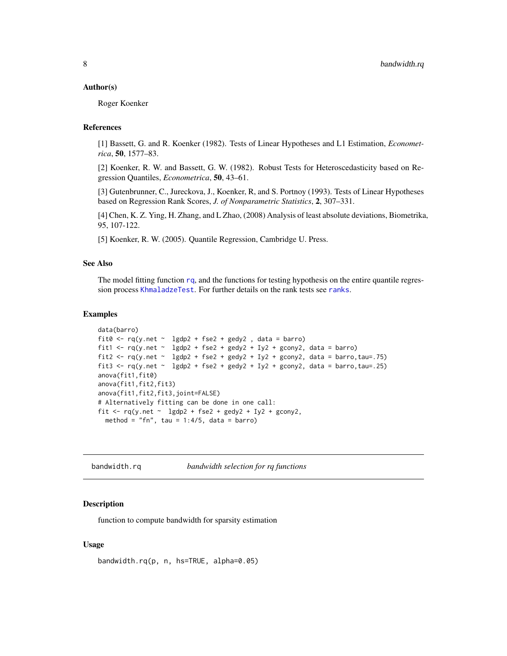#### <span id="page-7-0"></span>Author(s)

Roger Koenker

# References

[1] Bassett, G. and R. Koenker (1982). Tests of Linear Hypotheses and L1 Estimation, *Econometrica*, 50, 1577–83.

[2] Koenker, R. W. and Bassett, G. W. (1982). Robust Tests for Heteroscedasticity based on Regression Quantiles, *Econometrica*, 50, 43–61.

[3] Gutenbrunner, C., Jureckova, J., Koenker, R, and S. Portnoy (1993). Tests of Linear Hypotheses based on Regression Rank Scores, *J. of Nonparametric Statistics*, 2, 307–331.

[4] Chen, K. Z. Ying, H. Zhang, and L Zhao, (2008) Analysis of least absolute deviations, Biometrika, 95, 107-122.

[5] Koenker, R. W. (2005). Quantile Regression, Cambridge U. Press.

#### See Also

The model fitting function [rq](#page-67-1), and the functions for testing hypothesis on the entire quantile regres-sion process [KhmaladzeTest](#page-28-1). For further details on the rank tests see [ranks](#page-64-1).

#### Examples

```
data(barro)
fit0 \leq r q(y \text{.net} \leq \text{lgdp2} + \text{fse2} + \text{gedy2}, data = barro)
fit1 <- rq(y.net \sim lagdp2 + fse2 + gedy2 + Iy2 + gcony2, data = barro)fit2 \langle- rq(y.net \sim 1gdp2 + fse2 + gedy2 + Iy2 + gcony2, data = barro,tau=.75)
fit3 <- rq(y.net \sim 1gdp2 + fse2 + gedy2 + Iy2 + gcony2, data = barro, tau = .25)anova(fit1,fit0)
anova(fit1,fit2,fit3)
anova(fit1,fit2,fit3,joint=FALSE)
# Alternatively fitting can be done in one call:
fit <- rq(y.net \sim 1gdp2 + fse2 + gedy2 + Iy2 + gcony2,
  method = "fn", tau = 1:4/5, data = barro)
```
bandwidth.rq *bandwidth selection for rq functions*

#### Description

function to compute bandwidth for sparsity estimation

#### Usage

```
bandwidth.rq(p, n, hs=TRUE, alpha=0.05)
```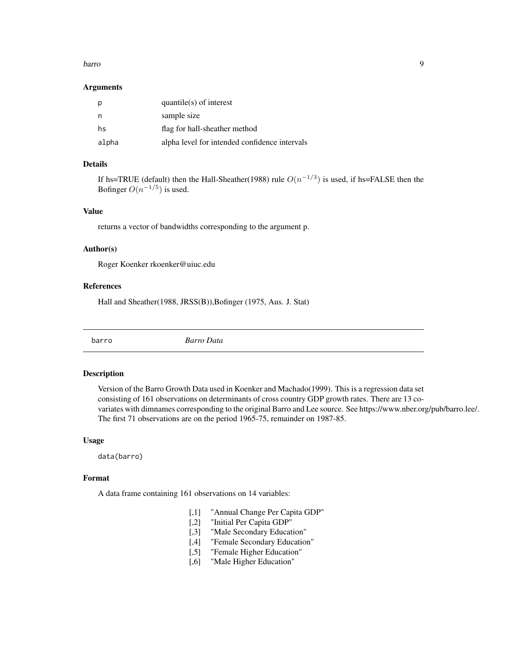#### <span id="page-8-0"></span>barro 1999, a constituito de la constituito de la constituito de la constituito de la constituito de la constituito de la constituito de la constituito de la constituito de la constituito de la constituito de la constituit

#### Arguments

|       | $quantile(s)$ of interest                     |
|-------|-----------------------------------------------|
| n     | sample size                                   |
| hs    | flag for hall-sheather method                 |
| alpha | alpha level for intended confidence intervals |

# Details

If hs=TRUE (default) then the Hall-Sheather(1988) rule  $O(n^{-1/3})$  is used, if hs=FALSE then the Bofinger  $O(n^{-1/5})$  is used.

#### Value

returns a vector of bandwidths corresponding to the argument p.

#### Author(s)

Roger Koenker rkoenker@uiuc.edu

# References

Hall and Sheather(1988, JRSS(B)),Bofinger (1975, Aus. J. Stat)

barro *Barro Data*

#### Description

Version of the Barro Growth Data used in Koenker and Machado(1999). This is a regression data set consisting of 161 observations on determinants of cross country GDP growth rates. There are 13 covariates with dimnames corresponding to the original Barro and Lee source. See https://www.nber.org/pub/barro.lee/. The first 71 observations are on the period 1965-75, remainder on 1987-85.

#### Usage

data(barro)

# Format

A data frame containing 161 observations on 14 variables:

- [,1] "Annual Change Per Capita GDP"
- [,2] "Initial Per Capita GDP"
- [,3] "Male Secondary Education"
- [,4] "Female Secondary Education"
- [,5] "Female Higher Education"
- [,6] "Male Higher Education"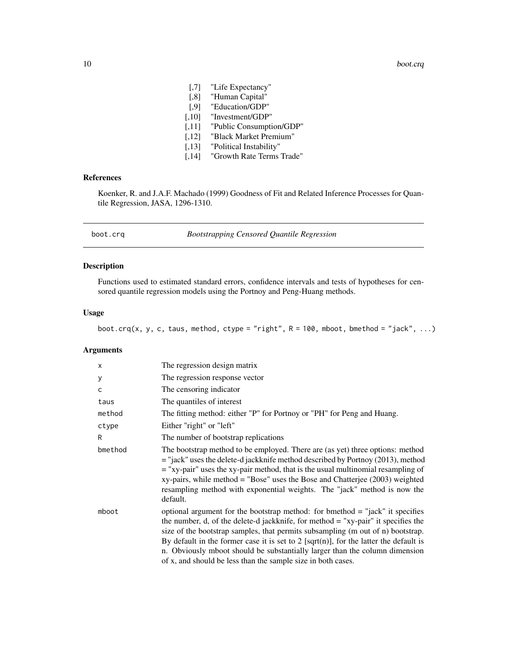- <span id="page-9-0"></span>[,7] "Life Expectancy"
- [,8] "Human Capital"
- [,9] "Education/GDP"
- [,10] "Investment/GDP"
- [,11] "Public Consumption/GDP"
- [,12] "Black Market Premium"
- [,13] "Political Instability"
- [,14] "Growth Rate Terms Trade"

# References

Koenker, R. and J.A.F. Machado (1999) Goodness of Fit and Related Inference Processes for Quantile Regression, JASA, 1296-1310.

| boot.cra |  |  |  |
|----------|--|--|--|
|          |  |  |  |

# boot.crq *Bootstrapping Censored Quantile Regression*

# Description

Functions used to estimated standard errors, confidence intervals and tests of hypotheses for censored quantile regression models using the Portnoy and Peng-Huang methods.

#### Usage

boot.crq(x, y, c, taus, method, ctype = "right",  $R = 100$ , mboot, bmethod = "jack", ...)

# Arguments

| X       | The regression design matrix                                                                                                                                                                                                                                                                                                                                                                                                                                                                      |
|---------|---------------------------------------------------------------------------------------------------------------------------------------------------------------------------------------------------------------------------------------------------------------------------------------------------------------------------------------------------------------------------------------------------------------------------------------------------------------------------------------------------|
| у       | The regression response vector                                                                                                                                                                                                                                                                                                                                                                                                                                                                    |
| C       | The censoring indicator                                                                                                                                                                                                                                                                                                                                                                                                                                                                           |
| taus    | The quantiles of interest                                                                                                                                                                                                                                                                                                                                                                                                                                                                         |
| method  | The fitting method: either "P" for Portnoy or "PH" for Peng and Huang.                                                                                                                                                                                                                                                                                                                                                                                                                            |
| ctype   | Either "right" or "left"                                                                                                                                                                                                                                                                                                                                                                                                                                                                          |
| R       | The number of bootstrap replications                                                                                                                                                                                                                                                                                                                                                                                                                                                              |
| bmethod | The bootstrap method to be employed. There are (as yet) three options: method<br>$=$ "jack" uses the delete-d jackknife method described by Portnoy (2013), method<br>$=$ "xy-pair" uses the xy-pair method, that is the usual multinomial resampling of<br>$xy$ -pairs, while method = "Bose" uses the Bose and Chatterjee (2003) weighted<br>resampling method with exponential weights. The "jack" method is now the<br>default.                                                               |
| mboot   | optional argument for the bootstrap method: for bmethod $=$ "jack" it specifies<br>the number, d, of the delete-d jackknife, for method $=$ "xy-pair" it specifies the<br>size of the bootstrap samples, that permits subsampling (m out of n) bootstrap.<br>By default in the former case it is set to 2 [sqrt(n)], for the latter the default is<br>n. Obviously mboot should be substantially larger than the column dimension<br>of x, and should be less than the sample size in both cases. |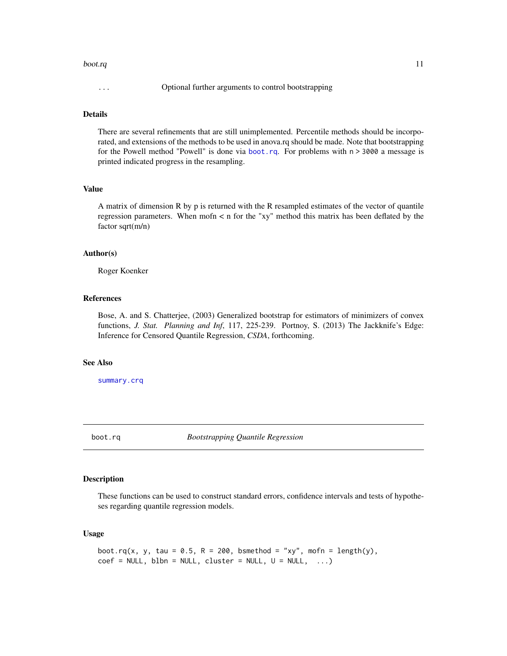#### <span id="page-10-0"></span>boot.rq and 11 and 12 and 12 and 12 and 12 and 12 and 12 and 12 and 12 and 12 and 12 and 12 and 12 and 12 and 12 and 12 and 12 and 12 and 12 and 12 and 12 and 12 and 12 and 12 and 12 and 12 and 12 and 12 and 12 and 12 and

# Details

There are several refinements that are still unimplemented. Percentile methods should be incorporated, and extensions of the methods to be used in anova.rq should be made. Note that bootstrapping for the Powell method "Powell" is done via [boot.rq](#page-10-1). For problems with  $n > 3000$  a message is printed indicated progress in the resampling.

# Value

A matrix of dimension R by p is returned with the R resampled estimates of the vector of quantile regression parameters. When mofn  $\lt$  n for the "xy" method this matrix has been deflated by the factor sqrt(m/n)

#### Author(s)

Roger Koenker

# References

Bose, A. and S. Chatterjee, (2003) Generalized bootstrap for estimators of minimizers of convex functions, *J. Stat. Planning and Inf*, 117, 225-239. Portnoy, S. (2013) The Jackknife's Edge: Inference for Censored Quantile Regression, *CSDA*, forthcoming.

#### See Also

[summary.crq](#page-99-1)

<span id="page-10-1"></span>boot.rq *Bootstrapping Quantile Regression*

# Description

These functions can be used to construct standard errors, confidence intervals and tests of hypotheses regarding quantile regression models.

#### Usage

```
boot.rq(x, y, tau = 0.5, R = 200, bsmethod = "xy", mofn = length(y),
coef = NULL, blbn = NULL, cluster = NULL, U = NULL, ...)
```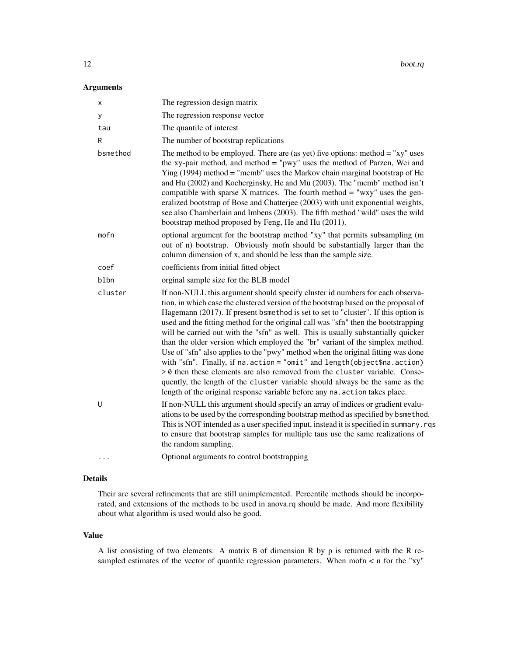# Arguments

| x        | The regression design matrix                                                                                                                                                                                                                                                                                                                                                                                                                                                                                                                                                                                                                                                                                                                                                                                                                                                                                                        |
|----------|-------------------------------------------------------------------------------------------------------------------------------------------------------------------------------------------------------------------------------------------------------------------------------------------------------------------------------------------------------------------------------------------------------------------------------------------------------------------------------------------------------------------------------------------------------------------------------------------------------------------------------------------------------------------------------------------------------------------------------------------------------------------------------------------------------------------------------------------------------------------------------------------------------------------------------------|
| У        | The regression response vector                                                                                                                                                                                                                                                                                                                                                                                                                                                                                                                                                                                                                                                                                                                                                                                                                                                                                                      |
| tau      | The quantile of interest                                                                                                                                                                                                                                                                                                                                                                                                                                                                                                                                                                                                                                                                                                                                                                                                                                                                                                            |
| R        | The number of bootstrap replications                                                                                                                                                                                                                                                                                                                                                                                                                                                                                                                                                                                                                                                                                                                                                                                                                                                                                                |
| bsmethod | The method to be employed. There are (as yet) five options: method $=$ "xy" uses<br>the xy-pair method, and method = "pwy" uses the method of Parzen, Wei and<br>Ying $(1994)$ method = "mcmb" uses the Markov chain marginal bootstrap of He<br>and Hu (2002) and Kocherginsky, He and Mu (2003). The "mcmb" method isn't<br>compatible with sparse $X$ matrices. The fourth method = "wxy" uses the gen-<br>eralized bootstrap of Bose and Chatterjee (2003) with unit exponential weights,<br>see also Chamberlain and Imbens (2003). The fifth method "wild" uses the wild<br>bootstrap method proposed by Feng, He and Hu (2011).                                                                                                                                                                                                                                                                                              |
| mofn     | optional argument for the bootstrap method "xy" that permits subsampling (m<br>out of n) bootstrap. Obviously mofn should be substantially larger than the<br>column dimension of x, and should be less than the sample size.                                                                                                                                                                                                                                                                                                                                                                                                                                                                                                                                                                                                                                                                                                       |
| coef     | coefficients from initial fitted object                                                                                                                                                                                                                                                                                                                                                                                                                                                                                                                                                                                                                                                                                                                                                                                                                                                                                             |
| blbn     | orginal sample size for the BLB model                                                                                                                                                                                                                                                                                                                                                                                                                                                                                                                                                                                                                                                                                                                                                                                                                                                                                               |
| cluster  | If non-NULL this argument should specify cluster id numbers for each observa-<br>tion, in which case the clustered version of the bootstrap based on the proposal of<br>Hagemann (2017). If present bsmethod is set to set to "cluster". If this option is<br>used and the fitting method for the original call was "sfn" then the bootstrapping<br>will be carried out with the "sfn" as well. This is usually substantially quicker<br>than the older version which employed the "br" variant of the simplex method.<br>Use of "sfn" also applies to the "pwy" method when the original fitting was done<br>with "sfn". Finally, if na.action = "omit" and length(object\$na.action)<br>> 0 then these elements are also removed from the cluster variable. Conse-<br>quently, the length of the cluster variable should always be the same as the<br>length of the original response variable before any na. action takes place. |
| U        | If non-NULL this argument should specify an array of indices or gradient evalu-<br>ations to be used by the corresponding bootstrap method as specified by bsmethod.<br>This is NOT intended as a user specified input, instead it is specified in summary. rqs<br>to ensure that bootstrap samples for multiple taus use the same realizations of<br>the random sampling.                                                                                                                                                                                                                                                                                                                                                                                                                                                                                                                                                          |
| .        | Optional arguments to control bootstrapping                                                                                                                                                                                                                                                                                                                                                                                                                                                                                                                                                                                                                                                                                                                                                                                                                                                                                         |
|          |                                                                                                                                                                                                                                                                                                                                                                                                                                                                                                                                                                                                                                                                                                                                                                                                                                                                                                                                     |

# Details

Their are several refinements that are still unimplemented. Percentile methods should be incorporated, and extensions of the methods to be used in anova.rq should be made. And more flexibility about what algorithm is used would also be good.

#### Value

A list consisting of two elements: A matrix B of dimension R by p is returned with the R resampled estimates of the vector of quantile regression parameters. When mofn < n for the "xy"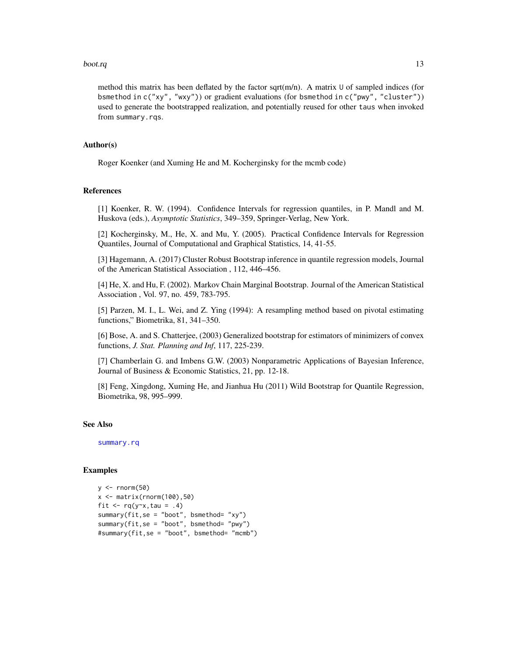#### boot.rq and 13

method this matrix has been deflated by the factor sqrt( $m/n$ ). A matrix U of sampled indices (for bsmethod in c("xy", "wxy")) or gradient evaluations (for bsmethod in c("pwy", "cluster")) used to generate the bootstrapped realization, and potentially reused for other taus when invoked from summary.rqs.

# Author(s)

Roger Koenker (and Xuming He and M. Kocherginsky for the mcmb code)

# References

[1] Koenker, R. W. (1994). Confidence Intervals for regression quantiles, in P. Mandl and M. Huskova (eds.), *Asymptotic Statistics*, 349–359, Springer-Verlag, New York.

[2] Kocherginsky, M., He, X. and Mu, Y. (2005). Practical Confidence Intervals for Regression Quantiles, Journal of Computational and Graphical Statistics, 14, 41-55.

[3] Hagemann, A. (2017) Cluster Robust Bootstrap inference in quantile regression models, Journal of the American Statistical Association , 112, 446–456.

[4] He, X. and Hu, F. (2002). Markov Chain Marginal Bootstrap. Journal of the American Statistical Association , Vol. 97, no. 459, 783-795.

[5] Parzen, M. I., L. Wei, and Z. Ying (1994): A resampling method based on pivotal estimating functions," Biometrika, 81, 341–350.

[6] Bose, A. and S. Chatterjee, (2003) Generalized bootstrap for estimators of minimizers of convex functions, *J. Stat. Planning and Inf*, 117, 225-239.

[7] Chamberlain G. and Imbens G.W. (2003) Nonparametric Applications of Bayesian Inference, Journal of Business & Economic Statistics, 21, pp. 12-18.

[8] Feng, Xingdong, Xuming He, and Jianhua Hu (2011) Wild Bootstrap for Quantile Regression, Biometrika, 98, 995–999.

# See Also

[summary.rq](#page-101-1)

#### Examples

```
y \le - rnorm(50)x \leftarrow \text{matrix}(rnorm(100), 50)fit \leq rq(y\leqx, tau = .4)
summary(fit,se = "boot", bsmethod= "xy")
summary(fit,se = "boot", bsmethod= "pwy")
#summary(fit,se = "boot", bsmethod= "mcmb")
```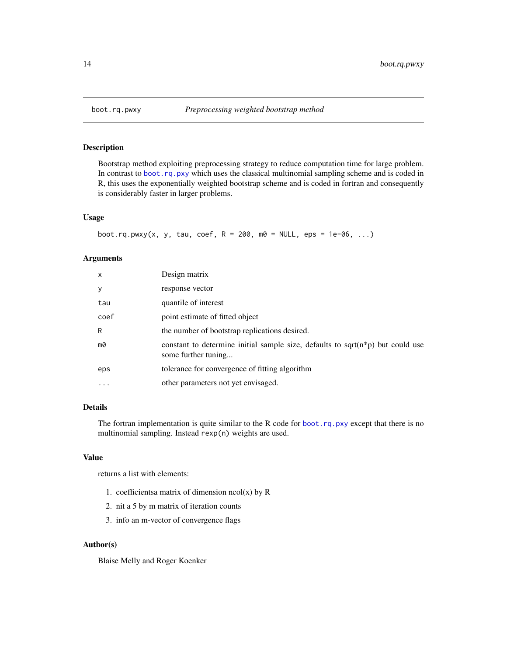# Description

Bootstrap method exploiting preprocessing strategy to reduce computation time for large problem. In contrast to [boot.rq.pxy](#page-14-1) which uses the classical multinomial sampling scheme and is coded in R, this uses the exponentially weighted bootstrap scheme and is coded in fortran and consequently is considerably faster in larger problems.

# Usage

```
boot.rq.pwxy(x, y, tau, coef, R = 200, m0 = NULL, eps = 1e-06, ...)
```
#### Arguments

| $\mathsf{x}$ | Design matrix                                                                                               |
|--------------|-------------------------------------------------------------------------------------------------------------|
| y            | response vector                                                                                             |
| tau          | quantile of interest                                                                                        |
| coef         | point estimate of fitted object                                                                             |
| R            | the number of bootstrap replications desired.                                                               |
| mØ           | constant to determine initial sample size, defaults to sqrt( $n * p$ ) but could use<br>some further tuning |
| eps          | tolerance for convergence of fitting algorithm                                                              |
|              | other parameters not yet envisaged.                                                                         |
|              |                                                                                                             |

# Details

The fortran implementation is quite similar to the R code for [boot.rq.pxy](#page-14-1) except that there is no multinomial sampling. Instead rexp(n) weights are used.

#### Value

returns a list with elements:

- 1. coefficientsa matrix of dimension  $ncol(x)$  by R
- 2. nit a 5 by m matrix of iteration counts
- 3. info an m-vector of convergence flags

#### Author(s)

Blaise Melly and Roger Koenker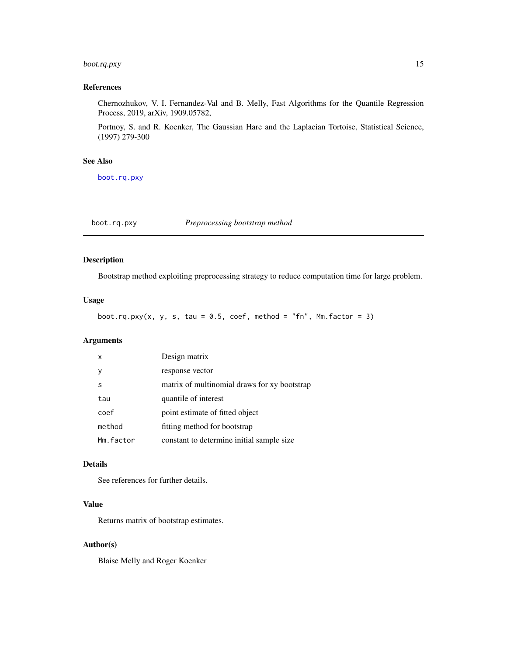# <span id="page-14-0"></span>boot.rq.pxy 15

# References

Chernozhukov, V. I. Fernandez-Val and B. Melly, Fast Algorithms for the Quantile Regression Process, 2019, arXiv, 1909.05782,

Portnoy, S. and R. Koenker, The Gaussian Hare and the Laplacian Tortoise, Statistical Science, (1997) 279-300

# See Also

[boot.rq.pxy](#page-14-1)

<span id="page-14-1"></span>boot.rq.pxy *Preprocessing bootstrap method*

# Description

Bootstrap method exploiting preprocessing strategy to reduce computation time for large problem.

# Usage

boot.rq.pxy(x, y, s, tau = 0.5, coef, method = "fn", Mm.factor = 3)

# Arguments

| $\mathsf{x}$ | Design matrix                                |
|--------------|----------------------------------------------|
|              | response vector                              |
| s            | matrix of multinomial draws for xy bootstrap |
| tau          | quantile of interest                         |
| coef         | point estimate of fitted object              |
| method       | fitting method for bootstrap                 |
| Mm.factor    | constant to determine initial sample size    |

# Details

See references for further details.

# Value

Returns matrix of bootstrap estimates.

#### Author(s)

Blaise Melly and Roger Koenker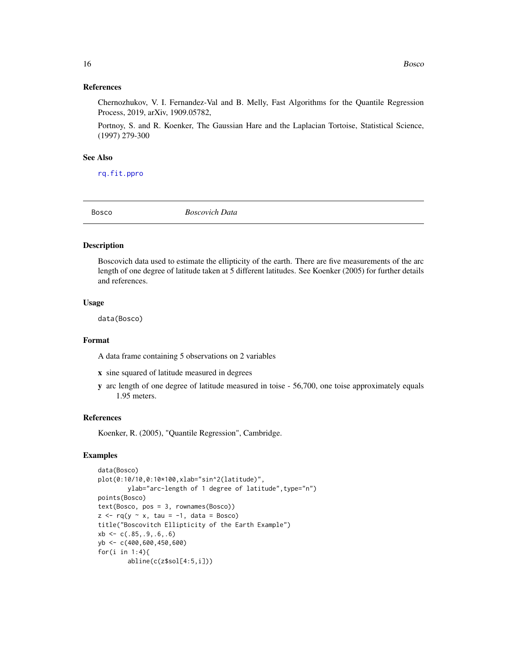#### <span id="page-15-0"></span>References

Chernozhukov, V. I. Fernandez-Val and B. Melly, Fast Algorithms for the Quantile Regression Process, 2019, arXiv, 1909.05782,

Portnoy, S. and R. Koenker, The Gaussian Hare and the Laplacian Tortoise, Statistical Science, (1997) 279-300

### See Also

[rq.fit.ppro](#page-81-1)

Bosco *Boscovich Data*

#### Description

Boscovich data used to estimate the ellipticity of the earth. There are five measurements of the arc length of one degree of latitude taken at 5 different latitudes. See Koenker (2005) for further details and references.

#### Usage

data(Bosco)

#### Format

A data frame containing 5 observations on 2 variables

- x sine squared of latitude measured in degrees
- y arc length of one degree of latitude measured in toise 56,700, one toise approximately equals 1.95 meters.

#### References

Koenker, R. (2005), "Quantile Regression", Cambridge.

# Examples

```
data(Bosco)
plot(0:10/10,0:10*100,xlab="sin^2(latitude)",
        ylab="arc-length of 1 degree of latitude", type="n")
points(Bosco)
text(Bosco, pos = 3, rownames(Bosco))
z \leq r q(y \sim x, \tau) tau = -1, data = Bosco)
title("Boscovitch Ellipticity of the Earth Example")
xb \leq c(.85, .9, .6, .6)yb <- c(400,600,450,600)
for(i in 1:4){
        abline(c(z$sol[4:5,i]))
```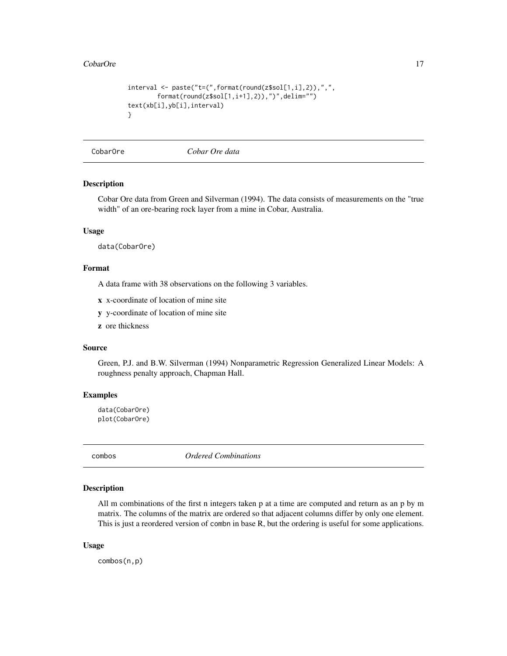#### <span id="page-16-0"></span>CobarOre 2012 17

```
interval \leftarrow paste("t=(",format(rownd(z$sol[1,i],2)),",",format(round(z$sol[1,i+1],2)),")",delim="")
text(xb[i],yb[i],interval)
}
```
CobarOre *Cobar Ore data*

#### Description

Cobar Ore data from Green and Silverman (1994). The data consists of measurements on the "true width" of an ore-bearing rock layer from a mine in Cobar, Australia.

#### Usage

data(CobarOre)

# Format

A data frame with 38 observations on the following 3 variables.

- x x-coordinate of location of mine site
- y y-coordinate of location of mine site
- z ore thickness

## Source

Green, P.J. and B.W. Silverman (1994) Nonparametric Regression Generalized Linear Models: A roughness penalty approach, Chapman Hall.

#### Examples

```
data(CobarOre)
plot(CobarOre)
```
combos *Ordered Combinations*

# Description

All m combinations of the first n integers taken p at a time are computed and return as an p by m matrix. The columns of the matrix are ordered so that adjacent columns differ by only one element. This is just a reordered version of combn in base R, but the ordering is useful for some applications.

#### Usage

combos(n,p)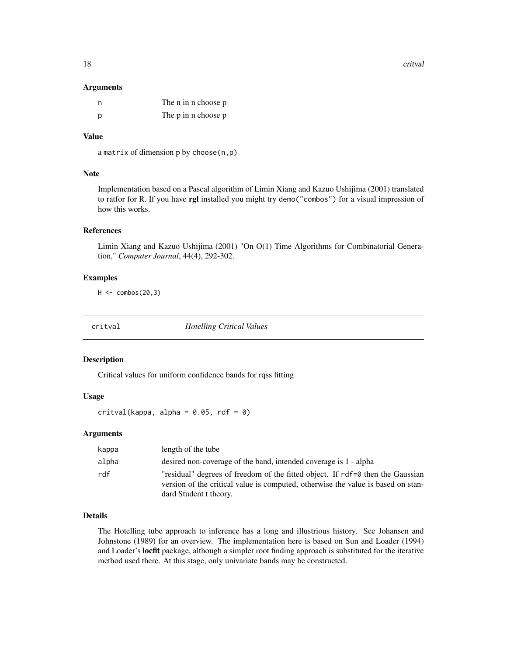<span id="page-17-0"></span>18 critual control of the control of the control of the control of the control of the control of the control of the control of the control of the control of the control of the control of the control of the control of the c

#### **Arguments**

| n | The n in n choose p |
|---|---------------------|
| D | The p in n choose p |

# Value

a matrix of dimension p by choose(n,p)

# Note

Implementation based on a Pascal algorithm of Limin Xiang and Kazuo Ushijima (2001) translated to ratfor for R. If you have rgl installed you might try demo("combos") for a visual impression of how this works.

#### References

Limin Xiang and Kazuo Ushijima (2001) "On O(1) Time Algorithms for Combinatorial Generation," *Computer Journal*, 44(4), 292-302.

#### Examples

 $H < -$  combos(20,3)

critval *Hotelling Critical Values*

# Description

Critical values for uniform confidence bands for rqss fitting

#### Usage

critval(kappa, alpha =  $0.05$ , rdf =  $0$ )

# Arguments

| kappa | length of the tube                                                                                                                                                 |
|-------|--------------------------------------------------------------------------------------------------------------------------------------------------------------------|
| alpha | desired non-coverage of the band, intended coverage is 1 - alpha                                                                                                   |
| rdf   | "residual" degrees of freedom of the fitted object. If rdf=0 then the Gaussian<br>version of the critical value is computed, otherwise the value is based on stan- |
|       | dard Student t theory.                                                                                                                                             |

# Details

The Hotelling tube approach to inference has a long and illustrious history. See Johansen and Johnstone (1989) for an overview. The implementation here is based on Sun and Loader (1994) and Loader's locfit package, although a simpler root finding approach is substituted for the iterative method used there. At this stage, only univariate bands may be constructed.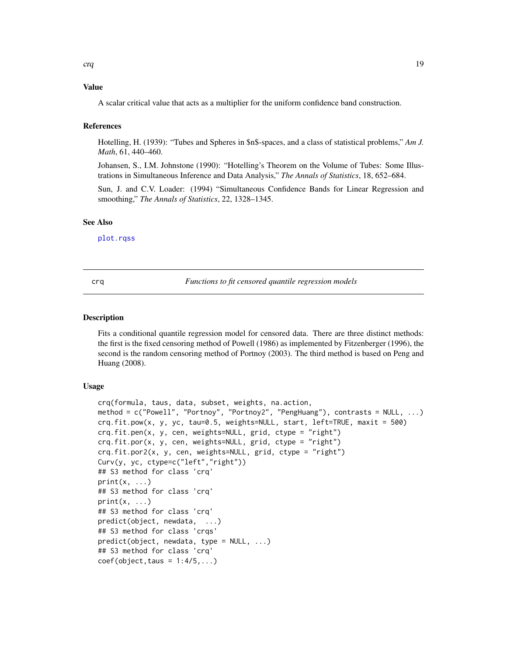# <span id="page-18-0"></span>Value

A scalar critical value that acts as a multiplier for the uniform confidence band construction.

#### References

Hotelling, H. (1939): "Tubes and Spheres in \$n\$-spaces, and a class of statistical problems," *Am J. Math*, 61, 440–460.

Johansen, S., I.M. Johnstone (1990): "Hotelling's Theorem on the Volume of Tubes: Some Illustrations in Simultaneous Inference and Data Analysis," *The Annals of Statistics*, 18, 652–684.

Sun, J. and C.V. Loader: (1994) "Simultaneous Confidence Bands for Linear Regression and smoothing," *The Annals of Statistics*, 22, 1328–1345.

#### See Also

[plot.rqss](#page-48-1)

crq *Functions to fit censored quantile regression models*

#### Description

Fits a conditional quantile regression model for censored data. There are three distinct methods: the first is the fixed censoring method of Powell (1986) as implemented by Fitzenberger (1996), the second is the random censoring method of Portnoy (2003). The third method is based on Peng and Huang (2008).

#### Usage

```
crq(formula, taus, data, subset, weights, na.action,
method = c("Powell", "Portnoy", "Portnoy2", "PengHuang"), contrasts = NULL, ...)
crq.fit.pow(x, y, yc, tau=0.5, weights=NULL, start, left=TRUE, maxit = 500)
crq.fit.pen(x, y, cen, weights=NULL, grid, ctype = "right")
crq.fit.por(x, y, cen, weights=NULL, grid, ctype = "right")
crq.fit.por2(x, y, cen, weights=NULL, grid, ctype = "right")
Curv(y, yc, ctype=c("left","right"))
## S3 method for class 'crq'
print(x, \ldots)## S3 method for class 'crq'
print(x, \ldots)## S3 method for class 'crq'
predict(object, newdata, ...)
## S3 method for class 'crqs'
predict(object, newdata, type = NULL, ...)
## S3 method for class 'crq'
coef(object, taus = 1:4/5,...)
```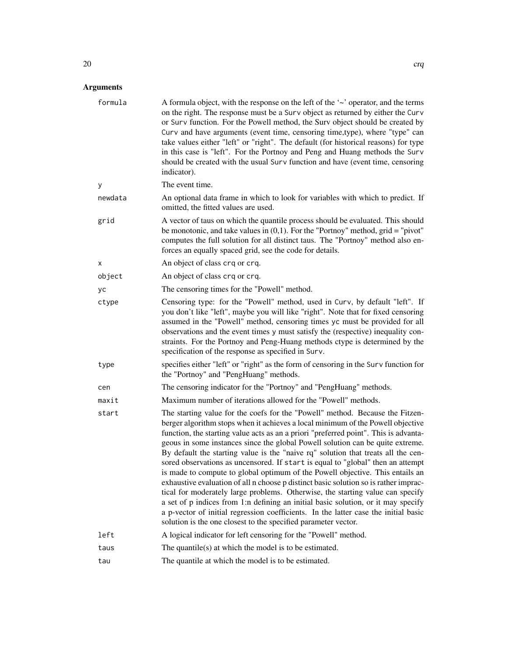# Arguments

| formula | A formula object, with the response on the left of the $\sim$ operator, and the terms<br>on the right. The response must be a Surv object as returned by either the Curv<br>or Surv function. For the Powell method, the Surv object should be created by<br>Curv and have arguments (event time, censoring time, type), where "type" can<br>take values either "left" or "right". The default (for historical reasons) for type<br>in this case is "left". For the Portnoy and Peng and Huang methods the Surv<br>should be created with the usual Surv function and have (event time, censoring<br>indicator).                                                                                                                                                                                                                                                                                                                                                                                                            |
|---------|-----------------------------------------------------------------------------------------------------------------------------------------------------------------------------------------------------------------------------------------------------------------------------------------------------------------------------------------------------------------------------------------------------------------------------------------------------------------------------------------------------------------------------------------------------------------------------------------------------------------------------------------------------------------------------------------------------------------------------------------------------------------------------------------------------------------------------------------------------------------------------------------------------------------------------------------------------------------------------------------------------------------------------|
| у       | The event time.                                                                                                                                                                                                                                                                                                                                                                                                                                                                                                                                                                                                                                                                                                                                                                                                                                                                                                                                                                                                             |
| newdata | An optional data frame in which to look for variables with which to predict. If<br>omitted, the fitted values are used.                                                                                                                                                                                                                                                                                                                                                                                                                                                                                                                                                                                                                                                                                                                                                                                                                                                                                                     |
| grid    | A vector of taus on which the quantile process should be evaluated. This should<br>be monotonic, and take values in $(0,1)$ . For the "Portnoy" method, grid = "pivot"<br>computes the full solution for all distinct taus. The "Portnoy" method also en-<br>forces an equally spaced grid, see the code for details.                                                                                                                                                                                                                                                                                                                                                                                                                                                                                                                                                                                                                                                                                                       |
| X       | An object of class crq or crq.                                                                                                                                                                                                                                                                                                                                                                                                                                                                                                                                                                                                                                                                                                                                                                                                                                                                                                                                                                                              |
| object  | An object of class crq or crq.                                                                                                                                                                                                                                                                                                                                                                                                                                                                                                                                                                                                                                                                                                                                                                                                                                                                                                                                                                                              |
| yс      | The censoring times for the "Powell" method.                                                                                                                                                                                                                                                                                                                                                                                                                                                                                                                                                                                                                                                                                                                                                                                                                                                                                                                                                                                |
| ctype   | Censoring type: for the "Powell" method, used in Curv, by default "left". If<br>you don't like "left", maybe you will like "right". Note that for fixed censoring<br>assumed in the "Powell" method, censoring times yc must be provided for all<br>observations and the event times y must satisfy the (respective) inequality con-<br>straints. For the Portnoy and Peng-Huang methods ctype is determined by the<br>specification of the response as specified in Surv.                                                                                                                                                                                                                                                                                                                                                                                                                                                                                                                                                  |
| type    | specifies either "left" or "right" as the form of censoring in the Surv function for<br>the "Portnoy" and "PengHuang" methods.                                                                                                                                                                                                                                                                                                                                                                                                                                                                                                                                                                                                                                                                                                                                                                                                                                                                                              |
| cen     | The censoring indicator for the "Portnoy" and "PengHuang" methods.                                                                                                                                                                                                                                                                                                                                                                                                                                                                                                                                                                                                                                                                                                                                                                                                                                                                                                                                                          |
| maxit   | Maximum number of iterations allowed for the "Powell" methods.                                                                                                                                                                                                                                                                                                                                                                                                                                                                                                                                                                                                                                                                                                                                                                                                                                                                                                                                                              |
| start   | The starting value for the coefs for the "Powell" method. Because the Fitzen-<br>berger algorithm stops when it achieves a local minimum of the Powell objective<br>function, the starting value acts as an a priori "preferred point". This is advanta-<br>geous in some instances since the global Powell solution can be quite extreme.<br>By default the starting value is the "naive rq" solution that treats all the cen-<br>sored observations as uncensored. If start is equal to "global" then an attempt<br>is made to compute to global optimum of the Powell objective. This entails an<br>exhaustive evaluation of all n choose p distinct basic solution so is rather imprac-<br>tical for moderately large problems. Otherwise, the starting value can specify<br>a set of p indices from 1:n defining an initial basic solution, or it may specify<br>a p-vector of initial regression coefficients. In the latter case the initial basic<br>solution is the one closest to the specified parameter vector. |
| left    | A logical indicator for left censoring for the "Powell" method.                                                                                                                                                                                                                                                                                                                                                                                                                                                                                                                                                                                                                                                                                                                                                                                                                                                                                                                                                             |
| taus    | The quantile( $s$ ) at which the model is to be estimated.                                                                                                                                                                                                                                                                                                                                                                                                                                                                                                                                                                                                                                                                                                                                                                                                                                                                                                                                                                  |
| tau     | The quantile at which the model is to be estimated.                                                                                                                                                                                                                                                                                                                                                                                                                                                                                                                                                                                                                                                                                                                                                                                                                                                                                                                                                                         |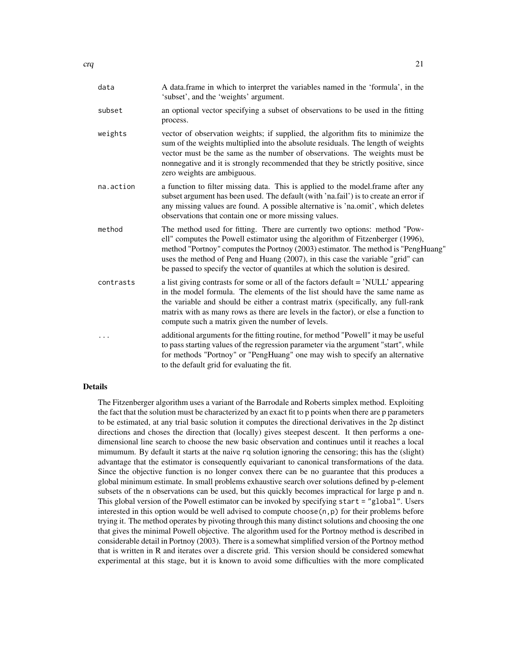| data      | A data.frame in which to interpret the variables named in the 'formula', in the<br>'subset', and the 'weights' argument.                                                                                                                                                                                                                                                                                              |
|-----------|-----------------------------------------------------------------------------------------------------------------------------------------------------------------------------------------------------------------------------------------------------------------------------------------------------------------------------------------------------------------------------------------------------------------------|
| subset    | an optional vector specifying a subset of observations to be used in the fitting<br>process.                                                                                                                                                                                                                                                                                                                          |
| weights   | vector of observation weights; if supplied, the algorithm fits to minimize the<br>sum of the weights multiplied into the absolute residuals. The length of weights<br>vector must be the same as the number of observations. The weights must be<br>nonnegative and it is strongly recommended that they be strictly positive, since<br>zero weights are ambiguous.                                                   |
| na.action | a function to filter missing data. This is applied to the model.frame after any<br>subset argument has been used. The default (with 'na.fail') is to create an error if<br>any missing values are found. A possible alternative is 'na.omit', which deletes<br>observations that contain one or more missing values.                                                                                                  |
| method    | The method used for fitting. There are currently two options: method "Pow-<br>ell" computes the Powell estimator using the algorithm of Fitzenberger (1996),<br>method "Portnoy" computes the Portnoy (2003) estimator. The method is "PengHuang"<br>uses the method of Peng and Huang (2007), in this case the variable "grid" can<br>be passed to specify the vector of quantiles at which the solution is desired. |
| contrasts | a list giving contrasts for some or all of the factors default = 'NULL' appearing<br>in the model formula. The elements of the list should have the same name as<br>the variable and should be either a contrast matrix (specifically, any full-rank<br>matrix with as many rows as there are levels in the factor), or else a function to<br>compute such a matrix given the number of levels.                       |
| .         | additional arguments for the fitting routine, for method "Powell" it may be useful<br>to pass starting values of the regression parameter via the argument "start", while<br>for methods "Portnoy" or "PengHuang" one may wish to specify an alternative<br>to the default grid for evaluating the fit.                                                                                                               |

#### Details

The Fitzenberger algorithm uses a variant of the Barrodale and Roberts simplex method. Exploiting the fact that the solution must be characterized by an exact fit to p points when there are p parameters to be estimated, at any trial basic solution it computes the directional derivatives in the 2p distinct directions and choses the direction that (locally) gives steepest descent. It then performs a onedimensional line search to choose the new basic observation and continues until it reaches a local mimumum. By default it starts at the naive rq solution ignoring the censoring; this has the (slight) advantage that the estimator is consequently equivariant to canonical transformations of the data. Since the objective function is no longer convex there can be no guarantee that this produces a global minimum estimate. In small problems exhaustive search over solutions defined by p-element subsets of the n observations can be used, but this quickly becomes impractical for large p and n. This global version of the Powell estimator can be invoked by specifying start = "global". Users interested in this option would be well advised to compute choose $(n, p)$  for their problems before trying it. The method operates by pivoting through this many distinct solutions and choosing the one that gives the minimal Powell objective. The algorithm used for the Portnoy method is described in considerable detail in Portnoy (2003). There is a somewhat simplified version of the Portnoy method that is written in R and iterates over a discrete grid. This version should be considered somewhat experimental at this stage, but it is known to avoid some difficulties with the more complicated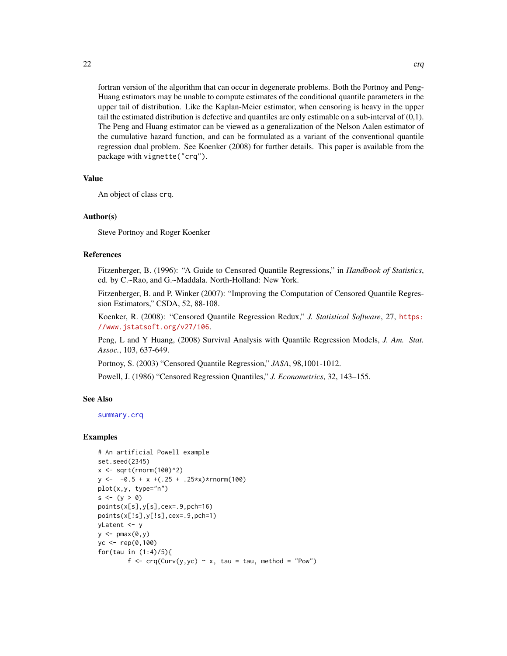fortran version of the algorithm that can occur in degenerate problems. Both the Portnoy and Peng-Huang estimators may be unable to compute estimates of the conditional quantile parameters in the upper tail of distribution. Like the Kaplan-Meier estimator, when censoring is heavy in the upper tail the estimated distribution is defective and quantiles are only estimable on a sub-interval of (0,1). The Peng and Huang estimator can be viewed as a generalization of the Nelson Aalen estimator of the cumulative hazard function, and can be formulated as a variant of the conventional quantile

regression dual problem. See Koenker (2008) for further details. This paper is available from the

Value

An object of class crq.

#### Author(s)

Steve Portnoy and Roger Koenker

package with vignette("crq").

# References

Fitzenberger, B. (1996): "A Guide to Censored Quantile Regressions," in *Handbook of Statistics*, ed. by C.~Rao, and G.~Maddala. North-Holland: New York.

Fitzenberger, B. and P. Winker (2007): "Improving the Computation of Censored Quantile Regression Estimators," CSDA, 52, 88-108.

Koenker, R. (2008): "Censored Quantile Regression Redux," *J. Statistical Software*, 27, [https:](https://www.jstatsoft.org/v27/i06) [//www.jstatsoft.org/v27/i06](https://www.jstatsoft.org/v27/i06).

Peng, L and Y Huang, (2008) Survival Analysis with Quantile Regression Models, *J. Am. Stat. Assoc.*, 103, 637-649.

Portnoy, S. (2003) "Censored Quantile Regression," *JASA*, 98,1001-1012.

Powell, J. (1986) "Censored Regression Quantiles," *J. Econometrics*, 32, 143–155.

#### See Also

[summary.crq](#page-99-1)

#### Examples

```
# An artificial Powell example
set.seed(2345)
x \le -\sqrt{\text{sqrt}(\text{rnorm}(100)^2)}y \le -0.5 + x + (.25 + .25*x) * rnorm(100)plot(x,y, type="n")
s \leftarrow (y > 0)points(x[s],y[s],cex=.9,pch=16)
points(x[!s],y[!s],cex=.9,pch=1)
yLatent <- y
y \leftarrow \text{pmax}(0, y)yc <- rep(0,100)
for(tau in (1:4)/5){
         f \leq -\text{crq(Curv(y,yc) \sim x, tau = tau, method = "Pow")}
```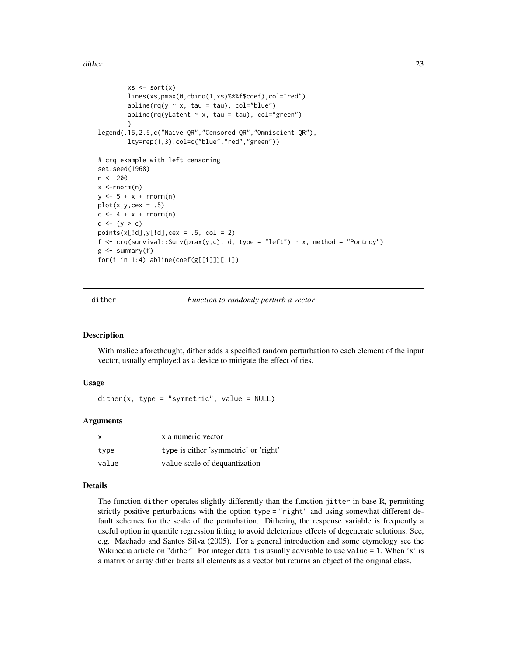<span id="page-22-0"></span>dither 23

```
xs \leftarrow sort(x)lines(xs,pmax(0,cbind(1,xs)%*%f$coef),col="red")
         abline(rq(y \sim x, \tau) tau = tau), col="blue")
         abline(rq(yLatent \sim x, tau = tau), col="green")
         }
legend(.15,2.5,c("Naive QR","Censored QR","Omniscient QR"),
         lty=rep(1,3),col=c("blue","red","green"))
# crq example with left censoring
set.seed(1968)
n <- 200
x < -rnorm(n)y \le -5 + x + \text{rnorm}(n)plot(x,y,cex = .5)c \le -4 + x + \text{norm}(n)d \leftarrow (y > c)points(x[!d], y[!d], cex = .5, col = 2)f \leftarrow \text{crq}(\text{survival}::\text{Surv}(\text{pmax}(y, c), d, \text{ type} = "left") \sim x, \text{ method} = "Portnoy")g \leftarrow summary(f)
for(i in 1:4) abline(coef(g[[i]])[,1])
```
dither *Function to randomly perturb a vector*

#### Description

With malice aforethought, dither adds a specified random perturbation to each element of the input vector, usually employed as a device to mitigate the effect of ties.

# Usage

 $dither(x, type = "symmetric", value = NULL)$ 

#### Arguments

| $\boldsymbol{\mathsf{x}}$ | x a numeric vector                    |
|---------------------------|---------------------------------------|
| type                      | type is either 'symmetric' or 'right' |
| value                     | value scale of dequantization         |

#### Details

The function dither operates slightly differently than the function jitter in base R, permitting strictly positive perturbations with the option type = "right" and using somewhat different default schemes for the scale of the perturbation. Dithering the response variable is frequently a useful option in quantile regression fitting to avoid deleterious effects of degenerate solutions. See, e.g. Machado and Santos Silva (2005). For a general introduction and some etymology see the Wikipedia article on "dither". For integer data it is usually advisable to use value = 1. When 'x' is a matrix or array dither treats all elements as a vector but returns an object of the original class.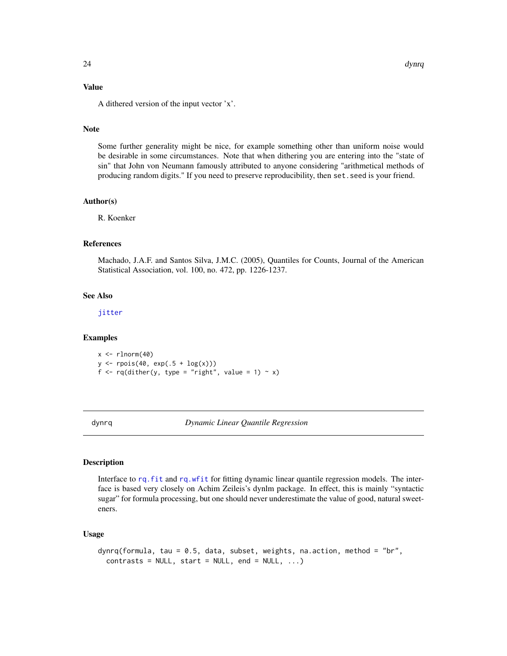# <span id="page-23-0"></span>Value

A dithered version of the input vector 'x'.

#### Note

Some further generality might be nice, for example something other than uniform noise would be desirable in some circumstances. Note that when dithering you are entering into the "state of sin" that John von Neumann famously attributed to anyone considering "arithmetical methods of producing random digits." If you need to preserve reproducibility, then set.seed is your friend.

#### Author(s)

R. Koenker

#### References

Machado, J.A.F. and Santos Silva, J.M.C. (2005), Quantiles for Counts, Journal of the American Statistical Association, vol. 100, no. 472, pp. 1226-1237.

# See Also

[jitter](#page-0-0)

## Examples

 $x < -$  rlnorm $(40)$ y <- rpois(40, exp(.5 + log(x))) f <-  $rq$ (dither(y, type = "right", value = 1) ~ x)

dynrq *Dynamic Linear Quantile Regression*

#### Description

Interface to [rq.fit](#page-70-1) and [rq.wfit](#page-90-1) for fitting dynamic linear quantile regression models. The interface is based very closely on Achim Zeileis's dynlm package. In effect, this is mainly "syntactic sugar" for formula processing, but one should never underestimate the value of good, natural sweeteners.

#### Usage

```
dynrq(formula, tau = 0.5, data, subset, weights, na.action, method = "br",
 contrast = NULL, start = NULL, end = NULL, ...
```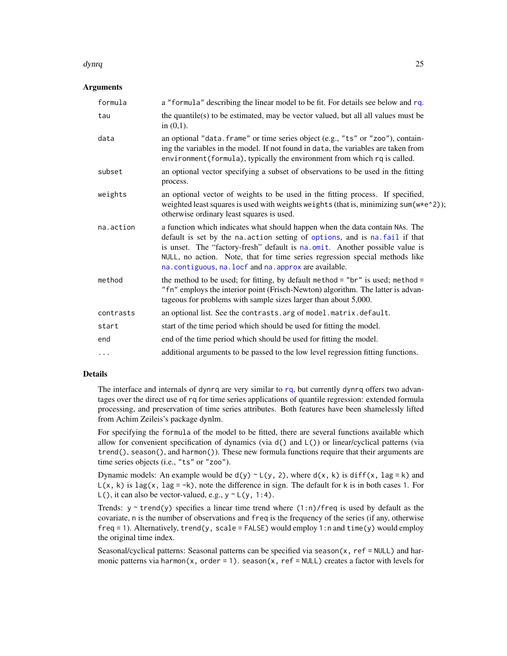#### dynrq and 25 and 25 and 26 and 26 and 26 and 26 and 26 and 26 and 26 and 26 and 26 and 26 and 26 and 26 and 26

#### **Arguments**

| a "formula" describing the linear model to be fit. For details see below and rq.                                                                                                                                                                                                                                                                                                  |
|-----------------------------------------------------------------------------------------------------------------------------------------------------------------------------------------------------------------------------------------------------------------------------------------------------------------------------------------------------------------------------------|
| the quantile( $s$ ) to be estimated, may be vector valued, but all all values must be<br>in $(0,1)$ .                                                                                                                                                                                                                                                                             |
| an optional "data. frame" or time series object (e.g., "ts" or "zoo"), contain-<br>ing the variables in the model. If not found in data, the variables are taken from<br>environment (formula), typically the environment from which rq is called.                                                                                                                                |
| an optional vector specifying a subset of observations to be used in the fitting<br>process.                                                                                                                                                                                                                                                                                      |
| an optional vector of weights to be used in the fitting process. If specified,<br>weighted least squares is used with weights weights (that is, minimizing sum(w*e^2));<br>otherwise ordinary least squares is used.                                                                                                                                                              |
| a function which indicates what should happen when the data contain NAs. The<br>default is set by the na. action setting of options, and is na. fail if that<br>is unset. The "factory-fresh" default is na.omit. Another possible value is<br>NULL, no action. Note, that for time series regression special methods like<br>na.contiguous, na.locf and na.approx are available. |
| the method to be used; for fitting, by default method = " $\text{br}$ " is used; method =<br>"fn" employs the interior point (Frisch-Newton) algorithm. The latter is advan-<br>tageous for problems with sample sizes larger than about 5,000.                                                                                                                                   |
| an optional list. See the contrasts. arg of model. matrix. default.                                                                                                                                                                                                                                                                                                               |
| start of the time period which should be used for fitting the model.                                                                                                                                                                                                                                                                                                              |
| end of the time period which should be used for fitting the model.                                                                                                                                                                                                                                                                                                                |
| additional arguments to be passed to the low level regression fitting functions.                                                                                                                                                                                                                                                                                                  |
|                                                                                                                                                                                                                                                                                                                                                                                   |

# Details

The interface and internals of dyn[rq](#page-67-1) are very similar to rq, but currently dynrq offers two advantages over the direct use of rq for time series applications of quantile regression: extended formula processing, and preservation of time series attributes. Both features have been shamelessly lifted from Achim Zeileis's package dynlm.

For specifying the formula of the model to be fitted, there are several functions available which allow for convenient specification of dynamics (via d() and L()) or linear/cyclical patterns (via  $trend()$ , season $()$ , and harmon $()$ ). These new formula functions require that their arguments are time series objects (i.e., "ts" or "zoo").

Dynamic models: An example would be  $d(y) \sim L(y, 2)$ , where  $d(x, k)$  is diff(x, lag = k) and  $L(x, k)$  is lag(x, lag = -k), note the difference in sign. The default for k is in both cases 1. For  $L()$ , it can also be vector-valued, e.g.,  $y \sim L(y, 1:4)$ .

Trends:  $y \sim \text{trend}(y)$  specifies a linear time trend where  $(1:n)/$  freq is used by default as the covariate, n is the number of observations and freq is the frequency of the series (if any, otherwise  $freq = 1$ ). Alternatively,  $trend(y, scale = FALSE)$  would employ  $1:n$  and  $time(y)$  would employ the original time index.

Seasonal/cyclical patterns: Seasonal patterns can be specified via season $(x, ref = NULL)$  and harmonic patterns via harmon(x, order = 1). season(x, ref = NULL) creates a factor with levels for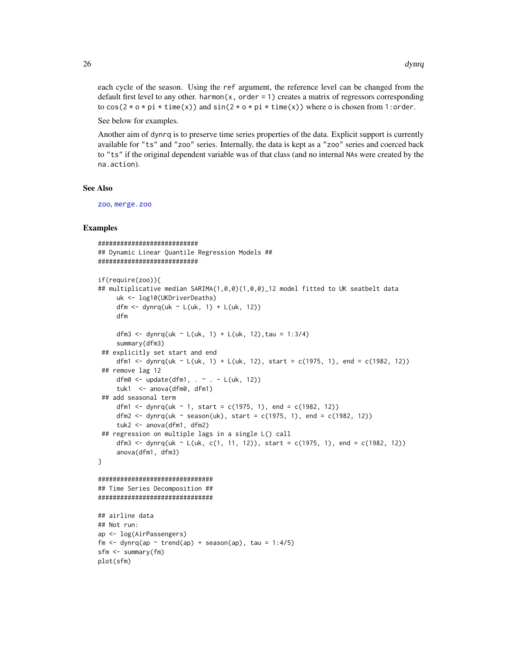each cycle of the season. Using the ref argument, the reference level can be changed from the default first level to any other. harmon $(x, \text{order} = 1)$  creates a matrix of regressors corresponding to  $cos(2 * o * pi * time(x))$  and  $sin(2 * o * pi * time(x))$  where o is chosen from 1: order.

See below for examples.

Another aim of dynrq is to preserve time series properties of the data. Explicit support is currently available for "ts" and "zoo" series. Internally, the data is kept as a "zoo" series and coerced back to "ts" if the original dependent variable was of that class (and no internal NAs were created by the na.action).

#### See Also

[zoo](#page-0-0), [merge.zoo](#page-0-0)

#### Examples

```
###########################
## Dynamic Linear Quantile Regression Models ##
###########################
if(require(zoo)){
## multiplicative median SARIMA(1,0,0)(1,0,0)_12 model fitted to UK seatbelt data
     uk <- log10(UKDriverDeaths)
     dfm <- dynrq(uk ~ L(uk, 1) + L(uk, 12))
    dfm
     dfm3 <- dynrq(uk ~ L(uk, 1) + L(uk, 12), tau = 1:3/4)
     summary(dfm3)
 ## explicitly set start and end
     dfm1 <- dynrq(uk ~ L(uk, 1) + L(uk, 12), start = c(1975, 1), end = c(1982, 12))
 ## remove lag 12
     dfm0 \leq update(dfm1, \sim . \sim L(uk, 12))
     tuk1 <- anova(dfm0, dfm1)
 ## add seasonal term
     dfm1 <- dynrq(uk ~ 1, start = c(1975, 1), end = c(1982, 12))
     dfm2 <- dynrq(uk ~ season(uk), start = c(1975, 1), end = c(1982, 12))
     tuk2 <- anova(dfm1, dfm2)
 ## regression on multiple lags in a single L() call
     dfm3 <- dynrq(uk ~ L(uk, c(1, 11, 12)), start = c(1975, 1), end = c(1982, 12))
     anova(dfm1, dfm3)
}
###############################
## Time Series Decomposition ##
###############################
## airline data
## Not run:
ap <- log(AirPassengers)
fm \le dynrq(ap \le trend(ap) + season(ap), tau = 1:4/5)
sfm <- summary(fm)
plot(sfm)
```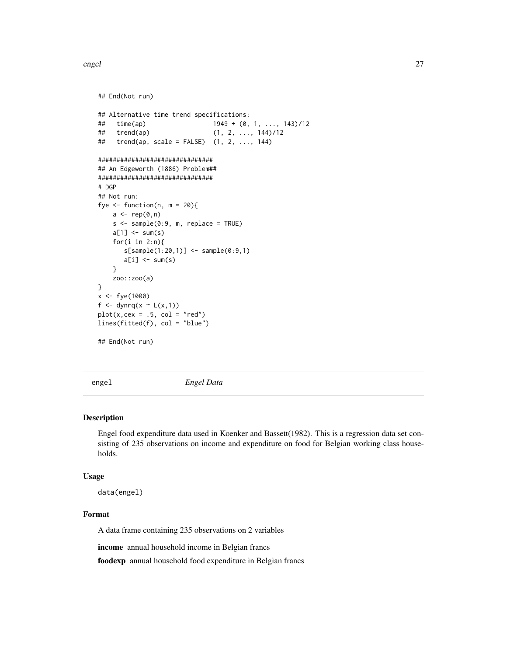<span id="page-26-0"></span>engel 27

```
## End(Not run)
## Alternative time trend specifications:
## time(ap) 1949 + (0, 1, ..., 143)/12
## trend(ap) (1, 2, ..., 144)/12
## trend(ap, scale = FALSE) (1, 2, ..., 144)###############################
## An Edgeworth (1886) Problem##
###############################
# DGP
## Not run:
fye \le- function(n, m = 20){
   a \leftarrow rep(0, n)s < - sample(0:9, m, replace = TRUE)
   a[1] <- sum(s)
   for(i in 2:n){
      s[sample(1:20,1)] <- sample(0:9,1)
      a[i] <- sum(s)
   }
   zoo::zoo(a)
}
x <- fye(1000)
f <- dynrq(x \sim L(x,1))
plot(x, cex = .5, col = "red")lines(fitted(f), col = "blue")
## End(Not run)
```
engel *Engel Data*

#### Description

Engel food expenditure data used in Koenker and Bassett(1982). This is a regression data set consisting of 235 observations on income and expenditure on food for Belgian working class households.

#### Usage

data(engel)

# Format

A data frame containing 235 observations on 2 variables

income annual household income in Belgian francs

foodexp annual household food expenditure in Belgian francs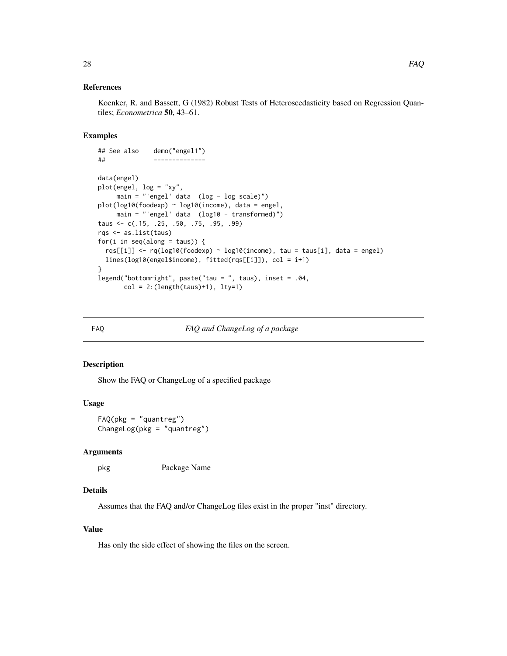#### <span id="page-27-0"></span>References

Koenker, R. and Bassett, G (1982) Robust Tests of Heteroscedasticity based on Regression Quantiles; *Econometrica* 50, 43–61.

# Examples

```
## See also demo("engel1")
## --------------
data(engel)
plot(engel, log = "xy",
    main = "'engel' data (log - log scale)")
plot(log10(foodexp) ~ log10(income), data = engel,
    main = "'engel' data (log10 - transformed)")
taus <- c(.15, .25, .50, .75, .95, .99)
rqs <- as.list(taus)
for(i in seq(along = taus)) {
 rqs[[i]] <- rq(log10(foodexp) ~ log10(income), tau = taus[i], data = engel)
 lines(log10(engel$income), fitted(rqs[[i]]), col = i+1)
}
legend("bottomright", paste("tau = ", taus), inset = .04,
      col = 2:(length(taus)+1), 1ty=1)
```
FAQ *FAQ and ChangeLog of a package*

#### Description

Show the FAQ or ChangeLog of a specified package

# Usage

FAQ(pkg = "quantreg") ChangeLog(pkg = "quantreg")

#### Arguments

pkg Package Name

# Details

Assumes that the FAQ and/or ChangeLog files exist in the proper "inst" directory.

#### Value

Has only the side effect of showing the files on the screen.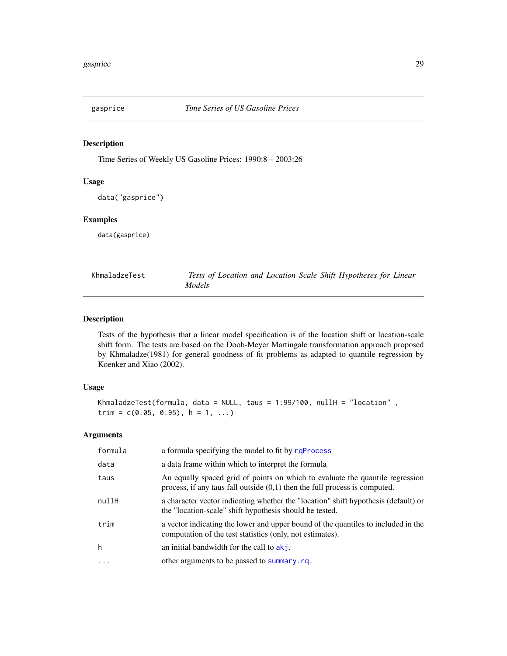<span id="page-28-0"></span>

# Description

Time Series of Weekly US Gasoline Prices: 1990:8 – 2003:26

# Usage

```
data("gasprice")
```
### Examples

data(gasprice)

<span id="page-28-1"></span>

| KhmaladzeTest | Tests of Location and Location Scale Shift Hypotheses for Linear |  |  |
|---------------|------------------------------------------------------------------|--|--|
|               | <i>Models</i>                                                    |  |  |

# Description

Tests of the hypothesis that a linear model specification is of the location shift or location-scale shift form. The tests are based on the Doob-Meyer Martingale transformation approach proposed by Khmaladze(1981) for general goodness of fit problems as adapted to quantile regression by Koenker and Xiao (2002).

# Usage

```
KhmaladzeTest(formula, data = NULL, taus = 1:99/100, nullH = "location",
trim = c(0.05, 0.95), h = 1, ...)
```
# Arguments

| formula | a formula specifying the model to fit by rqProcess                                                                                                            |
|---------|---------------------------------------------------------------------------------------------------------------------------------------------------------------|
| data    | a data frame within which to interpret the formula                                                                                                            |
| taus    | An equally spaced grid of points on which to evaluate the quantile regression<br>process, if any taus fall outside $(0,1)$ then the full process is computed. |
| nullH   | a character vector indicating whether the "location" shift hypothesis (default) or<br>the "location-scale" shift hypothesis should be tested.                 |
| trim    | a vector indicating the lower and upper bound of the quantiles to included in the<br>computation of the test statistics (only, not estimates).                |
| h       | an initial bandwidth for the call to $akj$ .                                                                                                                  |
| $\cdot$ | other arguments to be passed to summary.rg.                                                                                                                   |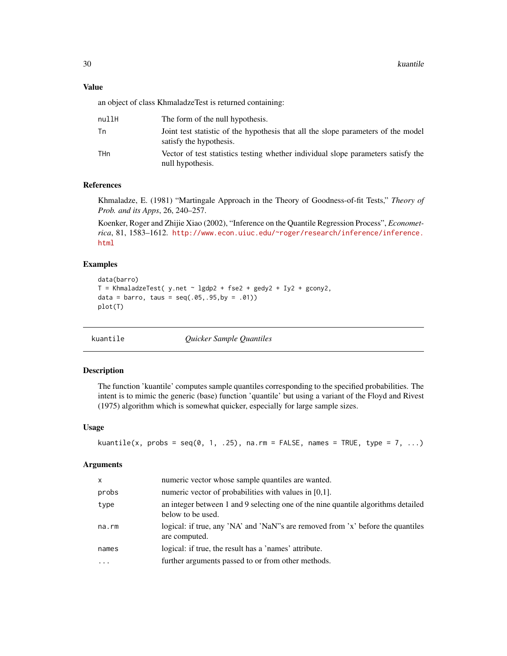# <span id="page-29-0"></span>Value

an object of class KhmaladzeTest is returned containing:

| nullH | The form of the null hypothesis.                                                                             |
|-------|--------------------------------------------------------------------------------------------------------------|
| Тn    | Joint test statistic of the hypothesis that all the slope parameters of the model<br>satisfy the hypothesis. |
| THn   | Vector of test statistics testing whether individual slope parameters satisfy the<br>null hypothesis.        |

# References

Khmaladze, E. (1981) "Martingale Approach in the Theory of Goodness-of-fit Tests," *Theory of Prob. and its Apps*, 26, 240–257.

Koenker, Roger and Zhijie Xiao (2002), "Inference on the Quantile Regression Process", *Econometrica*, 81, 1583–1612. [http://www.econ.uiuc.edu/~roger/research/inference/inference.](http://www.econ.uiuc.edu/~roger/research/inference/inference.html) [html](http://www.econ.uiuc.edu/~roger/research/inference/inference.html)

# Examples

```
data(barro)
T = KhmaladzeTest( y.net \sim lgdp2 + fse2 + gedy2 + Iy2 + gcony2,
data = barro, taus = seq(.05, .95, by = .01))
plot(T)
```
kuantile *Quicker Sample Quantiles*

#### Description

The function 'kuantile' computes sample quantiles corresponding to the specified probabilities. The intent is to mimic the generic (base) function 'quantile' but using a variant of the Floyd and Rivest (1975) algorithm which is somewhat quicker, especially for large sample sizes.

#### Usage

```
kuantile(x, probs = seq(0, 1, .25), na.rm = FALSE, names = TRUE, type = 7, ...)
```
# Arguments

| $\times$  | numeric vector whose sample quantiles are wanted.                                                      |
|-----------|--------------------------------------------------------------------------------------------------------|
| probs     | numeric vector of probabilities with values in $[0,1]$ .                                               |
| type      | an integer between 1 and 9 selecting one of the nine quantile algorithms detailed<br>below to be used. |
| na.rm     | logical: if true, any 'NA' and 'NaN''s are removed from 'x' before the quantiles<br>are computed.      |
| names     | logical: if true, the result has a 'names' attribute.                                                  |
| $\ddotsc$ | further arguments passed to or from other methods.                                                     |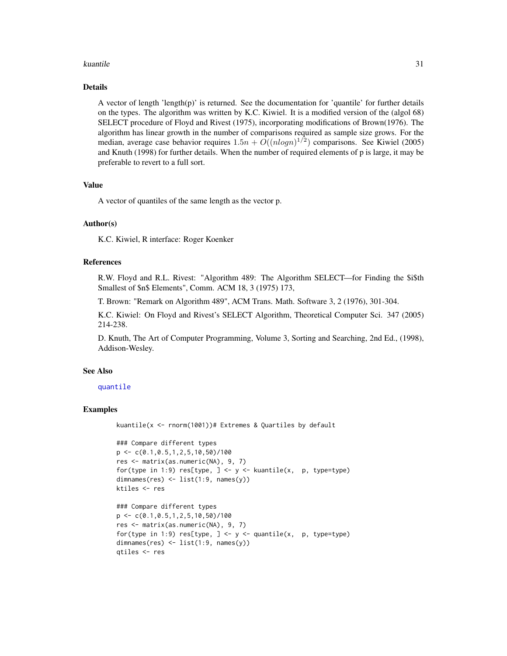#### kuantile 31

# Details

A vector of length 'length(p)' is returned. See the documentation for 'quantile' for further details on the types. The algorithm was written by K.C. Kiwiel. It is a modified version of the (algol 68) SELECT procedure of Floyd and Rivest (1975), incorporating modifications of Brown(1976). The algorithm has linear growth in the number of comparisons required as sample size grows. For the median, average case behavior requires  $1.5n + O((nlog n)^{1/2})$  comparisons. See Kiwiel (2005) and Knuth (1998) for further details. When the number of required elements of p is large, it may be preferable to revert to a full sort.

#### Value

A vector of quantiles of the same length as the vector p.

# Author(s)

K.C. Kiwiel, R interface: Roger Koenker

#### References

R.W. Floyd and R.L. Rivest: "Algorithm 489: The Algorithm SELECT—for Finding the \$i\$th Smallest of \$n\$ Elements", Comm. ACM 18, 3 (1975) 173,

T. Brown: "Remark on Algorithm 489", ACM Trans. Math. Software 3, 2 (1976), 301-304.

K.C. Kiwiel: On Floyd and Rivest's SELECT Algorithm, Theoretical Computer Sci. 347 (2005) 214-238.

D. Knuth, The Art of Computer Programming, Volume 3, Sorting and Searching, 2nd Ed., (1998), Addison-Wesley.

#### See Also

#### [quantile](#page-0-0)

#### Examples

kuantile(x <- rnorm(1001))# Extremes & Quartiles by default

```
### Compare different types
p \leftarrow c(0.1, 0.5, 1, 2, 5, 10, 50)/100res <- matrix(as.numeric(NA), 9, 7)
for(type in 1:9) res[type, ] <- y <- kuantile(x, p, type=type)
dimnames(res) <- list(1:9, names(y))
ktiles <- res
```

```
### Compare different types
p \leftarrow c(0.1, 0.5, 1, 2, 5, 10, 50) / 100res <- matrix(as.numeric(NA), 9, 7)
for(type in 1:9) res[type, ] <- y <- quantile(x, p, type=type)
dimnames(res) <- list(1:9, names(y))
qtiles <- res
```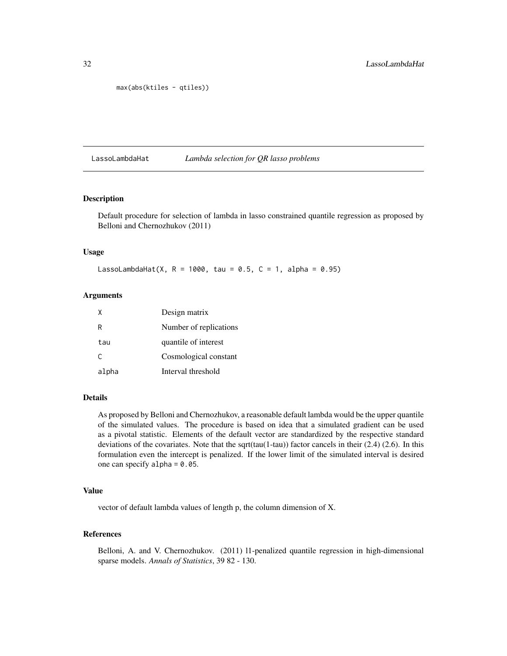```
max(abs(ktiles - qtiles))
```
#### LassoLambdaHat *Lambda selection for QR lasso problems*

#### Description

Default procedure for selection of lambda in lasso constrained quantile regression as proposed by Belloni and Chernozhukov (2011)

# Usage

LassoLambdaHat(X,  $R = 1000$ , tau = 0.5,  $C = 1$ , alpha = 0.95)

# Arguments

| $\mathsf{x}$ | Design matrix          |
|--------------|------------------------|
| R            | Number of replications |
| tau          | quantile of interest   |
| C            | Cosmological constant  |
| alpha        | Interval threshold     |

#### Details

As proposed by Belloni and Chernozhukov, a reasonable default lambda would be the upper quantile of the simulated values. The procedure is based on idea that a simulated gradient can be used as a pivotal statistic. Elements of the default vector are standardized by the respective standard deviations of the covariates. Note that the sqrt(tau(1-tau)) factor cancels in their (2.4) (2.6). In this formulation even the intercept is penalized. If the lower limit of the simulated interval is desired one can specify alpha =  $0.05$ .

### Value

vector of default lambda values of length p, the column dimension of X.

# References

Belloni, A. and V. Chernozhukov. (2011) l1-penalized quantile regression in high-dimensional sparse models. *Annals of Statistics*, 39 82 - 130.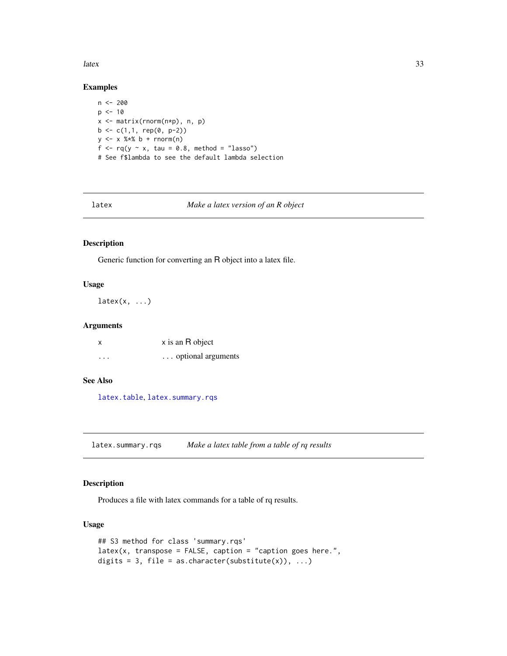<span id="page-32-0"></span>latex 33

# Examples

```
n <- 200
p \le -10x <- matrix(rnorm(n*p), n, p)
b \leq c(1,1, rep(0, p-2))y \le -x %*% b + rnorm(n)
f \leftarrow rq(y \sim x, \tau) tau = 0.8, method = "lasso")
# See f$lambda to see the default lambda selection
```
latex *Make a latex version of an R object*

# Description

Generic function for converting an R object into a latex file.

#### Usage

 $\text{latex}(x, \ldots)$ 

#### Arguments

| x                       | x is an R object   |
|-------------------------|--------------------|
| $\cdot$ $\cdot$ $\cdot$ | optional arguments |

#### See Also

[latex.table](#page-33-1), [latex.summary.rqs](#page-32-1)

<span id="page-32-1"></span>latex.summary.rqs *Make a latex table from a table of rq results*

# Description

Produces a file with latex commands for a table of rq results.

# Usage

```
## S3 method for class 'summary.rqs'
latex(x, transpose = FALSE, caption = "caption goes here."digits = 3, file = as.character(substitute(x)), \dots)
```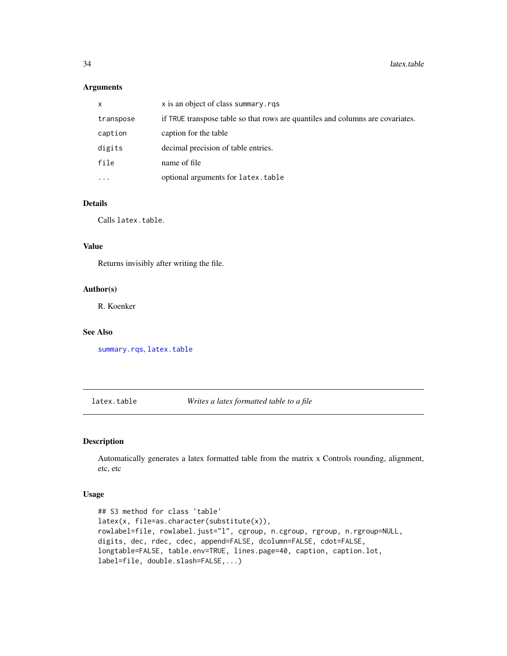# <span id="page-33-0"></span>Arguments

| x         | x is an object of class summary.rgs                                            |
|-----------|--------------------------------------------------------------------------------|
| transpose | if TRUE transpose table so that rows are quantiles and columns are covariates. |
| caption   | caption for the table                                                          |
| digits    | decimal precision of table entries.                                            |
| file      | name of file                                                                   |
| $\cdots$  | optional arguments for latex.table                                             |

#### Details

Calls latex.table.

#### Value

Returns invisibly after writing the file.

# Author(s)

R. Koenker

#### See Also

[summary.rqs](#page-101-2), [latex.table](#page-33-1)

# <span id="page-33-1"></span>latex.table *Writes a latex formatted table to a file*

# Description

Automatically generates a latex formatted table from the matrix x Controls rounding, alignment, etc, etc

#### Usage

```
## S3 method for class 'table'
latex(x, file=as.character(substitute(x)),
rowlabel=file, rowlabel.just="l", cgroup, n.cgroup, rgroup, n.rgroup=NULL,
digits, dec, rdec, cdec, append=FALSE, dcolumn=FALSE, cdot=FALSE,
longtable=FALSE, table.env=TRUE, lines.page=40, caption, caption.lot,
label=file, double.slash=FALSE,...)
```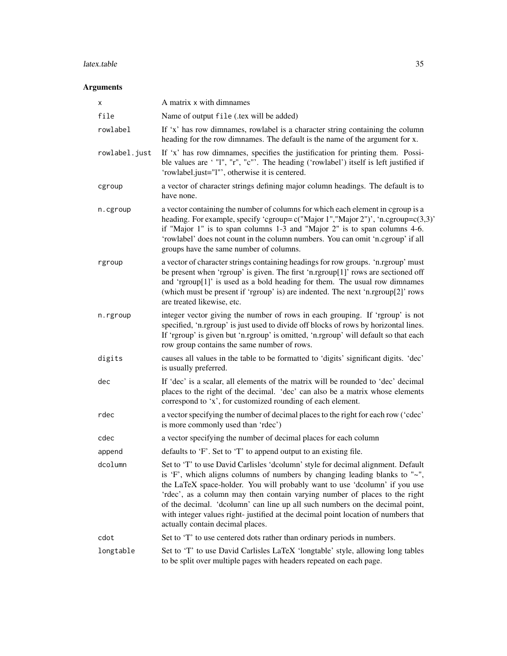# latex.table 35

# Arguments

| x             | A matrix x with dimnames                                                                                                                                                                                                                                                                                                                                                                                                                                                                                                                   |  |
|---------------|--------------------------------------------------------------------------------------------------------------------------------------------------------------------------------------------------------------------------------------------------------------------------------------------------------------------------------------------------------------------------------------------------------------------------------------------------------------------------------------------------------------------------------------------|--|
| file          | Name of output file (.tex will be added)                                                                                                                                                                                                                                                                                                                                                                                                                                                                                                   |  |
| rowlabel      | If 'x' has row dimnames, rowlabel is a character string containing the column<br>heading for the row dimnames. The default is the name of the argument for x.                                                                                                                                                                                                                                                                                                                                                                              |  |
| rowlabel.just | If 'x' has row dimnames, specifies the justification for printing them. Possi-<br>ble values are ' "I", "r", "c"'. The heading ('rowlabel') itself is left justified if<br>'rowlabel.just="l"', otherwise it is centered.                                                                                                                                                                                                                                                                                                                  |  |
| cgroup        | a vector of character strings defining major column headings. The default is to<br>have none.                                                                                                                                                                                                                                                                                                                                                                                                                                              |  |
| n.cgroup      | a vector containing the number of columns for which each element in cgroup is a<br>heading. For example, specify 'cgroup= $c("Major 1", "Major 2")'$ , 'n.cgroup= $c(3,3)'$<br>if "Major 1" is to span columns 1-3 and "Major 2" is to span columns 4-6.<br>'rowlabel' does not count in the column numbers. You can omit 'n.cgroup' if all<br>groups have the same number of columns.                                                                                                                                                     |  |
| rgroup        | a vector of character strings containing headings for row groups. 'n.rgroup' must<br>be present when 'rgroup' is given. The first 'n.rgroup[1]' rows are sectioned off<br>and 'rgroup[1]' is used as a bold heading for them. The usual row dimnames<br>(which must be present if 'rgroup' is) are indented. The next 'n.rgroup[2]' rows<br>are treated likewise, etc.                                                                                                                                                                     |  |
| n.rgroup      | integer vector giving the number of rows in each grouping. If 'rgroup' is not<br>specified, 'n.rgroup' is just used to divide off blocks of rows by horizontal lines.<br>If 'rgroup' is given but 'n.rgroup' is omitted, 'n.rgroup' will default so that each<br>row group contains the same number of rows.                                                                                                                                                                                                                               |  |
| digits        | causes all values in the table to be formatted to 'digits' significant digits. 'dec'<br>is usually preferred.                                                                                                                                                                                                                                                                                                                                                                                                                              |  |
| dec           | If 'dec' is a scalar, all elements of the matrix will be rounded to 'dec' decimal<br>places to the right of the decimal. 'dec' can also be a matrix whose elements<br>correspond to 'x', for customized rounding of each element.                                                                                                                                                                                                                                                                                                          |  |
| rdec          | a vector specifying the number of decimal places to the right for each row ('cdec'<br>is more commonly used than 'rdec')                                                                                                                                                                                                                                                                                                                                                                                                                   |  |
| cdec          | a vector specifying the number of decimal places for each column                                                                                                                                                                                                                                                                                                                                                                                                                                                                           |  |
| append        | defaults to 'F'. Set to 'T' to append output to an existing file.                                                                                                                                                                                                                                                                                                                                                                                                                                                                          |  |
| dcolumn       | Set to 'T' to use David Carlisles 'dcolumn' style for decimal alignment. Default<br>is 'F', which aligns columns of numbers by changing leading blanks to " $\sim$ ",<br>the LaTeX space-holder. You will probably want to use 'dcolumn' if you use<br>'rdec', as a column may then contain varying number of places to the right<br>of the decimal. 'dcolumn' can line up all such numbers on the decimal point,<br>with integer values right-justified at the decimal point location of numbers that<br>actually contain decimal places. |  |
| cdot          | Set to 'T' to use centered dots rather than ordinary periods in numbers.                                                                                                                                                                                                                                                                                                                                                                                                                                                                   |  |
| longtable     | Set to 'T' to use David Carlisles LaTeX 'longtable' style, allowing long tables<br>to be split over multiple pages with headers repeated on each page.                                                                                                                                                                                                                                                                                                                                                                                     |  |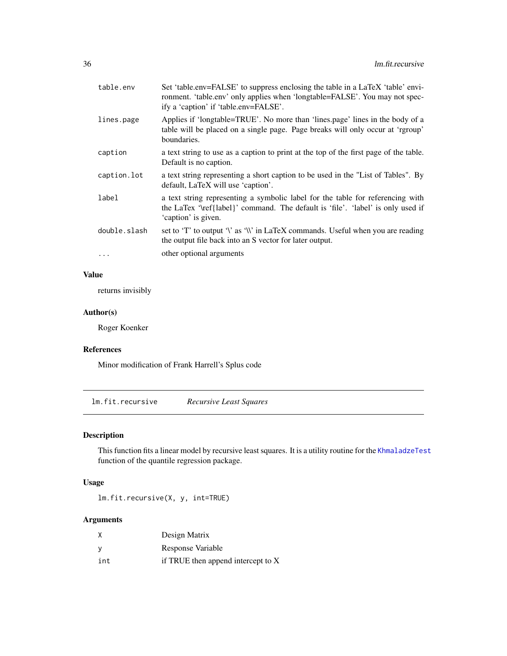<span id="page-35-0"></span>

| table.env    | Set 'table.env=FALSE' to suppress enclosing the table in a LaTeX 'table' envi-<br>ronment. 'table.env' only applies when 'longtable=FALSE'. You may not spec-<br>ify a 'caption' if 'table.env=FALSE'. |  |
|--------------|--------------------------------------------------------------------------------------------------------------------------------------------------------------------------------------------------------|--|
| lines.page   | Applies if 'longtable=TRUE'. No more than 'lines.page' lines in the body of a<br>table will be placed on a single page. Page breaks will only occur at 'rgroup'<br>boundaries.                         |  |
| caption      | a text string to use as a caption to print at the top of the first page of the table.<br>Default is no caption.                                                                                        |  |
| caption.lot  | a text string representing a short caption to be used in the "List of Tables". By<br>default, LaTeX will use 'caption'.                                                                                |  |
| label        | a text string representing a symbolic label for the table for referencing with<br>the LaTex '\ref{label}' command. The default is 'file'. 'label' is only used if<br>'caption' is given.               |  |
| double.slash | set to 'T' to output '\' as '\\' in LaTeX commands. Useful when you are reading<br>the output file back into an S vector for later output.                                                             |  |
| $\cdots$     | other optional arguments                                                                                                                                                                               |  |

# Value

returns invisibly

# Author(s)

Roger Koenker

#### References

Minor modification of Frank Harrell's Splus code

lm.fit.recursive *Recursive Least Squares*

# Description

This function fits a linear model by recursive least squares. It is a utility routine for the [KhmaladzeTest](#page-28-1) function of the quantile regression package.

# Usage

lm.fit.recursive(X, y, int=TRUE)

# Arguments

| X        | Design Matrix                      |
|----------|------------------------------------|
| <b>V</b> | Response Variable                  |
| int      | if TRUE then append intercept to X |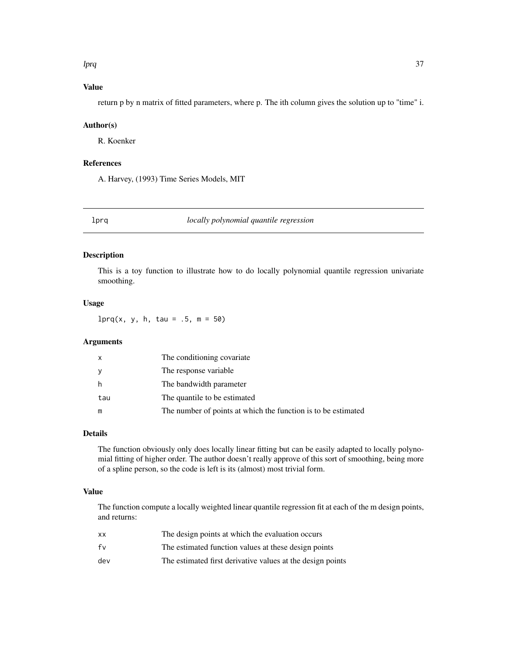## lprq 37

# Value

return p by n matrix of fitted parameters, where p. The ith column gives the solution up to "time" i.

## Author(s)

R. Koenker

# References

A. Harvey, (1993) Time Series Models, MIT

# lprq *locally polynomial quantile regression*

# Description

This is a toy function to illustrate how to do locally polynomial quantile regression univariate smoothing.

## Usage

 $lprq(x, y, h, tau = .5, m = 50)$ 

# Arguments

| x   | The conditioning covariate                                    |
|-----|---------------------------------------------------------------|
| у   | The response variable                                         |
| h   | The bandwidth parameter                                       |
| tau | The quantile to be estimated                                  |
| m   | The number of points at which the function is to be estimated |

## Details

The function obviously only does locally linear fitting but can be easily adapted to locally polynomial fitting of higher order. The author doesn't really approve of this sort of smoothing, being more of a spline person, so the code is left is its (almost) most trivial form.

# Value

The function compute a locally weighted linear quantile regression fit at each of the m design points, and returns:

| xх  | The design points at which the evaluation occurs           |
|-----|------------------------------------------------------------|
| fv  | The estimated function values at these design points       |
| dev | The estimated first derivative values at the design points |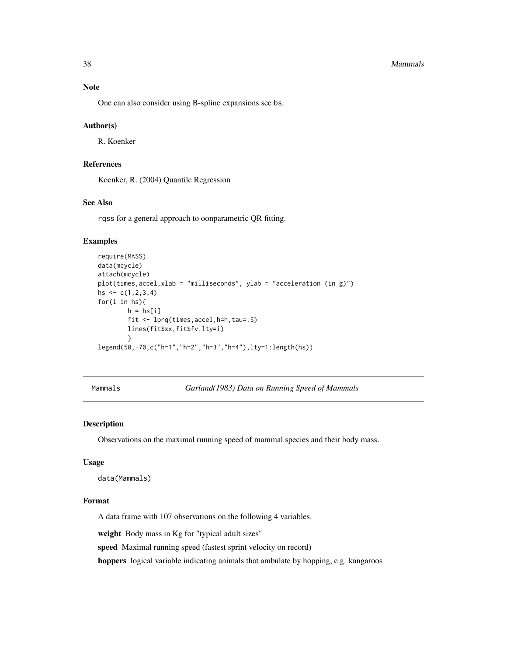#### 38 Mammals

# Note

One can also consider using B-spline expansions see bs.

## Author(s)

R. Koenker

# References

Koenker, R. (2004) Quantile Regression

# See Also

rqss for a general approach to oonparametric QR fitting.

# Examples

```
require(MASS)
data(mcycle)
attach(mcycle)
plot(times,accel,xlab = "milliseconds", ylab = "acceleration (in g)")
hs \leq -c(1, 2, 3, 4)for(i in hs){
        h = h s[i]fit <- lprq(times,accel,h=h,tau=.5)
        lines(fit$xx,fit$fv,lty=i)
        }
legend(50,-70,c("h=1","h=2","h=3","h=4"),lty=1:length(hs))
```
Mammals *Garland(1983) Data on Running Speed of Mammals*

# Description

Observations on the maximal running speed of mammal species and their body mass.

## Usage

```
data(Mammals)
```
## Format

A data frame with 107 observations on the following 4 variables.

weight Body mass in Kg for "typical adult sizes"

speed Maximal running speed (fastest sprint velocity on record)

hoppers logical variable indicating animals that ambulate by hopping, e.g. kangaroos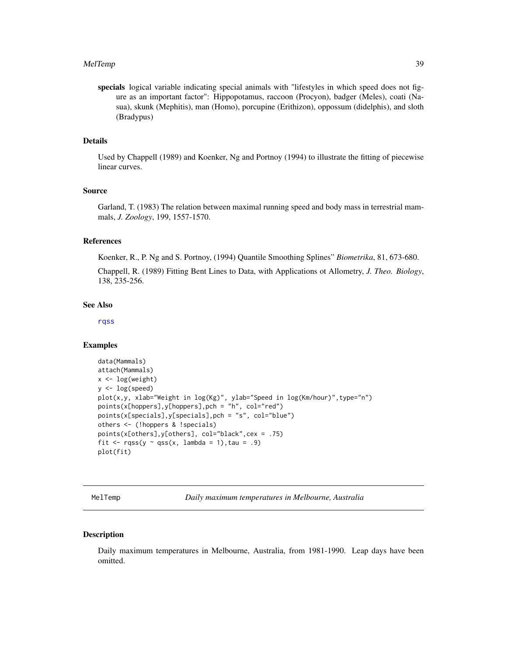#### MelTemp 39 and 30 and 30 and 30 and 30 and 30 and 30 and 30 and 30 and 30 and 30 and 30 and 30 and 30 and 30 and 30 and 30 and 30 and 30 and 30 and 30 and 30 and 30 and 30 and 30 and 30 and 30 and 30 and 30 and 30 and 30 a

specials logical variable indicating special animals with "lifestyles in which speed does not figure as an important factor": Hippopotamus, raccoon (Procyon), badger (Meles), coati (Nasua), skunk (Mephitis), man (Homo), porcupine (Erithizon), oppossum (didelphis), and sloth (Bradypus)

# Details

Used by Chappell (1989) and Koenker, Ng and Portnoy (1994) to illustrate the fitting of piecewise linear curves.

## Source

Garland, T. (1983) The relation between maximal running speed and body mass in terrestrial mammals, *J. Zoology*, 199, 1557-1570.

# References

Koenker, R., P. Ng and S. Portnoy, (1994) Quantile Smoothing Splines" *Biometrika*, 81, 673-680.

Chappell, R. (1989) Fitting Bent Lines to Data, with Applications ot Allometry, *J. Theo. Biology*, 138, 235-256.

## See Also

[rqss](#page-93-0)

#### Examples

```
data(Mammals)
attach(Mammals)
x < -\log(\text{weight})y <- log(speed)
plot(x,y, xlab="Weight in log(Kg)", ylab="Speed in log(Km/hour)",type="n")
points(x[hoppers],y[hoppers],pch = "h", col="red")
points(x[specials],y[specials],pch = "s", col="blue")
others <- (!hoppers & !specials)
points(x[others],y[others], col="black",cex = .75)
fit \leq rqss(y \sim qss(x, lambda = 1), tau = .9)
plot(fit)
```
MelTemp *Daily maximum temperatures in Melbourne, Australia*

## Description

Daily maximum temperatures in Melbourne, Australia, from 1981-1990. Leap days have been omitted.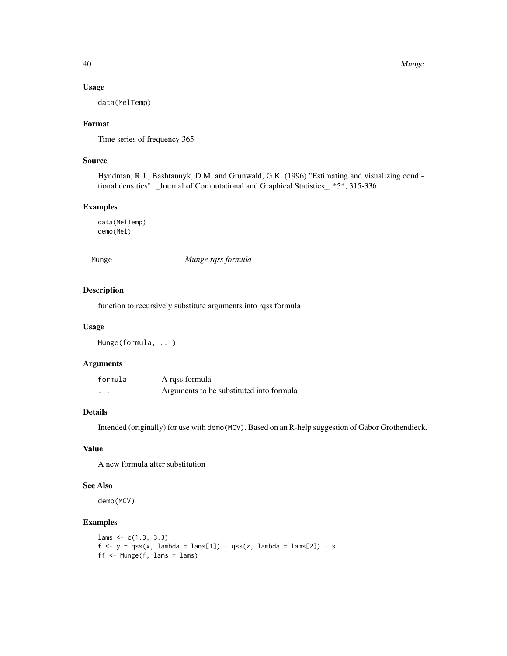#### Usage

data(MelTemp)

# Format

Time series of frequency 365

# Source

Hyndman, R.J., Bashtannyk, D.M. and Grunwald, G.K. (1996) "Estimating and visualizing conditional densities". \_Journal of Computational and Graphical Statistics\_, \*5\*, 315-336.

## Examples

data(MelTemp) demo(Mel)

Munge *Munge rqss formula*

## Description

function to recursively substitute arguments into rqss formula

# Usage

Munge(formula, ...)

# Arguments

| formula | A rqss formula                           |
|---------|------------------------------------------|
| .       | Arguments to be substituted into formula |

# Details

Intended (originally) for use with demo(MCV). Based on an R-help suggestion of Gabor Grothendieck.

# Value

A new formula after substitution

## See Also

demo(MCV)

## Examples

```
lams < -c(1.3, 3.3)f <- y ~ qss(x, lambda = lams[1]) + qss(z, lambda = lams[2]) + s
ff <- Munge(f, \text{ lams} = \text{lams})
```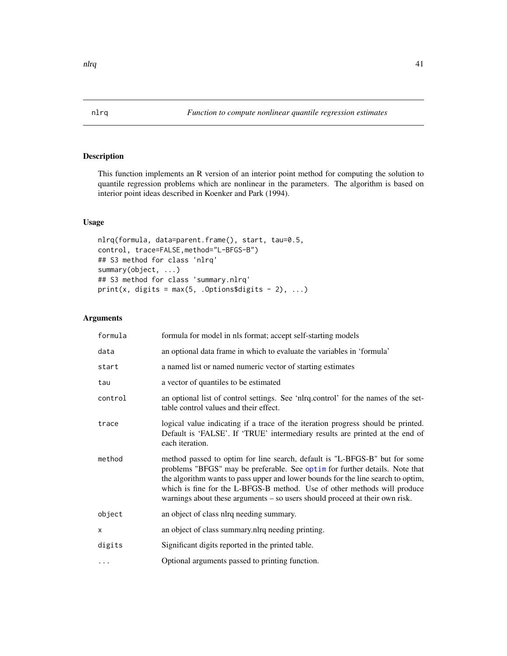# <span id="page-40-0"></span>Description

This function implements an R version of an interior point method for computing the solution to quantile regression problems which are nonlinear in the parameters. The algorithm is based on interior point ideas described in Koenker and Park (1994).

## Usage

```
nlrq(formula, data=parent.frame(), start, tau=0.5,
control, trace=FALSE,method="L-BFGS-B")
## S3 method for class 'nlrq'
summary(object, ...)
## S3 method for class 'summary.nlrq'
print(x, digits = max(5, .0ptions$ digits - 2), ...)
```
# Arguments

| formula      | formula for model in nls format; accept self-starting models                                                                                                                                                                                                                                                                                                                                               |
|--------------|------------------------------------------------------------------------------------------------------------------------------------------------------------------------------------------------------------------------------------------------------------------------------------------------------------------------------------------------------------------------------------------------------------|
| data         | an optional data frame in which to evaluate the variables in 'formula'                                                                                                                                                                                                                                                                                                                                     |
| start        | a named list or named numeric vector of starting estimates                                                                                                                                                                                                                                                                                                                                                 |
| tau          | a vector of quantiles to be estimated                                                                                                                                                                                                                                                                                                                                                                      |
| control      | an optional list of control settings. See 'nlrq.control' for the names of the set-<br>table control values and their effect.                                                                                                                                                                                                                                                                               |
| trace        | logical value indicating if a trace of the iteration progress should be printed.<br>Default is 'FALSE'. If 'TRUE' intermediary results are printed at the end of<br>each iteration.                                                                                                                                                                                                                        |
| method       | method passed to optim for line search, default is "L-BFGS-B" but for some<br>problems "BFGS" may be preferable. See optim for further details. Note that<br>the algorithm wants to pass upper and lower bounds for the line search to optim,<br>which is fine for the L-BFGS-B method. Use of other methods will produce<br>warnings about these arguments $-$ so users should proceed at their own risk. |
| object       | an object of class nlrq needing summary.                                                                                                                                                                                                                                                                                                                                                                   |
| $\mathsf{x}$ | an object of class summary.nlrq needing printing.                                                                                                                                                                                                                                                                                                                                                          |
| digits       | Significant digits reported in the printed table.                                                                                                                                                                                                                                                                                                                                                          |
| .            | Optional arguments passed to printing function.                                                                                                                                                                                                                                                                                                                                                            |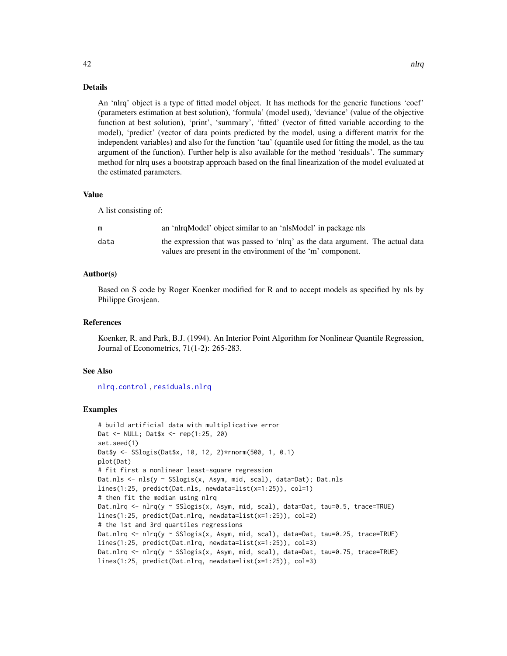## Details

An 'nlrq' object is a type of fitted model object. It has methods for the generic functions 'coef' (parameters estimation at best solution), 'formula' (model used), 'deviance' (value of the objective function at best solution), 'print', 'summary', 'fitted' (vector of fitted variable according to the model), 'predict' (vector of data points predicted by the model, using a different matrix for the independent variables) and also for the function 'tau' (quantile used for fitting the model, as the tau argument of the function). Further help is also available for the method 'residuals'. The summary method for nlrq uses a bootstrap approach based on the final linearization of the model evaluated at the estimated parameters.

## Value

A list consisting of:

|      | an 'nlrqModel' object similar to an 'nlsModel' in package nls                  |
|------|--------------------------------------------------------------------------------|
| data | the expression that was passed to 'nlrq' as the data argument. The actual data |
|      | values are present in the environment of the 'm' component.                    |

#### Author(s)

Based on S code by Roger Koenker modified for R and to accept models as specified by nls by Philippe Grosjean.

#### References

Koenker, R. and Park, B.J. (1994). An Interior Point Algorithm for Nonlinear Quantile Regression, Journal of Econometrics, 71(1-2): 265-283.

## See Also

[nlrq.control](#page-42-0) , [residuals.nlrq](#page-66-0)

## Examples

```
# build artificial data with multiplicative error
Dat <- NULL; Dat$x <- rep(1:25, 20)
set.seed(1)
Dat$y <- SSlogis(Dat$x, 10, 12, 2)*rnorm(500, 1, 0.1)
plot(Dat)
# fit first a nonlinear least-square regression
Dat.nls <- nls(y ~ SSlogis(x, Asym, mid, scal), data=Dat); Dat.nls
lines(1:25, predict(Dat.nls, newdata=list(x=1:25)), col=1)
# then fit the median using nlrq
Dat.nlrq <- nlrq(y ~ SSlogis(x, Asym, mid, scal), data=Dat, tau=0.5, trace=TRUE)
lines(1:25, predict(Dat.nlrq, newdata=list(x=1:25)), col=2)
# the 1st and 3rd quartiles regressions
Dat.nlrq <- nlrq(y ~ SSlogis(x, Asym, mid, scal), data=Dat, tau=0.25, trace=TRUE)
lines(1:25, predict(Dat.nlrq, newdata=list(x=1:25)), col=3)
Dat.nlrq <- nlrq(y ~ SSlogis(x, Asym, mid, scal), data=Dat, tau=0.75, trace=TRUE)
lines(1:25, predict(Dat.nlrq, newdata=list(x=1:25)), col=3)
```
 $42$  nlrq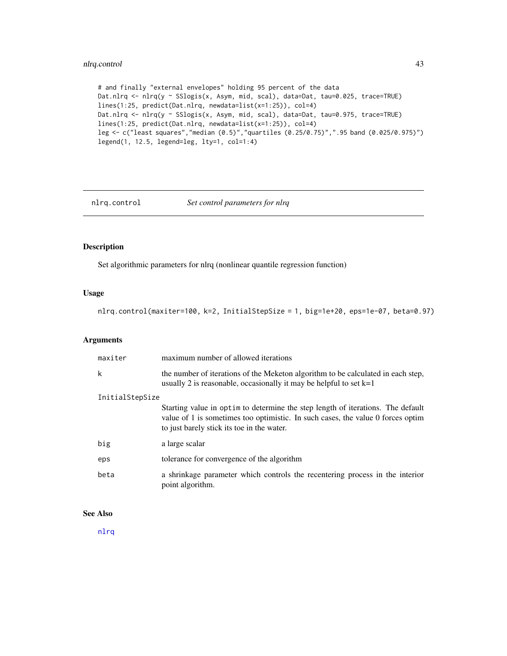# nlrq.control 43

```
# and finally "external envelopes" holding 95 percent of the data
Dat.nlrq <- nlrq(y ~ SSlogis(x, Asym, mid, scal), data=Dat, tau=0.025, trace=TRUE)
lines(1:25, predict(Dat.nlrq, newdata=list(x=1:25)), col=4)
Dat.nlrq <- nlrq(y ~ SSlogis(x, Asym, mid, scal), data=Dat, tau=0.975, trace=TRUE)
lines(1:25, predict(Dat.nlrq, newdata=list(x=1:25)), col=4)
leg <- c("least squares","median (0.5)","quartiles (0.25/0.75)",".95 band (0.025/0.975)")
legend(1, 12.5, legend=leg, lty=1, col=1:4)
```
<span id="page-42-0"></span>

nlrq.control *Set control parameters for nlrq*

# Description

Set algorithmic parameters for nlrq (nonlinear quantile regression function)

## Usage

nlrq.control(maxiter=100, k=2, InitialStepSize = 1, big=1e+20, eps=1e-07, beta=0.97)

# Arguments

| maxiter         | maximum number of allowed iterations                                                                                                                                                                             |  |
|-----------------|------------------------------------------------------------------------------------------------------------------------------------------------------------------------------------------------------------------|--|
| k               | the number of iterations of the Meketon algorithm to be calculated in each step,<br>usually 2 is reasonable, occasionally it may be helpful to set $k=1$                                                         |  |
| InitialStepSize |                                                                                                                                                                                                                  |  |
|                 | Starting value in optim to determine the step length of iterations. The default<br>value of 1 is sometimes too optimistic. In such cases, the value 0 forces optim<br>to just barely stick its toe in the water. |  |
| big             | a large scalar                                                                                                                                                                                                   |  |
| eps             | tolerance for convergence of the algorithm                                                                                                                                                                       |  |
| beta            | a shrinkage parameter which controls the recentering process in the interior<br>point algorithm.                                                                                                                 |  |

## See Also

[nlrq](#page-40-0)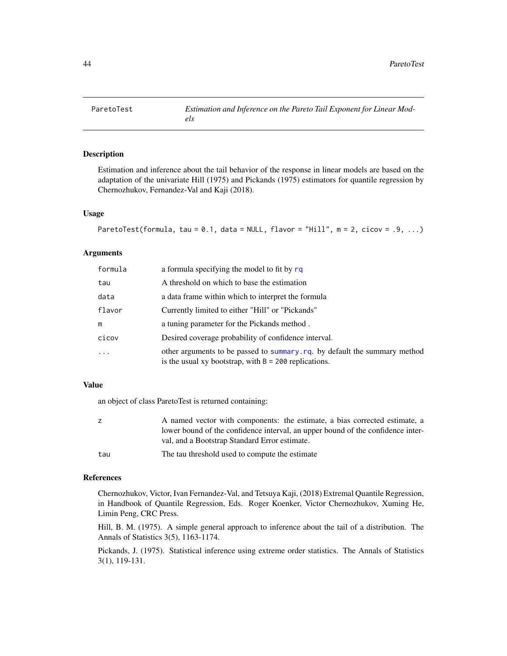## Description

Estimation and inference about the tail behavior of the response in linear models are based on the adaptation of the univariate Hill (1975) and Pickands (1975) estimators for quantile regression by Chernozhukov, Fernandez-Val and Kaji (2018).

#### Usage

```
ParetoTest(formula, tau = 0.1, data = NULL, flavor = "Hill", m = 2, cicov = .9, ...)
```
## **Arguments**

| formula  | a formula specifying the model to fit by rq                                                                                           |
|----------|---------------------------------------------------------------------------------------------------------------------------------------|
| tau      | A threshold on which to base the estimation                                                                                           |
| data     | a data frame within which to interpret the formula                                                                                    |
| flavor   | Currently limited to either "Hill" or "Pickands"                                                                                      |
| m        | a tuning parameter for the Pickands method.                                                                                           |
| cicov    | Desired coverage probability of confidence interval.                                                                                  |
| $\cdots$ | other arguments to be passed to summary. rq. by default the summary method<br>is the usual xy bootstrap, with $B = 200$ replications. |

## Value

an object of class ParetoTest is returned containing:

| z   | A named vector with components: the estimate, a bias corrected estimate, a<br>lower bound of the confidence interval, an upper bound of the confidence inter- |
|-----|---------------------------------------------------------------------------------------------------------------------------------------------------------------|
|     | val, and a Bootstrap Standard Error estimate.                                                                                                                 |
| tau | The tau threshold used to compute the estimate                                                                                                                |

#### References

Chernozhukov, Victor, Ivan Fernandez-Val, and Tetsuya Kaji, (2018) Extremal Quantile Regression, in Handbook of Quantile Regression, Eds. Roger Koenker, Victor Chernozhukov, Xuming He, Limin Peng, CRC Press.

Hill, B. M. (1975). A simple general approach to inference about the tail of a distribution. The Annals of Statistics 3(5), 1163-1174.

Pickands, J. (1975). Statistical inference using extreme order statistics. The Annals of Statistics 3(1), 119-131.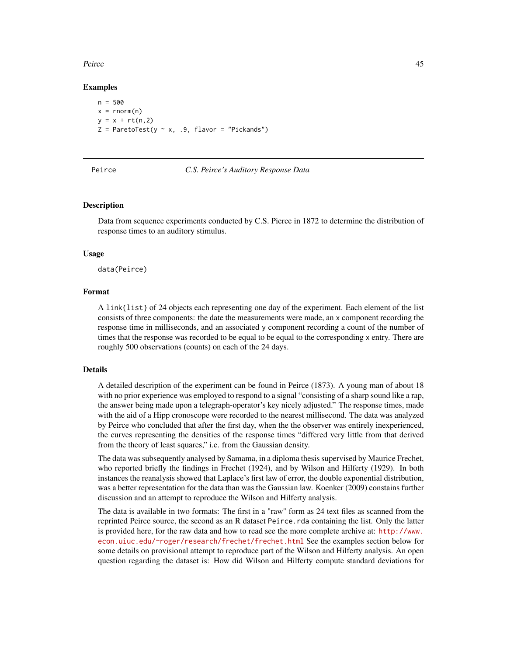#### Peirce **Assumes 25** and 25 and 25 and 26 and 26 and 26 and 26 and 26 and 26 and 26 and 26 and 26 and 26 and 26 and 26 and 26 and 26 and 26 and 26 and 26 and 26 and 26 and 26 and 26 and 26 and 26 and 26 and 26 and 26 and 26

## Examples

```
n = 500x = \text{norm}(n)y = x + rt(n, 2)Z = ParetoTest(y \sim x, .9, flavor = "Pickands")
```
#### Peirce *C.S. Peirce's Auditory Response Data*

#### Description

Data from sequence experiments conducted by C.S. Pierce in 1872 to determine the distribution of response times to an auditory stimulus.

## Usage

data(Peirce)

## Format

A link{list} of 24 objects each representing one day of the experiment. Each element of the list consists of three components: the date the measurements were made, an x component recording the response time in milliseconds, and an associated y component recording a count of the number of times that the response was recorded to be equal to be equal to the corresponding x entry. There are roughly 500 observations (counts) on each of the 24 days.

## Details

A detailed description of the experiment can be found in Peirce (1873). A young man of about 18 with no prior experience was employed to respond to a signal "consisting of a sharp sound like a rap, the answer being made upon a telegraph-operator's key nicely adjusted." The response times, made with the aid of a Hipp cronoscope were recorded to the nearest millisecond. The data was analyzed by Peirce who concluded that after the first day, when the the observer was entirely inexperienced, the curves representing the densities of the response times "differed very little from that derived from the theory of least squares," i.e. from the Gaussian density.

The data was subsequently analysed by Samama, in a diploma thesis supervised by Maurice Frechet, who reported briefly the findings in Frechet (1924), and by Wilson and Hilferty (1929). In both instances the reanalysis showed that Laplace's first law of error, the double exponential distribution, was a better representation for the data than was the Gaussian law. Koenker (2009) constains further discussion and an attempt to reproduce the Wilson and Hilferty analysis.

The data is available in two formats: The first in a "raw" form as 24 text files as scanned from the reprinted Peirce source, the second as an R dataset Peirce.rda containing the list. Only the latter is provided here, for the raw data and how to read see the more complete archive at: [http://www.](http://www.econ.uiuc.edu/~roger/research/frechet/frechet.html) [econ.uiuc.edu/~roger/research/frechet/frechet.html](http://www.econ.uiuc.edu/~roger/research/frechet/frechet.html) See the examples section below for some details on provisional attempt to reproduce part of the Wilson and Hilferty analysis. An open question regarding the dataset is: How did Wilson and Hilferty compute standard deviations for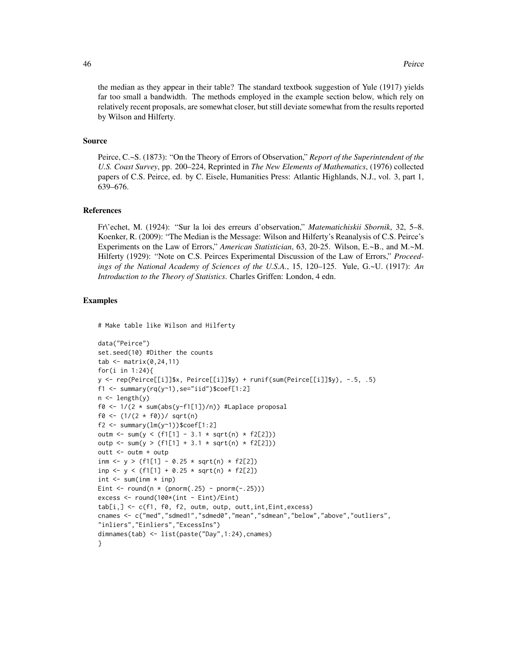the median as they appear in their table? The standard textbook suggestion of Yule (1917) yields far too small a bandwidth. The methods employed in the example section below, which rely on relatively recent proposals, are somewhat closer, but still deviate somewhat from the results reported by Wilson and Hilferty.

## Source

Peirce, C.~S. (1873): "On the Theory of Errors of Observation," *Report of the Superintendent of the U.S. Coast Survey*, pp. 200–224, Reprinted in *The New Elements of Mathematics*, (1976) collected papers of C.S. Peirce, ed. by C. Eisele, Humanities Press: Atlantic Highlands, N.J., vol. 3, part 1, 639–676.

#### References

Fr\'echet, M. (1924): "Sur la loi des erreurs d'observation," *Matematichiskii Sbornik*, 32, 5–8. Koenker, R. (2009): "The Median is the Message: Wilson and Hilferty's Reanalysis of C.S. Peirce's Experiments on the Law of Errors," *American Statistician*, 63, 20-25. Wilson, E.~B., and M.~M. Hilferty (1929): "Note on C.S. Peirces Experimental Discussion of the Law of Errors," *Proceedings of the National Academy of Sciences of the U.S.A.*, 15, 120–125. Yule, G.~U. (1917): *An Introduction to the Theory of Statistics*. Charles Griffen: London, 4 edn.

## Examples

# Make table like Wilson and Hilferty

```
data("Peirce")
set.seed(10) #Dither the counts
tab \leq matrix(0,24,11)
for(i in 1:24){
y <- rep(Peirce[[i]]$x, Peirce[[i]]$y) + runif(sum(Peirce[[i]]$y), -.5, .5)
f1 <- summary(rq(y~1),se="iid")$coef[1:2]
n \leftarrow length(y)
f0 <- 1/(2 * sum(abs(y-f1[1])/n)) #Laplace proposal
f0 <- (1/(2 * f0))/ sqrt(n)
f2 \leq \text{summary}(lm(y \sim 1))$coef[1:2]
outm <- sum(y < (f1[1] - 3.1 * sqrt(n) * f2[2]))outp <- sum(y > (f1[1] + 3.1 * sqrt(n) * f2[2]))outt <- outm + outp
inm <- y > (f1[1] - 0.25 * sqrt(n) * f2[2])
inp <- y < (f1[1] + 0.25 * sqrt(n) * f2[2])
int < -sum(im + inm)Eint \le round(n \ast (pnorm(.25) - pnorm(-.25)))
excess <- round(100*(int - Eint)/Eint)
tab[i,] <- c(f1, f0, f2, outm, outp, outt,int,Eint,excess)
cnames <- c("med","sdmed1","sdmed0","mean","sdmean","below","above","outliers",
"inliers","Einliers","ExcessIns")
dimnames(tab) <- list(paste("Day",1:24),cnames)
}
```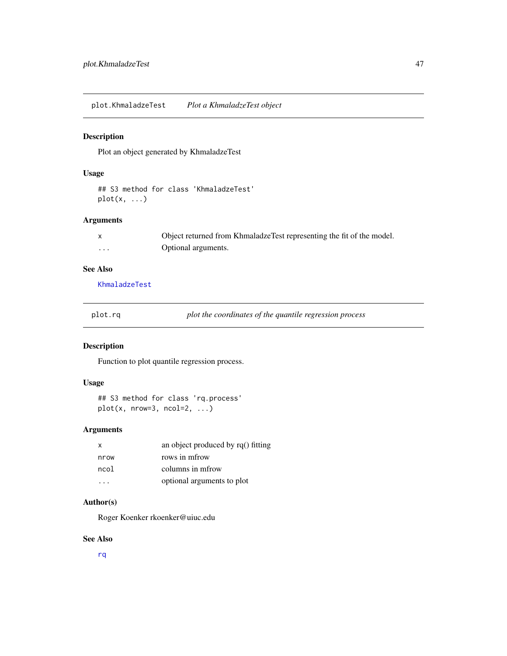plot.KhmaladzeTest *Plot a KhmaladzeTest object*

# Description

Plot an object generated by KhmaladzeTest

# Usage

## S3 method for class 'KhmaladzeTest'  $plot(x, \ldots)$ 

## Arguments

|   | Object returned from KhmaladzeTest representing the fit of the model. |
|---|-----------------------------------------------------------------------|
| . | Optional arguments.                                                   |

# See Also

[KhmaladzeTest](#page-28-0)

| plot.r | `a |  |
|--------|----|--|
|        |    |  |

plot the coordinates of the quantile regression process

# Description

Function to plot quantile regression process.

# Usage

```
## S3 method for class 'rq.process'
plot(x, nrow=3, ncol=2, ...)
```
# Arguments

| $\mathsf{x}$ | an object produced by rq() fitting |
|--------------|------------------------------------|
| nrow         | rows in mfrow                      |
| ncol         | columns in metow                   |
|              | optional arguments to plot         |

## Author(s)

Roger Koenker rkoenker@uiuc.edu

## See Also

[rq](#page-67-0)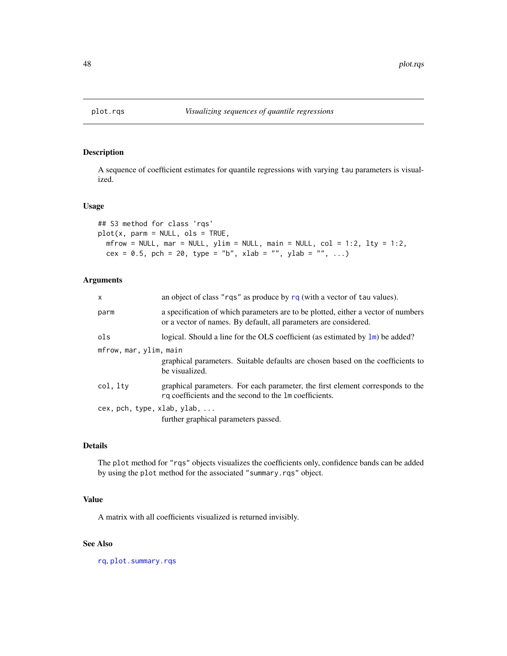<span id="page-47-0"></span>

# Description

A sequence of coefficient estimates for quantile regressions with varying tau parameters is visualized.

## Usage

```
## S3 method for class 'rqs'
plot(x, parm = NULL, obs = TRUE,m Frow = NULL, mar = NULL, ylim = NULL, main = NULL, col = 1:2, lty = 1:2,
 cex = 0.5, pch = 20, type = "b", xlab = "", ylab = "", ...)
```
# Arguments

| $\mathsf{x}$                | an object of class "rqs" as produce by $rq$ (with a vector of tau values).                                                                            |
|-----------------------------|-------------------------------------------------------------------------------------------------------------------------------------------------------|
| parm                        | a specification of which parameters are to be plotted, either a vector of numbers<br>or a vector of names. By default, all parameters are considered. |
| ols                         | logical. Should a line for the OLS coefficient (as estimated by $\text{lm}$ ) be added?                                                               |
| mfrow, mar, ylim, main      | graphical parameters. Suitable defaults are chosen based on the coefficients to<br>be visualized.                                                     |
| col, lty                    | graphical parameters. For each parameter, the first element corresponds to the<br>rq coefficients and the second to the 1m coefficients.              |
| cex, pch, type, xlab, ylab, | further graphical parameters passed.                                                                                                                  |

## Details

The plot method for "rqs" objects visualizes the coefficients only, confidence bands can be added by using the plot method for the associated "summary.rqs" object.

## Value

A matrix with all coefficients visualized is returned invisibly.

#### See Also

[rq](#page-67-0), [plot.summary.rqs](#page-50-0)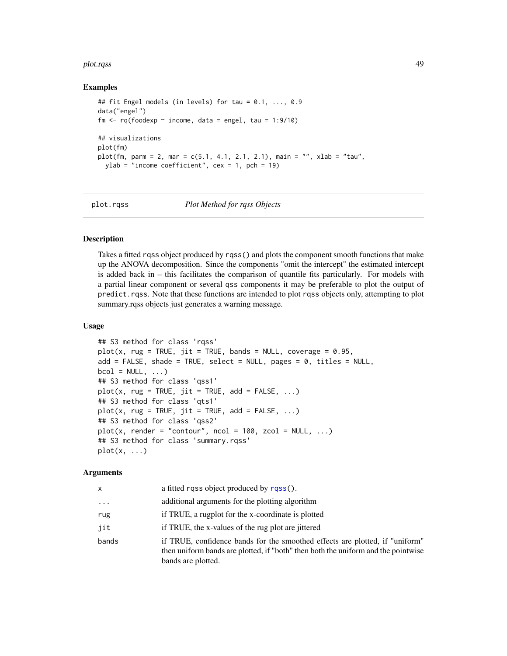#### plot.rqss 49

## Examples

```
## fit Engel models (in levels) for tau = 0.1, ..., 0.9
data("engel")
fm \leq rq(foodexp \sim income, data = engel, tau = 1:9/10)
## visualizations
plot(fm)
plot(fm, parm = 2, mar = c(5.1, 4.1, 2.1, 2.1), main = "", xlab = "tau",
  ylab = "income coefficient", cex = 1, pch = 19)
```
plot.rqss *Plot Method for rqss Objects*

## Description

Takes a fitted rqss object produced by rqss() and plots the component smooth functions that make up the ANOVA decomposition. Since the components "omit the intercept" the estimated intercept is added back in – this facilitates the comparison of quantile fits particularly. For models with a partial linear component or several qss components it may be preferable to plot the output of predict.rqss. Note that these functions are intended to plot rqss objects only, attempting to plot summary.rqss objects just generates a warning message.

## Usage

```
## S3 method for class 'rqss'
plot(x, rug = TRUE, jit = TRUE, bands = NULL, coverage = 0.95,add = FALSE, shade = TRUE, select = NULL, pages = \theta, titles = NULL,
bcol = NULL, ...## S3 method for class 'qss1'
plot(x, rug = TRUE, jit = TRUE, add = FALSE, ...)## S3 method for class 'qts1'
plot(x, rug = TRUE, jit = TRUE, add = FALSE, ...)## S3 method for class 'qss2'
plot(x, render = "contour", ncol = 100, zcol = NULL, ...)## S3 method for class 'summary.rqss'
plot(x, \ldots)
```
# Arguments

| x        | a fitted rass object produced by rass().                                                                                                                                                |
|----------|-----------------------------------------------------------------------------------------------------------------------------------------------------------------------------------------|
| $\cdots$ | additional arguments for the plotting algorithm                                                                                                                                         |
| rug      | if TRUE, a rugplot for the x-coordinate is plotted                                                                                                                                      |
| jit      | if TRUE, the x-values of the rug plot are jittered                                                                                                                                      |
| bands    | if TRUE, confidence bands for the smoothed effects are plotted, if "uniform"<br>then uniform bands are plotted, if "both" then both the uniform and the pointwise<br>bands are plotted. |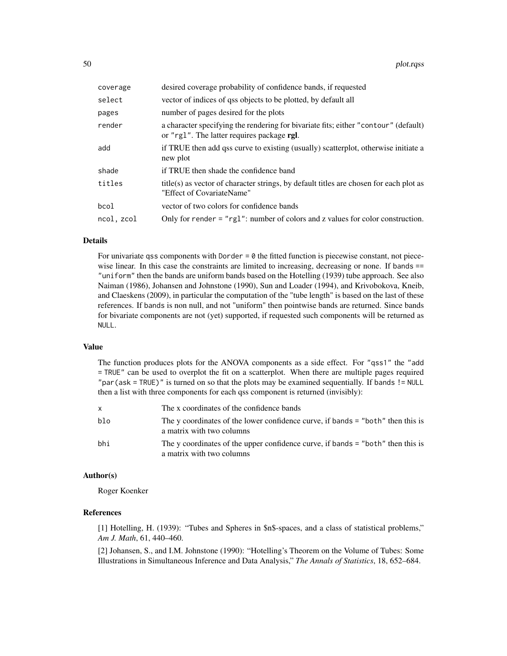| coverage   | desired coverage probability of confidence bands, if requested                                                                    |  |
|------------|-----------------------------------------------------------------------------------------------------------------------------------|--|
| select     | vector of indices of qss objects to be plotted, by default all                                                                    |  |
| pages      | number of pages desired for the plots                                                                                             |  |
| render     | a character specifying the rendering for bivariate fits; either "contour" (default)<br>or "rg1". The latter requires package rgl. |  |
| add        | if TRUE then add qss curve to existing (usually) scatterplot, otherwise initiate a<br>new plot                                    |  |
| shade      | if TRUE then shade the confidence band                                                                                            |  |
| titles     | title(s) as vector of character strings, by default titles are chosen for each plot as<br>"Effect of CovariateName"               |  |
| bcol       | vector of two colors for confidence bands                                                                                         |  |
| ncol, zcol | Only for render $=$ "rg1": number of colors and z values for color construction.                                                  |  |

## Details

For univariate qss components with Dorder  $= 0$  the fitted function is piecewise constant, not piecewise linear. In this case the constraints are limited to increasing, decreasing or none. If bands == "uniform" then the bands are uniform bands based on the Hotelling (1939) tube approach. See also Naiman (1986), Johansen and Johnstone (1990), Sun and Loader (1994), and Krivobokova, Kneib, and Claeskens (2009), in particular the computation of the "tube length" is based on the last of these references. If bands is non null, and not "uniform" then pointwise bands are returned. Since bands for bivariate components are not (yet) supported, if requested such components will be returned as NULL.

## Value

The function produces plots for the ANOVA components as a side effect. For "qss1" the "add = TRUE" can be used to overplot the fit on a scatterplot. When there are multiple pages required "par(ask = TRUE)" is turned on so that the plots may be examined sequentially. If bands != NULL then a list with three components for each qss component is returned (invisibly):

|     | The x coordinates of the confidence bands                                                                    |
|-----|--------------------------------------------------------------------------------------------------------------|
| blo | The y coordinates of the lower confidence curve, if bands = "both" then this is<br>a matrix with two columns |
| bhi | The y coordinates of the upper confidence curve, if bands = "both" then this is<br>a matrix with two columns |

## Author(s)

Roger Koenker

# References

[1] Hotelling, H. (1939): "Tubes and Spheres in \$n\$-spaces, and a class of statistical problems," *Am J. Math*, 61, 440–460.

[2] Johansen, S., and I.M. Johnstone (1990): "Hotelling's Theorem on the Volume of Tubes: Some Illustrations in Simultaneous Inference and Data Analysis," *The Annals of Statistics*, 18, 652–684.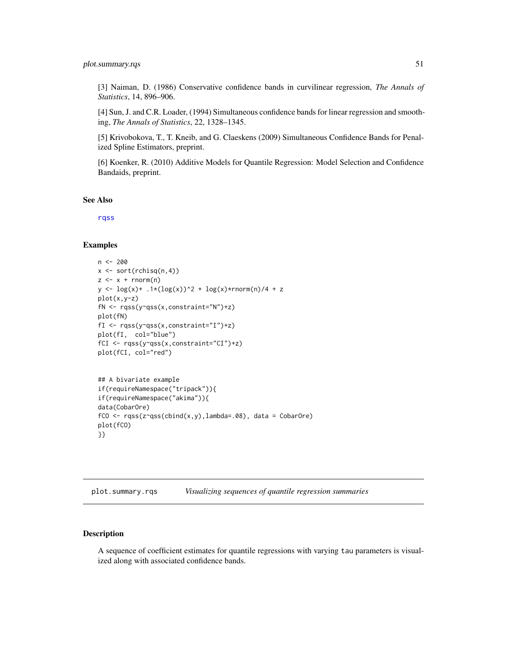[3] Naiman, D. (1986) Conservative confidence bands in curvilinear regression, *The Annals of Statistics*, 14, 896–906.

[4] Sun, J. and C.R. Loader, (1994) Simultaneous confidence bands for linear regression and smoothing, *The Annals of Statistics*, 22, 1328–1345.

[5] Krivobokova, T., T. Kneib, and G. Claeskens (2009) Simultaneous Confidence Bands for Penalized Spline Estimators, preprint.

[6] Koenker, R. (2010) Additive Models for Quantile Regression: Model Selection and Confidence Bandaids, preprint.

See Also

[rqss](#page-93-0)

# Examples

```
n < -200x \leftarrow sort(rchisq(n,4))z \leq x + \text{norm}(n)y \leq log(x) + .1*(log(x))^2 + log(x)*rnorm(n)/4 + zplot(x,y-z)
fN <- rqss(y~qss(x,constraint="N")+z)
plot(fN)
fI <- rqss(y~qss(x,constraint="I")+z)
plot(fI, col="blue")
fCI <- rqss(y~qss(x,constraint="CI")+z)
plot(fCI, col="red")
## A bivariate example
if(requireNamespace("tripack")){
if(requireNamespace("akima")){
data(CobarOre)
fCO <- rqss(z~qss(cbind(x,y),lambda=.08), data = CobarOre)
plot(fCO)
}}
```
<span id="page-50-0"></span>plot.summary.rqs *Visualizing sequences of quantile regression summaries*

# **Description**

A sequence of coefficient estimates for quantile regressions with varying tau parameters is visualized along with associated confidence bands.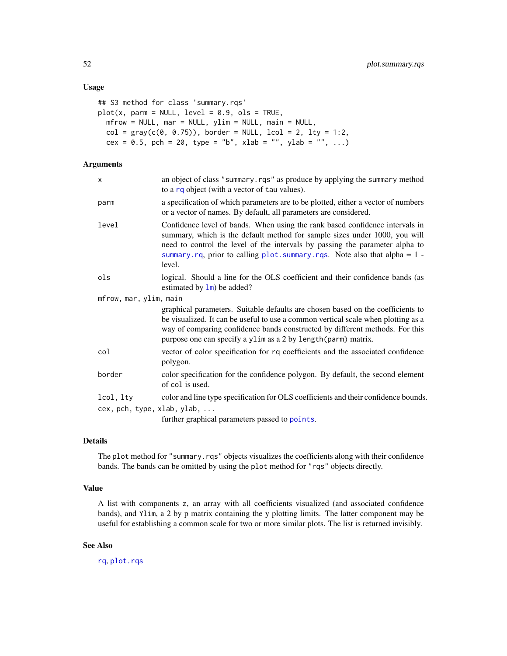## Usage

```
## S3 method for class 'summary.rqs'
plot(x, parm = NULL, level = 0.9, obs = TRUE,mfrow = NULL, mar = NULL, ylim = NULL, main = NULL,
 col = gray(c(0, 0.75)), border = NULL, lcol = 2, lty = 1:2,
 cex = 0.5, pch = 20, type = "b", xlab = "", ylab = "", ...)
```
# Arguments

| x                           | an object of class "summary.rqs" as produce by applying the summary method<br>to a rq object (with a vector of tau values).                                                                                                                                                                                                                         |  |
|-----------------------------|-----------------------------------------------------------------------------------------------------------------------------------------------------------------------------------------------------------------------------------------------------------------------------------------------------------------------------------------------------|--|
| parm                        | a specification of which parameters are to be plotted, either a vector of numbers<br>or a vector of names. By default, all parameters are considered.                                                                                                                                                                                               |  |
| level                       | Confidence level of bands. When using the rank based confidence intervals in<br>summary, which is the default method for sample sizes under 1000, you will<br>need to control the level of the intervals by passing the parameter alpha to<br>summary.rq, prior to calling $plot \, . \, summary \, . \, rqs.$ Note also that alpha = 1 -<br>level. |  |
| ols                         | logical. Should a line for the OLS coefficient and their confidence bands (as<br>estimated by $\text{lm}$ ) be added?                                                                                                                                                                                                                               |  |
| mfrow, mar, ylim, main      |                                                                                                                                                                                                                                                                                                                                                     |  |
|                             | graphical parameters. Suitable defaults are chosen based on the coefficients to<br>be visualized. It can be useful to use a common vertical scale when plotting as a<br>way of comparing confidence bands constructed by different methods. For this<br>purpose one can specify a ylim as a 2 by length (parm) matrix.                              |  |
| col                         | vector of color specification for rq coefficients and the associated confidence<br>polygon.                                                                                                                                                                                                                                                         |  |
| border                      | color specification for the confidence polygon. By default, the second element<br>of col is used.                                                                                                                                                                                                                                                   |  |
| lcol, lty                   | color and line type specification for OLS coefficients and their confidence bounds.                                                                                                                                                                                                                                                                 |  |
| cex, pch, type, xlab, ylab, |                                                                                                                                                                                                                                                                                                                                                     |  |
|                             | further graphical parameters passed to points.                                                                                                                                                                                                                                                                                                      |  |

# Details

The plot method for "summary.rqs" objects visualizes the coefficients along with their confidence bands. The bands can be omitted by using the plot method for "rqs" objects directly.

## Value

A list with components z, an array with all coefficients visualized (and associated confidence bands), and Ylim, a 2 by p matrix containing the y plotting limits. The latter component may be useful for establishing a common scale for two or more similar plots. The list is returned invisibly.

# See Also

[rq](#page-67-0), [plot.rqs](#page-47-0)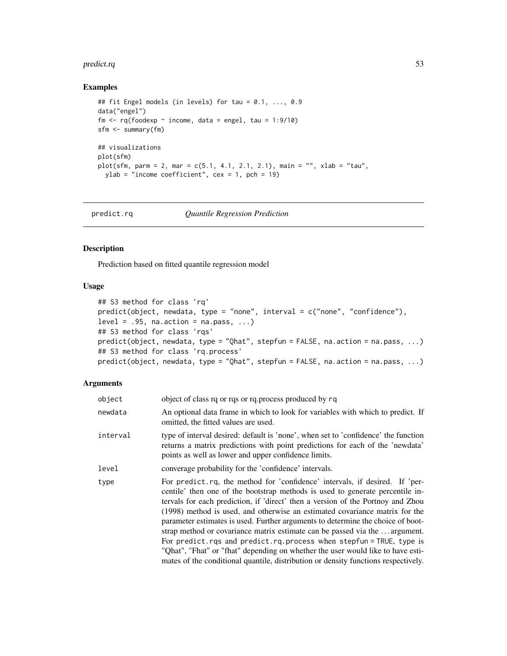#### predict.rq 53

## Examples

```
## fit Engel models (in levels) for tau = 0.1, ..., 0.9
data("engel")
fm \leq rq(foodexp \sim income, data = engel, tau = 1:9/10)
sfm <- summary(fm)
## visualizations
plot(sfm)
plot(sfm, parm = 2, mar = c(5.1, 4.1, 2.1, 2.1), main = "", xlab = "tau",
 ylab = "income coefficient", cex = 1, pch = 19)
```
predict.rq *Quantile Regression Prediction*

## Description

Prediction based on fitted quantile regression model

# Usage

```
## S3 method for class 'rq'
predict(object, newdata, type = "none", interval = c("none", "confidence"),
level = .95, na.action = na.pass, ...)
## S3 method for class 'rqs'
predict(object, newdata, type = "Qhat", stepfun = FALSE, na.action = na.pass, ...)
## S3 method for class 'rq.process'
predict(object, newdata, type = "Qhat", stepfun = FALSE, na.action = na.pass, ...)
```
# Arguments

| object   | object of class rq or rqs or rq.process produced by rq                                                                                                                                                                                                                                                                                                                                                                                                                                                                                                                                                                                                                                                                                           |  |
|----------|--------------------------------------------------------------------------------------------------------------------------------------------------------------------------------------------------------------------------------------------------------------------------------------------------------------------------------------------------------------------------------------------------------------------------------------------------------------------------------------------------------------------------------------------------------------------------------------------------------------------------------------------------------------------------------------------------------------------------------------------------|--|
| newdata  | An optional data frame in which to look for variables with which to predict. If<br>omitted, the fitted values are used.                                                                                                                                                                                                                                                                                                                                                                                                                                                                                                                                                                                                                          |  |
| interval | type of interval desired: default is 'none', when set to 'confidence' the function<br>returns a matrix predictions with point predictions for each of the 'newdata'<br>points as well as lower and upper confidence limits.                                                                                                                                                                                                                                                                                                                                                                                                                                                                                                                      |  |
| level    | converage probability for the 'confidence' intervals.                                                                                                                                                                                                                                                                                                                                                                                                                                                                                                                                                                                                                                                                                            |  |
| type     | For predict.rq, the method for 'confidence' intervals, if desired. If 'per-<br>centile' then one of the bootstrap methods is used to generate percentile in-<br>tervals for each prediction, if 'direct' then a version of the Portnoy and Zhou<br>(1998) method is used, and otherwise an estimated covariance matrix for the<br>parameter estimates is used. Further arguments to determine the choice of boot-<br>strap method or covariance matrix estimate can be passed via the  argument.<br>For predict.rqs and predict.rq.process when stepfun = TRUE, type is<br>"Qhat", "Fhat" or "fhat" depending on whether the user would like to have esti-<br>mates of the conditional quantile, distribution or density functions respectively. |  |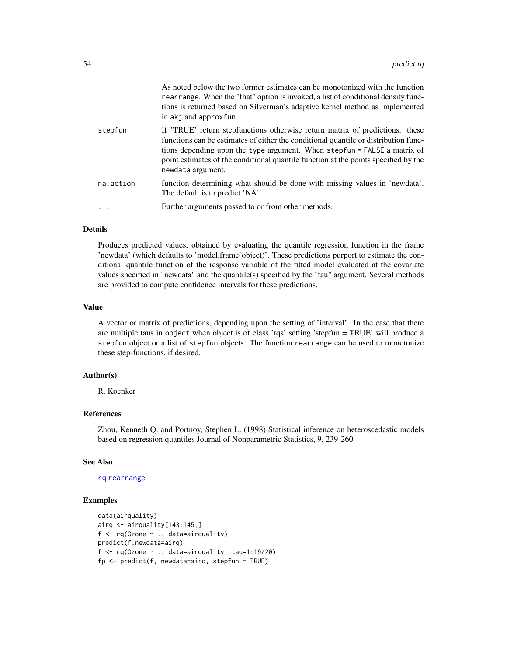|           | As noted below the two former estimates can be monotonized with the function<br>rearrange. When the "fhat" option is invoked, a list of conditional density func-<br>tions is returned based on Silverman's adaptive kernel method as implemented<br>in akj and approxfun.                                                                                  |
|-----------|-------------------------------------------------------------------------------------------------------------------------------------------------------------------------------------------------------------------------------------------------------------------------------------------------------------------------------------------------------------|
| stepfun   | If 'TRUE' return stepfunctions otherwise return matrix of predictions. these<br>functions can be estimates of either the conditional quantile or distribution func-<br>tions depending upon the type argument. When stepfun = FALSE a matrix of<br>point estimates of the conditional quantile function at the points specified by the<br>newdata argument. |
| na.action | function determining what should be done with missing values in 'newdata'.<br>The default is to predict 'NA'.                                                                                                                                                                                                                                               |
|           | Further arguments passed to or from other methods.                                                                                                                                                                                                                                                                                                          |

## Details

Produces predicted values, obtained by evaluating the quantile regression function in the frame 'newdata' (which defaults to 'model.frame(object)'. These predictions purport to estimate the conditional quantile function of the response variable of the fitted model evaluated at the covariate values specified in "newdata" and the quantile(s) specified by the "tau" argument. Several methods are provided to compute confidence intervals for these predictions.

## Value

A vector or matrix of predictions, depending upon the setting of 'interval'. In the case that there are multiple taus in object when object is of class 'rqs' setting 'stepfun = TRUE' will produce a stepfun object or a list of stepfun objects. The function rearrange can be used to monotonize these step-functions, if desired.

## Author(s)

R. Koenker

## References

Zhou, Kenneth Q. and Portnoy, Stephen L. (1998) Statistical inference on heteroscedastic models based on regression quantiles Journal of Nonparametric Statistics, 9, 239-260

# See Also

#### [rq](#page-67-0) [rearrange](#page-65-0)

## Examples

```
data(airquality)
airq <- airquality[143:145,]
f \leftarrow rq(0zone ~ ., data=airquality)predict(f,newdata=airq)
f \leq rq(Ozone \sim ., data=airquality, tau=1:19/20)
fp <- predict(f, newdata=airq, stepfun = TRUE)
```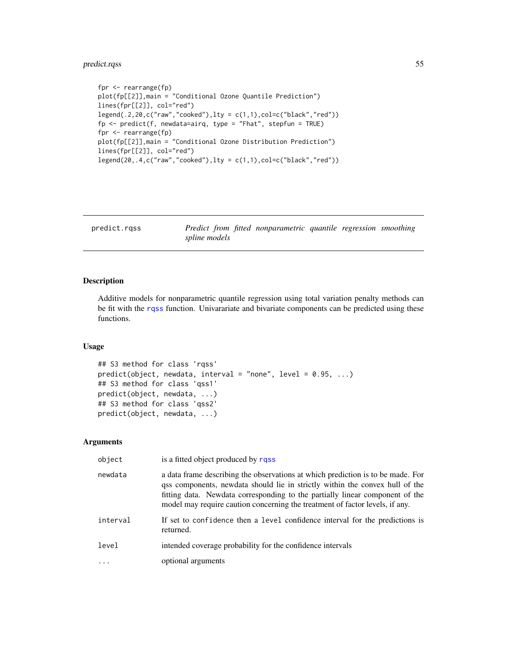# predict.rqss 55

```
fpr <- rearrange(fp)
plot(fp[[2]],main = "Conditional Ozone Quantile Prediction")
lines(fpr[[2]], col="red")
legend(.2,20,c("raw", "cooked"), \text{lty = } c(1,1), col=c("black", "red"))fp \leq predict(f, newdata=airq, type = "Fhat", stepfun = TRUE)
fpr <- rearrange(fp)
plot(fp[[2]],main = "Conditional Ozone Distribution Prediction")
lines(fpr[[2]], col="red")
legend(20,.4,c("raw", "cooked"), \text{lty = } c(1,1), col=c("black", "red"))
```
predict.rqss *Predict from fitted nonparametric quantile regression smoothing spline models*

## Description

Additive models for nonparametric quantile regression using total variation penalty methods can be fit with the [rqss](#page-93-0) function. Univarariate and bivariate components can be predicted using these functions.

## Usage

```
## S3 method for class 'rqss'
predict(object, newdata, interval = "none", level = 0.95, ...)
## S3 method for class 'qss1'
predict(object, newdata, ...)
## S3 method for class 'qss2'
predict(object, newdata, ...)
```
#### Arguments

| object   | is a fitted object produced by rqss                                                                                                                                                                                                                                                                                             |
|----------|---------------------------------------------------------------------------------------------------------------------------------------------------------------------------------------------------------------------------------------------------------------------------------------------------------------------------------|
| newdata  | a data frame describing the observations at which prediction is to be made. For<br>qss components, newdata should lie in strictly within the convex hull of the<br>fitting data. Newdata corresponding to the partially linear component of the<br>model may require caution concerning the treatment of factor levels, if any. |
| interval | If set to confidence then a level confidence interval for the predictions is<br>returned.                                                                                                                                                                                                                                       |
| level    | intended coverage probability for the confidence intervals                                                                                                                                                                                                                                                                      |
|          | optional arguments                                                                                                                                                                                                                                                                                                              |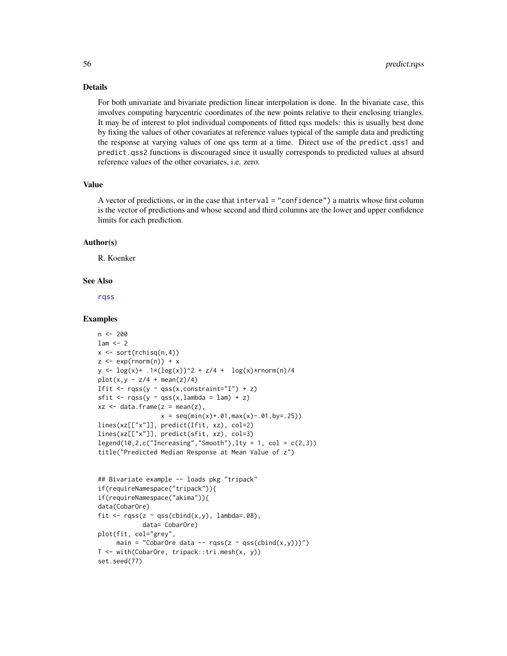## Details

For both univariate and bivariate prediction linear interpolation is done. In the bivariate case, this involves computing barycentric coordinates of the new points relative to their enclosing triangles. It may be of interest to plot individual components of fitted rqss models: this is usually best done by fixing the values of other covariates at reference values typical of the sample data and predicting the response at varying values of one qss term at a time. Direct use of the predict.qss1 and predict.qss2 functions is discouraged since it usually corresponds to predicted values at absurd reference values of the other covariates, i.e. zero.

## Value

A vector of predictions, or in the case that interval = "confidence") a matrix whose first column is the vector of predictions and whose second and third columns are the lower and upper confidence limits for each prediction.

## Author(s)

R. Koenker

#### See Also

[rqss](#page-93-0)

## Examples

```
n < -200lam < - 2x \leftarrow sort(rchisq(n,4))z \leq -exp(rnorm(n)) + xy \leq log(x) + .1*(log(x))^2 + z/4 + log(x)*rnorm(n)/4plot(x, y - z/4 + mean(z)/4)Ifit \leq rqss(y \sim qss(x, constraint="I") + z)
sfit \leq rqss(y \sim qss(x,lambda = lam) + z)
xz \leq - data.frame(z = mean(z),
                   x = \text{seq}(\text{min}(x) + .01, \text{max}(x) - .01, \text{by} = .25)lines(xz[["x"]], predict(Ifit, xz), col=2)
lines(xz[["x"]], predict(sfit, xz), col=3)
legend(10,2,c("Increasing","Smooth"),lty = 1, col = c(2,3))
title("Predicted Median Response at Mean Value of z")
```

```
## Bivariate example -- loads pkg "tripack"
if(requireNamespace("tripack")){
if(requireNamespace("akima")){
data(CobarOre)
fit \leq rqss(z \sim qss(cbind(x,y), lambda=.08),
            data= CobarOre)
plot(fit, col="grey",
     main = "CobarOre data -- rqss(z \sim qss(clind(x,y)))")
T <- with(CobarOre, tripack::tri.mesh(x, y))
set.seed(77)
```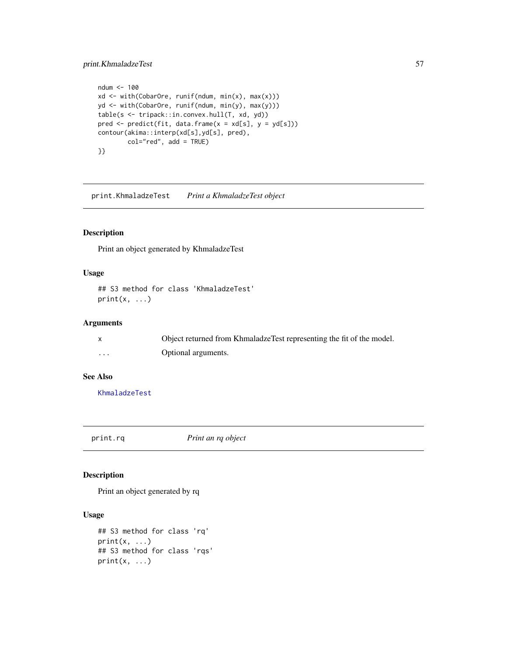# print.KhmaladzeTest 57

```
ndum <- 100
xd <- with(CobarOre, runif(ndum, min(x), max(x)))
yd <- with(CobarOre, runif(ndum, min(y), max(y)))
table(s <- tripack::in.convex.hull(T, xd, yd))
pred \leq predict(fit, data.frame(x = xd[s], y = yd[s]))
contour(akima::interp(xd[s],yd[s], pred),
        col="red", add = TRUE)
}}
```
print.KhmaladzeTest *Print a KhmaladzeTest object*

# Description

Print an object generated by KhmaladzeTest

# Usage

```
## S3 method for class 'KhmaladzeTest'
print(x, \ldots)
```
# Arguments

|          | Object returned from KhmaladzeTest representing the fit of the model. |
|----------|-----------------------------------------------------------------------|
| $\cdots$ | Optional arguments.                                                   |

# See Also

[KhmaladzeTest](#page-28-0)

print.rq *Print an rq object*

## Description

Print an object generated by rq

# Usage

```
## S3 method for class 'rq'
print(x, \ldots)## S3 method for class 'rqs'
print(x, \ldots)
```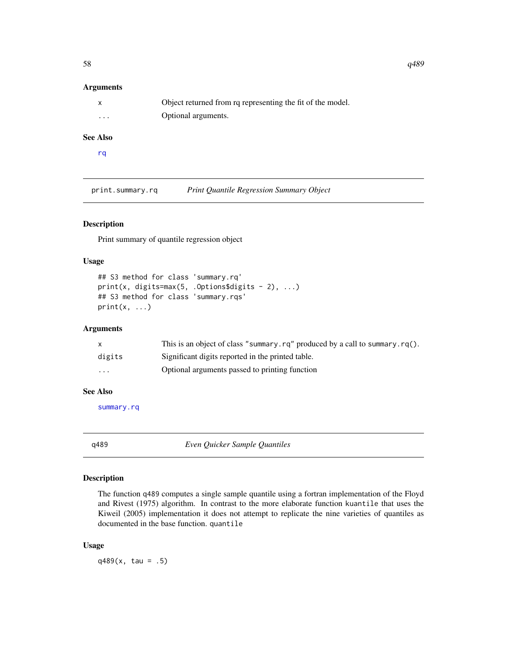# Arguments

|          | Object returned from rq representing the fit of the model. |
|----------|------------------------------------------------------------|
| $\cdots$ | Optional arguments.                                        |

# See Also

[rq](#page-67-0)

print.summary.rq *Print Quantile Regression Summary Object*

# Description

Print summary of quantile regression object

# Usage

```
## S3 method for class 'summary.rq'
print(x, digits=max(5, .0ptions$ digits - 2), ...)## S3 method for class 'summary.rqs'
print(x, \ldots)
```
# Arguments

|                         | This is an object of class "summary. $rq$ " produced by a call to summary. $rq()$ . |
|-------------------------|-------------------------------------------------------------------------------------|
| digits                  | Significant digits reported in the printed table.                                   |
| $\cdot$ $\cdot$ $\cdot$ | Optional arguments passed to printing function                                      |

# See Also

[summary.rq](#page-101-0)

q489 *Even Quicker Sample Quantiles*

# Description

The function q489 computes a single sample quantile using a fortran implementation of the Floyd and Rivest (1975) algorithm. In contrast to the more elaborate function kuantile that uses the Kiweil (2005) implementation it does not attempt to replicate the nine varieties of quantiles as documented in the base function. quantile

## Usage

 $q489(x, \text{tau} = .5)$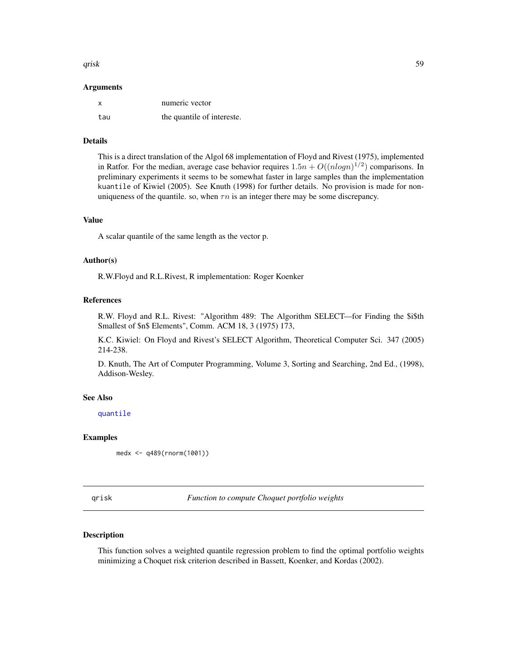#### qrisk to the contract of the contract of the contract of the contract of the contract of the contract of the contract of the contract of the contract of the contract of the contract of the contract of the contract of the c

#### Arguments

|     | numeric vector             |
|-----|----------------------------|
| tau | the quantile of intereste. |

# Details

This is a direct translation of the Algol 68 implementation of Floyd and Rivest (1975), implemented in Ratfor. For the median, average case behavior requires  $1.5n + O((nlog n)^{1/2})$  comparisons. In preliminary experiments it seems to be somewhat faster in large samples than the implementation kuantile of Kiwiel (2005). See Knuth (1998) for further details. No provision is made for nonuniqueness of the quantile. so, when  $\tau n$  is an integer there may be some discrepancy.

#### Value

A scalar quantile of the same length as the vector p.

## Author(s)

R.W.Floyd and R.L.Rivest, R implementation: Roger Koenker

## References

R.W. Floyd and R.L. Rivest: "Algorithm 489: The Algorithm SELECT—for Finding the \$i\$th Smallest of \$n\$ Elements", Comm. ACM 18, 3 (1975) 173,

K.C. Kiwiel: On Floyd and Rivest's SELECT Algorithm, Theoretical Computer Sci. 347 (2005) 214-238.

D. Knuth, The Art of Computer Programming, Volume 3, Sorting and Searching, 2nd Ed., (1998), Addison-Wesley.

#### See Also

[quantile](#page-0-0)

## Examples

medx <- q489(rnorm(1001))

qrisk *Function to compute Choquet portfolio weights*

## Description

This function solves a weighted quantile regression problem to find the optimal portfolio weights minimizing a Choquet risk criterion described in Bassett, Koenker, and Kordas (2002).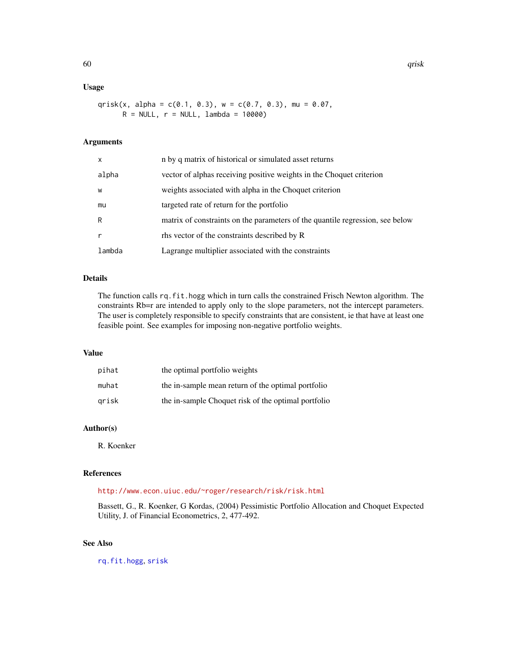# Usage

qrisk(x, alpha =  $c(0.1, 0.3)$ , w =  $c(0.7, 0.3)$ , mu = 0.07,  $R = NULL, r = NULL, lambda = 10000)$ 

## Arguments

| x      | n by q matrix of historical or simulated asset returns                        |  |
|--------|-------------------------------------------------------------------------------|--|
| alpha  | vector of alphas receiving positive weights in the Choquet criterion          |  |
| W      | weights associated with alpha in the Choquet criterion                        |  |
| mu     | targeted rate of return for the portfolio                                     |  |
| R      | matrix of constraints on the parameters of the quantile regression, see below |  |
| r      | rhs vector of the constraints described by R                                  |  |
| lambda | Lagrange multiplier associated with the constraints                           |  |

# Details

The function calls rq.fit.hogg which in turn calls the constrained Frisch Newton algorithm. The constraints Rb=r are intended to apply only to the slope parameters, not the intercept parameters. The user is completely responsible to specify constraints that are consistent, ie that have at least one feasible point. See examples for imposing non-negative portfolio weights.

## Value

| pihat | the optimal portfolio weights                       |
|-------|-----------------------------------------------------|
| muhat | the in-sample mean return of the optimal portfolio  |
| grisk | the in-sample Choquet risk of the optimal portfolio |

# Author(s)

R. Koenker

## References

<http://www.econ.uiuc.edu/~roger/research/risk/risk.html>

Bassett, G., R. Koenker, G Kordas, (2004) Pessimistic Portfolio Allocation and Choquet Expected Utility, J. of Financial Econometrics, 2, 477-492.

# See Also

[rq.fit.hogg](#page-76-0), [srisk](#page-98-0)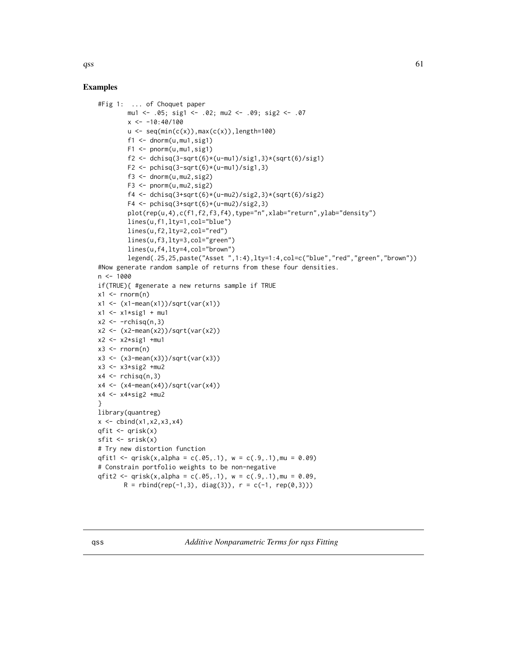$qss$  61

# Examples

```
#Fig 1: ... of Choquet paper
         mu1 <- .05; sig1 <- .02; mu2 <- .09; sig2 <- .07
         x \le -10:40/100u \leftarrow \text{seq}(\text{min}(c(x)),\text{max}(c(x)),\text{length=100})f1 \leftarrow \text{dnorm}(u, mu1, sig1)F1 <- pnorm(u,mu1,sig1)
         f2 <- dchisq(3-sqrt(6)*(u-mu1)/sig1,3)*(sqrt(6)/sig1)
         F2 \le pchisq(3-sqrt(6)*(u-mu1)/sig1,3)
         f3 \leq dnorm(u, mu2, sig2)
         F3 \leq pnorm(u, mu2, sig2)f4 <- dchisq(3+sqrt(6)*(u-mu2)/sig2,3)*(sqrt(6)/sig2)
         F4 \leftarrow pchisq(3+sqrt(6)*(u-mu2)/sig2,3)
         plot(rep(u,4),c(f1,f2,f3,f4),type="n",xlab="return",ylab="density")
         lines(u,f1,lty=1,col="blue")
         lines(u,f2,lty=2,col="red")
         lines(u,f3,lty=3,col="green")
         lines(u,f4,lty=4,col="brown")
         legend(.25,25,paste("Asset ",1:4),lty=1:4,col=c("blue","red","green","brown"))
#Now generate random sample of returns from these four densities.
n <- 1000
if(TRUE){ #generate a new returns sample if TRUE
x1 \leftarrow \text{rnorm}(n)x1 <- (x1-mean(x1))/sqrt(var(x1))
x1 \leftarrow x1*sig1 + mu1x2 \leftarrow -rchisq(n,3)x2 <- (x2-mean(x2))/sqrt(var(x2))
x2 \leftarrow x2*sig1 + mu1x3 \le- rnorm(n)x3 \leftarrow (x3 - \text{mean}(x3)) / \text{sqrt}(var(x3))x3 \le -x3 \times \text{sig2} + \text{mu2}x4 \leq rchisq(n,3)
x4 \leftarrow (x4-mean(x4))/sqrt(var(x4))x4 \leq x4 \cdot \text{sig2} + \text{mu2}}
library(quantreg)
x \le - \text{cbind}(x1, x2, x3, x4)qfit <- qrisk(x)
sfit \le srisk(x)# Try new distortion function
qfit1 <- qrisk(x,alpha = c(.05,.1), w = c(.9,.1), mu = 0.09)
# Constrain portfolio weights to be non-negative
qfit2 <- qrisk(x,alpha = c(.05,.1), w = c(.9,.1), mu = 0.09,
        R = \text{rbind}(\text{rep}(-1,3), \text{diag}(3)), r = c(-1, \text{rep}(\emptyset,3)))
```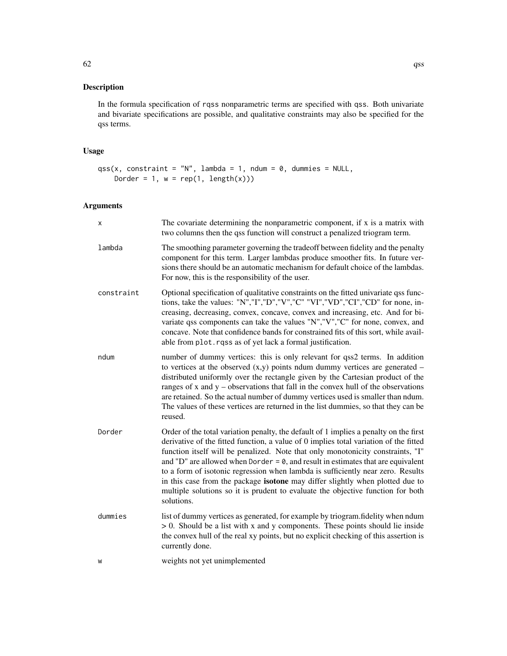In the formula specification of rqss nonparametric terms are specified with qss. Both univariate and bivariate specifications are possible, and qualitative constraints may also be specified for the qss terms.

# Usage

```
qss(x, constant = "N", lambda = 1, ndum = 0, dummies = NULL,Dorder = 1, w = \text{rep}(1, \text{length}(x)))
```
# Arguments

| х          | The covariate determining the nonparametric component, if x is a matrix with<br>two columns then the qss function will construct a penalized triogram term.                                                                                                                                                                                                                                                                                                                                                                                                                                                                        |
|------------|------------------------------------------------------------------------------------------------------------------------------------------------------------------------------------------------------------------------------------------------------------------------------------------------------------------------------------------------------------------------------------------------------------------------------------------------------------------------------------------------------------------------------------------------------------------------------------------------------------------------------------|
| lambda     | The smoothing parameter governing the tradeoff between fidelity and the penalty<br>component for this term. Larger lambdas produce smoother fits. In future ver-<br>sions there should be an automatic mechanism for default choice of the lambdas.<br>For now, this is the responsibility of the user.                                                                                                                                                                                                                                                                                                                            |
| constraint | Optional specification of qualitative constraints on the fitted univariate qss func-<br>tions, take the values: "N","I","D","V","C" "VI","VD","CI","CD" for none, in-<br>creasing, decreasing, convex, concave, convex and increasing, etc. And for bi-<br>variate qss components can take the values "N","V","C" for none, convex, and<br>concave. Note that confidence bands for constrained fits of this sort, while avail-<br>able from plot. rqss as of yet lack a formal justification.                                                                                                                                      |
| ndum       | number of dummy vertices: this is only relevant for qss2 terms. In addition<br>to vertices at the observed $(x,y)$ points ndum dummy vertices are generated –<br>distributed uniformly over the rectangle given by the Cartesian product of the<br>ranges of $x$ and $y$ – observations that fall in the convex hull of the observations<br>are retained. So the actual number of dummy vertices used is smaller than ndum.<br>The values of these vertices are returned in the list dummies, so that they can be<br>reused.                                                                                                       |
| Dorder     | Order of the total variation penalty, the default of 1 implies a penalty on the first<br>derivative of the fitted function, a value of 0 implies total variation of the fitted<br>function itself will be penalized. Note that only monotonicity constraints, "I"<br>and "D" are allowed when Dorder = $\theta$ , and result in estimates that are equivalent<br>to a form of isotonic regression when lambda is sufficiently near zero. Results<br>in this case from the package isotone may differ slightly when plotted due to<br>multiple solutions so it is prudent to evaluate the objective function for both<br>solutions. |
| dummies    | list of dummy vertices as generated, for example by triogram.fidelity when ndum<br>$> 0$ . Should be a list with x and y components. These points should lie inside<br>the convex hull of the real xy points, but no explicit checking of this assertion is<br>currently done.                                                                                                                                                                                                                                                                                                                                                     |
| W          | weights not yet unimplemented                                                                                                                                                                                                                                                                                                                                                                                                                                                                                                                                                                                                      |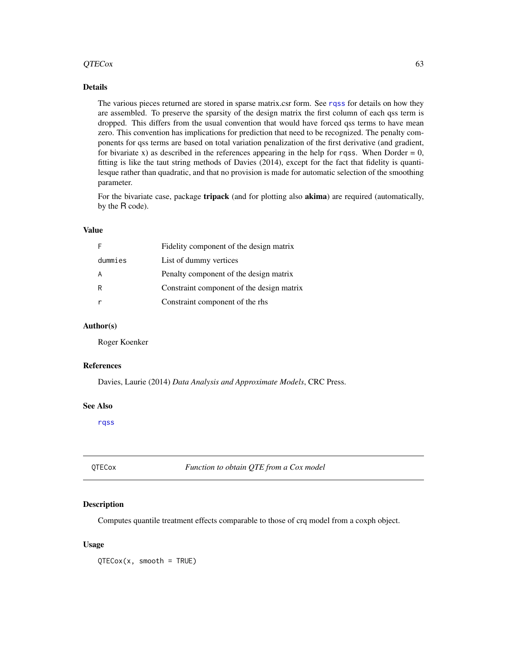#### $QTECox$  63

# Details

The various pieces returned are stored in sparse matrix.csr form. See [rqss](#page-93-0) for details on how they are assembled. To preserve the sparsity of the design matrix the first column of each qss term is dropped. This differs from the usual convention that would have forced qss terms to have mean zero. This convention has implications for prediction that need to be recognized. The penalty components for qss terms are based on total variation penalization of the first derivative (and gradient, for bivariate x) as described in the references appearing in the help for rqss. When Dorder  $= 0$ , fitting is like the taut string methods of Davies (2014), except for the fact that fidelity is quantilesque rather than quadratic, and that no provision is made for automatic selection of the smoothing parameter.

For the bivariate case, package **tripack** (and for plotting also **akima**) are required (automatically, by the R code).

## Value

| F       | Fidelity component of the design matrix   |
|---------|-------------------------------------------|
| dummies | List of dummy vertices                    |
| A       | Penalty component of the design matrix    |
| R       | Constraint component of the design matrix |
| r       | Constraint component of the rhs           |

## Author(s)

Roger Koenker

## References

Davies, Laurie (2014) *Data Analysis and Approximate Models*, CRC Press.

#### See Also

[rqss](#page-93-0)

QTECox *Function to obtain QTE from a Cox model*

#### Description

Computes quantile treatment effects comparable to those of crq model from a coxph object.

#### Usage

QTECox(x, smooth = TRUE)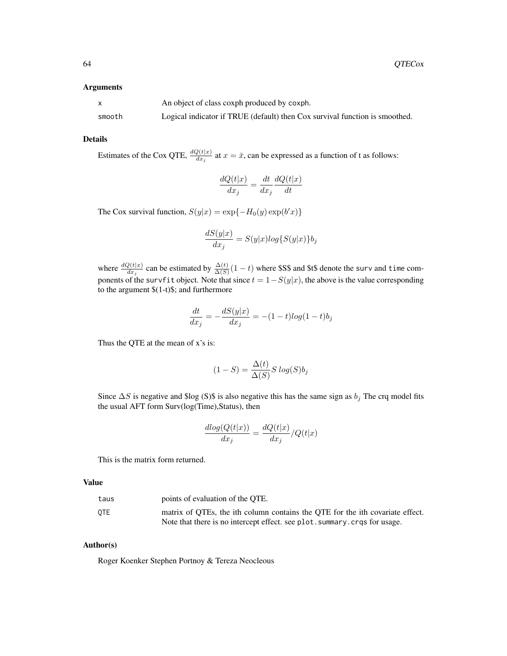#### Arguments

|        | An object of class coxph produced by coxph.                                 |
|--------|-----------------------------------------------------------------------------|
| smooth | Logical indicator if TRUE (default) then Cox survival function is smoothed. |

## Details

Estimates of the Cox QTE,  $\frac{dQ(t|x)}{dx_j}$  at  $x = \bar{x}$ , can be expressed as a function of t as follows:

$$
\frac{dQ(t|x)}{dx_j} = \frac{dt}{dx_j} \frac{dQ(t|x)}{dt}
$$

The Cox survival function,  $S(y|x) = \exp{-H_0(y) \exp(b'x)}$ 

$$
\frac{dS(y|x)}{dx_j}=S(y|x)log\{S(y|x)\}b_j
$$

where  $\frac{dQ(t|x)}{dx_j}$  can be estimated by  $\frac{\Delta(t)}{\Delta(S)}(1-t)$  where \$S\$ and \$t\$ denote the surv and time components of the survfit object. Note that since  $t = 1-S(y|x)$ , the above is the value corresponding to the argument \$(1-t)\$; and furthermore

$$
\frac{dt}{dx_j} = -\frac{dS(y|x)}{dx_j} = -(1-t)\log(1-t)b_j
$$

Thus the QTE at the mean of x's is:

$$
(1 - S) = \frac{\Delta(t)}{\Delta(S)} S \log(S) b_j
$$

Since  $\Delta S$  is negative and \$log (S)\$ is also negative this has the same sign as  $b_j$ . The crq model fits the usual AFT form Surv(log(Time),Status), then

$$
\frac{dlog(Q(t|x))}{dx_j} = \frac{dQ(t|x)}{dx_j}/Q(t|x)
$$

This is the matrix form returned.

#### Value

| taus | points of evaluation of the OTE.                                              |
|------|-------------------------------------------------------------------------------|
| 0TE  | matrix of OTEs, the ith column contains the OTE for the ith covariate effect. |
|      | Note that there is no intercept effect, see plot, summary, cross for usage.   |

## Author(s)

Roger Koenker Stephen Portnoy & Tereza Neocleous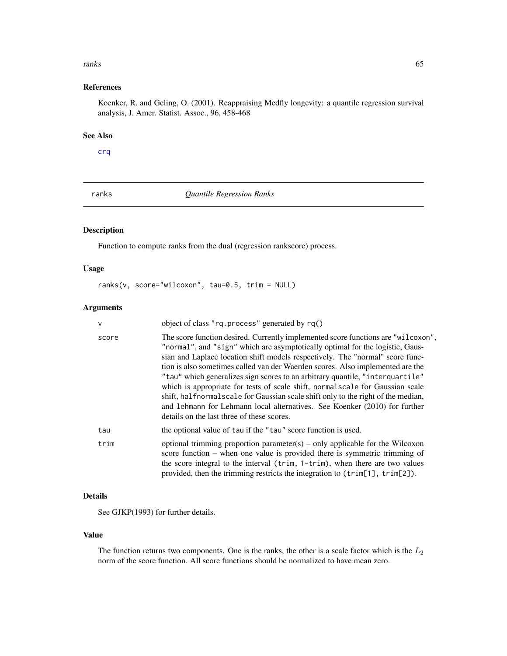#### **ranks** 65

# References

Koenker, R. and Geling, O. (2001). Reappraising Medfly longevity: a quantile regression survival analysis, J. Amer. Statist. Assoc., 96, 458-468

## See Also

## [crq](#page-18-0)

ranks *Quantile Regression Ranks*

# Description

Function to compute ranks from the dual (regression rankscore) process.

# Usage

```
ranks(v, score="wilcoxon", tau=0.5, trim = NULL)
```
## Arguments

| $\mathsf{V}$ | object of class "rq.process" generated by rq()                                                                                                                                                                                                                                                                                                                                                                                                                                                                                                                                                                                                                                                                            |
|--------------|---------------------------------------------------------------------------------------------------------------------------------------------------------------------------------------------------------------------------------------------------------------------------------------------------------------------------------------------------------------------------------------------------------------------------------------------------------------------------------------------------------------------------------------------------------------------------------------------------------------------------------------------------------------------------------------------------------------------------|
| score        | The score function desired. Currently implemented score functions are "wilcoxon",<br>"normal", and "sign" which are asymptotically optimal for the logistic, Gaus-<br>sian and Laplace location shift models respectively. The "normal" score func-<br>tion is also sometimes called van der Waerden scores. Also implemented are the<br>"tau" which generalizes sign scores to an arbitrary quantile, "interquartile"<br>which is appropriate for tests of scale shift, normal scale for Gaussian scale<br>shift, halfnormalscale for Gaussian scale shift only to the right of the median,<br>and 1 ehmann for Lehmann local alternatives. See Koenker (2010) for further<br>details on the last three of these scores. |
| tau          | the optional value of tau if the "tau" score function is used.                                                                                                                                                                                                                                                                                                                                                                                                                                                                                                                                                                                                                                                            |
| trim         | optional trimming proportion parameter(s) – only applicable for the Wilcoxon<br>score function – when one value is provided there is symmetric trimming of<br>the score integral to the interval (trim, 1-trim), when there are two values<br>provided, then the trimming restricts the integration to $(\text{trim}[1], \text{trim}[2])$ .                                                                                                                                                                                                                                                                                                                                                                               |

# Details

See GJKP(1993) for further details.

## Value

The function returns two components. One is the ranks, the other is a scale factor which is the  $L_2$ norm of the score function. All score functions should be normalized to have mean zero.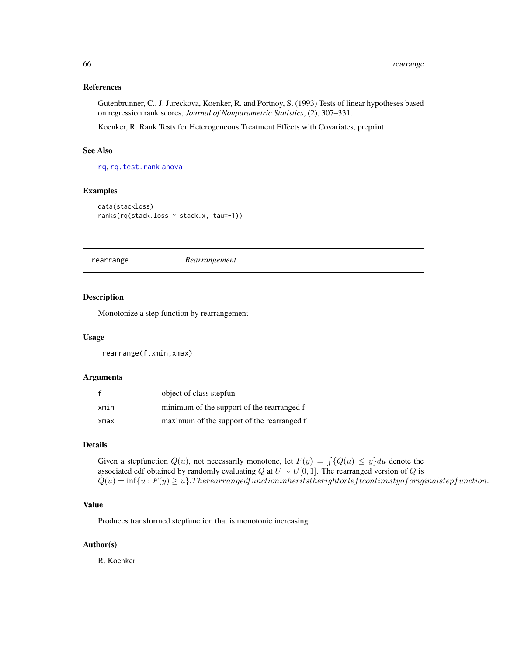## References

Gutenbrunner, C., J. Jureckova, Koenker, R. and Portnoy, S. (1993) Tests of linear hypotheses based on regression rank scores, *Journal of Nonparametric Statistics*, (2), 307–331.

Koenker, R. Rank Tests for Heterogeneous Treatment Effects with Covariates, preprint.

## See Also

[rq](#page-67-0), [rq.test.rank](#page-4-0) [anova](#page-0-0)

# Examples

```
data(stackloss)
ranks(rq(stack.loss ~ stack.x, tau=-1))
```
<span id="page-65-0"></span>rearrange *Rearrangement*

#### Description

Monotonize a step function by rearrangement

# Usage

rearrange(f,xmin,xmax)

## Arguments

|      | object of class stepfun                    |
|------|--------------------------------------------|
| xmin | minimum of the support of the rearranged f |
| xmax | maximum of the support of the rearranged f |

# Details

Given a stepfunction  $Q(u)$ , not necessarily monotone, let  $F(y) = \int \{Q(u) \leq y\} du$  denote the associated cdf obtained by randomly evaluating Q at  $U \sim U[0, 1]$ . The rearranged version of Q is  $\hat{Q}(u) = \inf\{u : F(y) \geq u\}$ . Therearrangedfunctioninheritstherightorleft continuity of original stepfunction.

# Value

Produces transformed stepfunction that is monotonic increasing.

# Author(s)

R. Koenker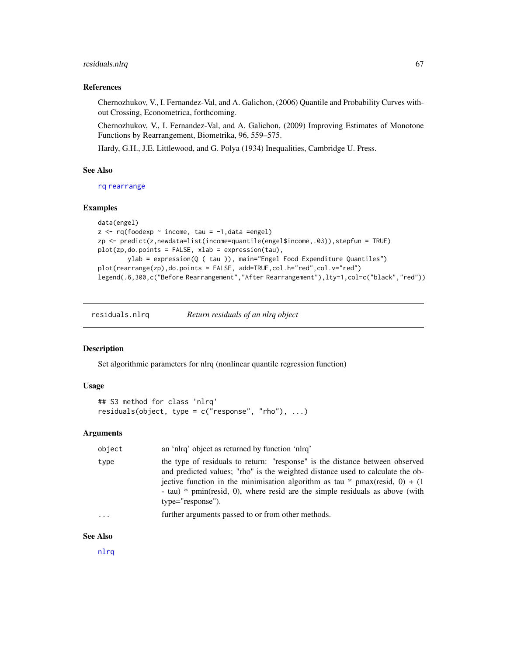# residuals.nlrq 67

## References

Chernozhukov, V., I. Fernandez-Val, and A. Galichon, (2006) Quantile and Probability Curves without Crossing, Econometrica, forthcoming.

Chernozhukov, V., I. Fernandez-Val, and A. Galichon, (2009) Improving Estimates of Monotone Functions by Rearrangement, Biometrika, 96, 559–575.

Hardy, G.H., J.E. Littlewood, and G. Polya (1934) Inequalities, Cambridge U. Press.

#### See Also

[rq](#page-67-0) [rearrange](#page-65-0)

## Examples

```
data(engel)
z \leq r q(foodexp \sim income, tau = -1, data = engel)zp <- predict(z,newdata=list(income=quantile(engel$income,.03)),stepfun = TRUE)
plot(zp,do.points = FALSE, xlab = expression(tau),
        ylab = expression(Q ( tau )), main="Engel Food Expenditure Quantiles")
plot(rearrange(zp),do.points = FALSE, add=TRUE,col.h="red",col.v="red")
legend(.6,300,c("Before Rearrangement","After Rearrangement"),lty=1,col=c("black","red"))
```
<span id="page-66-0"></span>residuals.nlrq *Return residuals of an nlrq object*

## Description

Set algorithmic parameters for nlrq (nonlinear quantile regression function)

#### Usage

```
## S3 method for class 'nlrq'
residuals(object, type = c("response", "rho"), ...)
```
# Arguments

| object  | an 'nlrq' object as returned by function 'nlrq'                                                                                                                                                                                                                                                                                                       |
|---------|-------------------------------------------------------------------------------------------------------------------------------------------------------------------------------------------------------------------------------------------------------------------------------------------------------------------------------------------------------|
| type    | the type of residuals to return: "response" is the distance between observed<br>and predicted values; "rho" is the weighted distance used to calculate the ob-<br>jective function in the minimisation algorithm as tau * pmax(resid, 0) + (1)<br>- tau) $*$ pmin(resid, 0), where resid are the simple residuals as above (with<br>type="response"). |
| $\cdot$ | further arguments passed to or from other methods.                                                                                                                                                                                                                                                                                                    |

## See Also

[nlrq](#page-40-0)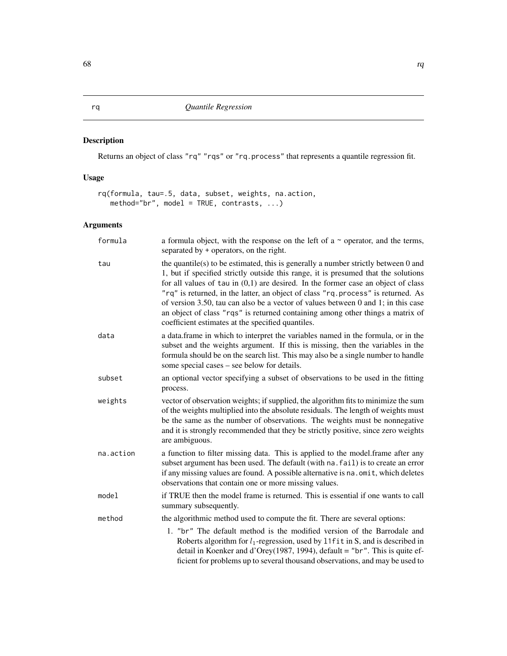# <span id="page-67-0"></span>Description

Returns an object of class "rq" "rqs" or "rq.process" that represents a quantile regression fit.

# Usage

rq(formula, tau=.5, data, subset, weights, na.action, method="br", model = TRUE, contrasts, ...)

# Arguments

| formula   | a formula object, with the response on the left of a $\sim$ operator, and the terms,<br>separated by + operators, on the right.                                                                                                                                                                                                                                                                                                                                                                                                                                                   |
|-----------|-----------------------------------------------------------------------------------------------------------------------------------------------------------------------------------------------------------------------------------------------------------------------------------------------------------------------------------------------------------------------------------------------------------------------------------------------------------------------------------------------------------------------------------------------------------------------------------|
| tau       | the quantile(s) to be estimated, this is generally a number strictly between $0$ and<br>1, but if specified strictly outside this range, it is presumed that the solutions<br>for all values of tau in $(0,1)$ are desired. In the former case an object of class<br>"rq" is returned, in the latter, an object of class "rq.process" is returned. As<br>of version 3.50, tau can also be a vector of values between 0 and 1; in this case<br>an object of class "rqs" is returned containing among other things a matrix of<br>coefficient estimates at the specified quantiles. |
| data      | a data.frame in which to interpret the variables named in the formula, or in the<br>subset and the weights argument. If this is missing, then the variables in the<br>formula should be on the search list. This may also be a single number to handle<br>some special cases – see below for details.                                                                                                                                                                                                                                                                             |
| subset    | an optional vector specifying a subset of observations to be used in the fitting<br>process.                                                                                                                                                                                                                                                                                                                                                                                                                                                                                      |
| weights   | vector of observation weights; if supplied, the algorithm fits to minimize the sum<br>of the weights multiplied into the absolute residuals. The length of weights must<br>be the same as the number of observations. The weights must be nonnegative<br>and it is strongly recommended that they be strictly positive, since zero weights<br>are ambiguous.                                                                                                                                                                                                                      |
| na.action | a function to filter missing data. This is applied to the model. frame after any<br>subset argument has been used. The default (with na. fail) is to create an error<br>if any missing values are found. A possible alternative is na. omit, which deletes<br>observations that contain one or more missing values.                                                                                                                                                                                                                                                               |
| model     | if TRUE then the model frame is returned. This is essential if one wants to call<br>summary subsequently.                                                                                                                                                                                                                                                                                                                                                                                                                                                                         |
| method    | the algorithmic method used to compute the fit. There are several options:                                                                                                                                                                                                                                                                                                                                                                                                                                                                                                        |
|           | 1. "br" The default method is the modified version of the Barrodale and<br>Roberts algorithm for $l_1$ -regression, used by 11f it in S, and is described in<br>detail in Koenker and d'Orey(1987, 1994), default = "br". This is quite ef-<br>ficient for problems up to several thousand observations, and may be used to                                                                                                                                                                                                                                                       |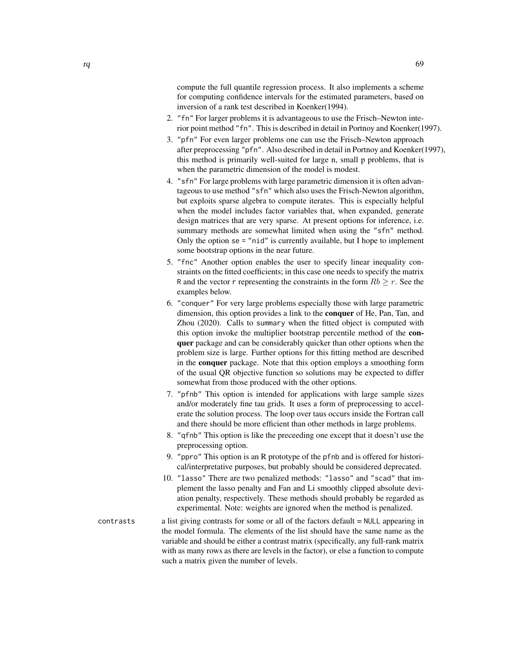compute the full quantile regression process. It also implements a scheme for computing confidence intervals for the estimated parameters, based on inversion of a rank test described in Koenker(1994).

- 2. "fn" For larger problems it is advantageous to use the Frisch–Newton interior point method "fn". This is described in detail in Portnoy and Koenker(1997).
- 3. "pfn" For even larger problems one can use the Frisch–Newton approach after preprocessing "pfn". Also described in detail in Portnoy and Koenker(1997), this method is primarily well-suited for large n, small p problems, that is when the parametric dimension of the model is modest.
- 4. "sfn" For large problems with large parametric dimension it is often advantageous to use method "sfn" which also uses the Frisch-Newton algorithm, but exploits sparse algebra to compute iterates. This is especially helpful when the model includes factor variables that, when expanded, generate design matrices that are very sparse. At present options for inference, i.e. summary methods are somewhat limited when using the "sfn" method. Only the option se = "nid" is currently available, but I hope to implement some bootstrap options in the near future.
- 5. "fnc" Another option enables the user to specify linear inequality constraints on the fitted coefficients; in this case one needs to specify the matrix R and the vector r representing the constraints in the form  $Rb \ge r$ . See the examples below.
- 6. "conquer" For very large problems especially those with large parametric dimension, this option provides a link to the conquer of He, Pan, Tan, and Zhou (2020). Calls to summary when the fitted object is computed with this option invoke the multiplier bootstrap percentile method of the conquer package and can be considerably quicker than other options when the problem size is large. Further options for this fitting method are described in the conquer package. Note that this option employs a smoothing form of the usual QR objective function so solutions may be expected to differ somewhat from those produced with the other options.
- 7. "pfnb" This option is intended for applications with large sample sizes and/or moderately fine tau grids. It uses a form of preprocessing to accelerate the solution process. The loop over taus occurs inside the Fortran call and there should be more efficient than other methods in large problems.
- 8. "qfnb" This option is like the preceeding one except that it doesn't use the preprocessing option.
- 9. "ppro" This option is an R prototype of the pfnb and is offered for historical/interpretative purposes, but probably should be considered deprecated.
- 10. "lasso" There are two penalized methods: "lasso" and "scad" that implement the lasso penalty and Fan and Li smoothly clipped absolute deviation penalty, respectively. These methods should probably be regarded as experimental. Note: weights are ignored when the method is penalized.
- contrasts a list giving contrasts for some or all of the factors default = NULL appearing in the model formula. The elements of the list should have the same name as the variable and should be either a contrast matrix (specifically, any full-rank matrix with as many rows as there are levels in the factor), or else a function to compute such a matrix given the number of levels.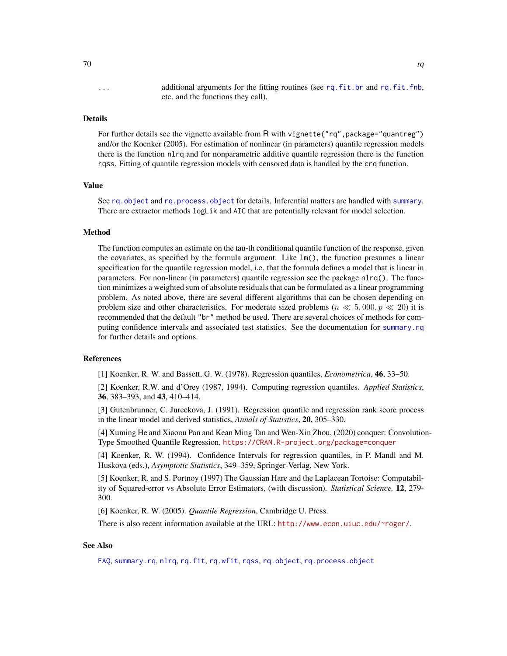... additional arguments for the fitting routines (see [rq.fit.br](#page-71-0) and [rq.fit.fnb](#page-74-0), etc. and the functions they call).

## Details

For further details see the vignette available from R with vignette("rq", package="quantreg") and/or the Koenker (2005). For estimation of nonlinear (in parameters) quantile regression models there is the function nlrq and for nonparametric additive quantile regression there is the function rqss. Fitting of quantile regression models with censored data is handled by the crq function.

## Value

See rq. object and [rq.process.object](#page-89-0) for details. Inferential matters are handled with [summary](#page-0-0). There are extractor methods logLik and AIC that are potentially relevant for model selection.

## Method

The function computes an estimate on the tau-th conditional quantile function of the response, given the covariates, as specified by the formula argument. Like  $lm()$ , the function presumes a linear specification for the quantile regression model, i.e. that the formula defines a model that is linear in parameters. For non-linear (in parameters) quantile regression see the package nlrq(). The function minimizes a weighted sum of absolute residuals that can be formulated as a linear programming problem. As noted above, there are several different algorithms that can be chosen depending on problem size and other characteristics. For moderate sized problems ( $n \ll 5,000, p \ll 20$ ) it is recommended that the default "br" method be used. There are several choices of methods for computing confidence intervals and associated test statistics. See the documentation for [summary.rq](#page-101-0) for further details and options.

## References

[1] Koenker, R. W. and Bassett, G. W. (1978). Regression quantiles, *Econometrica*, 46, 33–50.

[2] Koenker, R.W. and d'Orey (1987, 1994). Computing regression quantiles. *Applied Statistics*, 36, 383–393, and 43, 410–414.

[3] Gutenbrunner, C. Jureckova, J. (1991). Regression quantile and regression rank score process in the linear model and derived statistics, *Annals of Statistics*, 20, 305–330.

[4] Xuming He and Xiaoou Pan and Kean Ming Tan and Wen-Xin Zhou, (2020) conquer: Convolution-Type Smoothed Quantile Regression, <https://CRAN.R-project.org/package=conquer>

[4] Koenker, R. W. (1994). Confidence Intervals for regression quantiles, in P. Mandl and M. Huskova (eds.), *Asymptotic Statistics*, 349–359, Springer-Verlag, New York.

[5] Koenker, R. and S. Portnoy (1997) The Gaussian Hare and the Laplacean Tortoise: Computability of Squared-error vs Absolute Error Estimators, (with discussion). *Statistical Science,* 12, 279- 300.

[6] Koenker, R. W. (2005). *Quantile Regression*, Cambridge U. Press.

There is also recent information available at the URL: <http://www.econ.uiuc.edu/~roger/>.

## See Also

[FAQ](#page-27-0), [summary.rq](#page-101-0), [nlrq](#page-40-0), [rq.fit](#page-70-0), [rq.wfit](#page-90-0), [rqss](#page-93-0), [rq.object](#page-88-0), [rq.process.object](#page-89-0)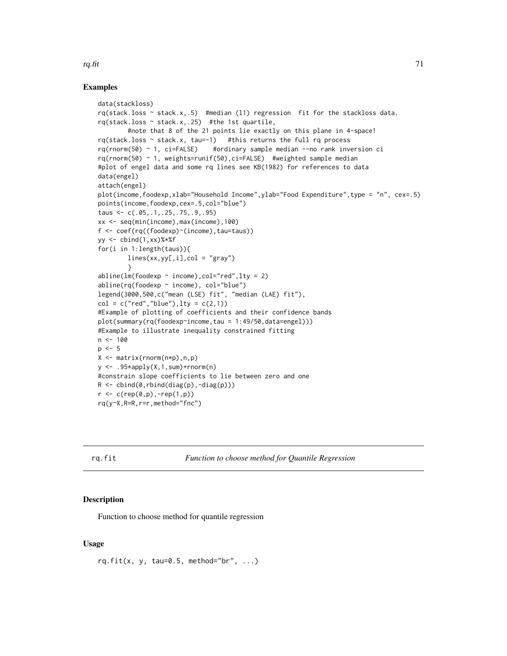## Examples

```
data(stackloss)
rq(stack.loss ~ stack.x,.5) #median (l1) regression fit for the stackloss data.
rq(\text{stack.loss} \sim \text{stack.x,.25}) #the 1st quartile,
        #note that 8 of the 21 points lie exactly on this plane in 4-space!
rq(stack.loss ~ stack.x, tau=-1) #this returns the full rq process
rq(rnorm(50) ~ 1, ci=FALSE) #ordinary sample median --no rank inversion ci
rq(rnorm(50) ~ 1, weights=runif(50),ci=FALSE) #weighted sample median
#plot of engel data and some rq lines see KB(1982) for references to data
data(engel)
attach(engel)
plot(income,foodexp,xlab="Household Income",ylab="Food Expenditure",type = "n", cex=.5)
points(income,foodexp,cex=.5,col="blue")
taus <- c(.05,.1,.25,.75,.9,.95)
xx <- seq(min(income),max(income),100)
f <- coef(rq((foodexp)~(income),tau=taus))
yy \le cbind(1,xx)%*%f
for(i in 1:length(taus)){
        lines(xx, yy[, i], col = "gray")}
abline(lm(foodexp ~ nicone), col="red", lty = 2)abline(rq(foodexp \sim income), col="blue")legend(3000,500,c("mean (LSE) fit", "median (LAE) fit"),
col = c("red", "blue"), lty = c(2,1))#Example of plotting of coefficients and their confidence bands
plot(summary(rq(foodexp~income,tau = 1:49/50,data=engel)))
#Example to illustrate inequality constrained fitting
n < -100p \le -5X \leq - matrix(rnorm(n*p),n,p)
y \le - .95*apply(X,1,sum)+rnorm(n)
#constrain slope coefficients to lie between zero and one
R \leftarrow \text{cbind}(\emptyset, \text{rbind}(\text{diag}(p), -\text{diag}(p)))r < -c(rep(\theta, p), -rep(1, p))rq(y~X,R=R,r=r,method="fnc")
```
<span id="page-70-0"></span>rq.fit *Function to choose method for Quantile Regression*

## **Description**

Function to choose method for quantile regression

## Usage

rq.fit(x, y, tau=0.5, method="br", ...)

rq.fit  $71$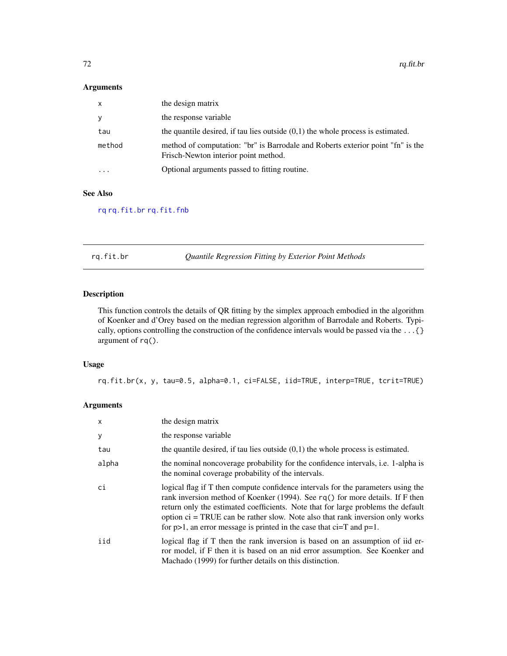## Arguments

| $\mathsf{x}$            | the design matrix                                                                                                       |
|-------------------------|-------------------------------------------------------------------------------------------------------------------------|
| y                       | the response variable                                                                                                   |
| tau                     | the quantile desired, if tau lies outside $(0,1)$ the whole process is estimated.                                       |
| method                  | method of computation: "br" is Barrodale and Roberts exterior point "fn" is the<br>Frisch-Newton interior point method. |
| $\cdot$ $\cdot$ $\cdot$ | Optional arguments passed to fitting routine.                                                                           |

## See Also

[rq](#page-67-0) [rq.fit.br](#page-71-0) [rq.fit.fnb](#page-74-0)

<span id="page-71-0"></span>rq.fit.br *Quantile Regression Fitting by Exterior Point Methods*

# Description

This function controls the details of QR fitting by the simplex approach embodied in the algorithm of Koenker and d'Orey based on the median regression algorithm of Barrodale and Roberts. Typically, options controlling the construction of the confidence intervals would be passed via the ...{} argument of rq().

## Usage

rq.fit.br(x, y, tau=0.5, alpha=0.1, ci=FALSE, iid=TRUE, interp=TRUE, tcrit=TRUE)

# Arguments

| $\mathsf{x}$ | the design matrix                                                                                                                                                                                                                                                                                                                                                                                                       |
|--------------|-------------------------------------------------------------------------------------------------------------------------------------------------------------------------------------------------------------------------------------------------------------------------------------------------------------------------------------------------------------------------------------------------------------------------|
| У            | the response variable                                                                                                                                                                                                                                                                                                                                                                                                   |
| tau          | the quantile desired, if tau lies outside $(0,1)$ the whole process is estimated.                                                                                                                                                                                                                                                                                                                                       |
| alpha        | the nominal noncoverage probability for the confidence intervals, i.e. 1-alpha is<br>the nominal coverage probability of the intervals.                                                                                                                                                                                                                                                                                 |
| ci           | logical flag if T then compute confidence intervals for the parameters using the<br>rank inversion method of Koenker (1994). See $rq()$ for more details. If F then<br>return only the estimated coefficients. Note that for large problems the default<br>option $ci = TRUE$ can be rather slow. Note also that rank inversion only works<br>for $p>1$ , an error message is printed in the case that ci=T and $p=1$ . |
| iid          | logical flag if T then the rank inversion is based on an assumption of ide-<br>ror model, if F then it is based on an nid error assumption. See Koenker and<br>Machado (1999) for further details on this distinction.                                                                                                                                                                                                  |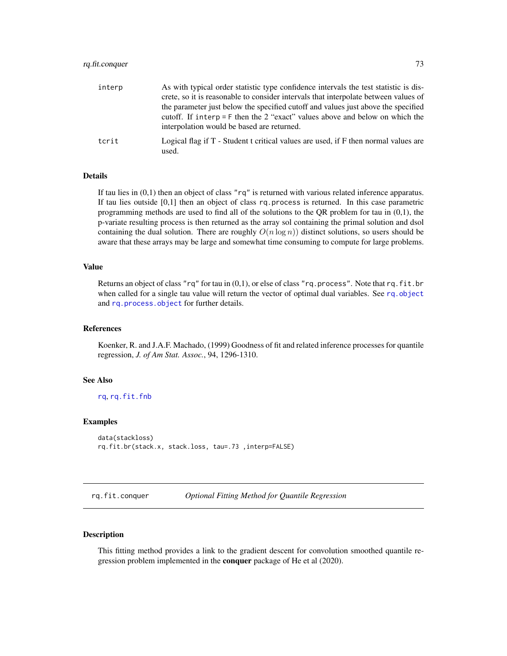## rq.fit.conquer 73

| interp | As with typical order statistic type confidence intervals the test statistic is dis-<br>crete, so it is reasonable to consider intervals that interpolate between values of                                       |
|--------|-------------------------------------------------------------------------------------------------------------------------------------------------------------------------------------------------------------------|
|        | the parameter just below the specified cutoff and values just above the specified<br>cutoff. If interp = $F$ then the 2 "exact" values above and below on which the<br>interpolation would be based are returned. |
| tcrit  | Logical flag if T - Student t critical values are used, if F then normal values are<br>used.                                                                                                                      |

#### Details

If tau lies in (0,1) then an object of class "rq" is returned with various related inference apparatus. If tau lies outside [0,1] then an object of class rq.process is returned. In this case parametric programming methods are used to find all of the solutions to the QR problem for tau in (0,1), the p-variate resulting process is then returned as the array sol containing the primal solution and dsol containing the dual solution. There are roughly  $O(n \log n)$  distinct solutions, so users should be aware that these arrays may be large and somewhat time consuming to compute for large problems.

#### Value

Returns an object of class " $rq$ " for tau in  $(0,1)$ , or else of class "rq.process". Note that rq.fit.br when called for a single tau value will return the vector of optimal dual variables. See [rq.object](#page-88-0) and [rq.process.object](#page-89-0) for further details.

# References

Koenker, R. and J.A.F. Machado, (1999) Goodness of fit and related inference processes for quantile regression, *J. of Am Stat. Assoc.*, 94, 1296-1310.

## See Also

[rq](#page-67-0), [rq.fit.fnb](#page-74-0)

#### Examples

```
data(stackloss)
rq.fit.br(stack.x, stack.loss, tau=.73 ,interp=FALSE)
```
rq.fit.conquer *Optional Fitting Method for Quantile Regression*

#### Description

This fitting method provides a link to the gradient descent for convolution smoothed quantile regression problem implemented in the **conquer** package of He et al (2020).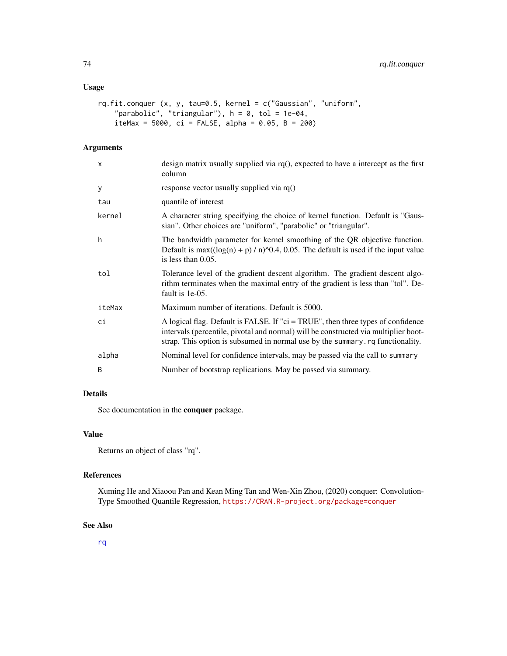## Usage

```
rq.fit.conquer (x, y, tau=0.5, kernel = c("Gaussian", "uniform",
   "parabolic", "triangular"), h = 0, tol = 1e-04,
   iteMax = 5000, ci = FALSE, alpha = 0.05, B = 200)
```
## Arguments

| design matrix usually supplied via $rq()$ , expected to have a intercept as the first<br>column                                                                                                                                                           |
|-----------------------------------------------------------------------------------------------------------------------------------------------------------------------------------------------------------------------------------------------------------|
| response vector usually supplied via $rq()$                                                                                                                                                                                                               |
| quantile of interest                                                                                                                                                                                                                                      |
| A character string specifying the choice of kernel function. Default is "Gaus-<br>sian". Other choices are "uniform", "parabolic" or "triangular".                                                                                                        |
| The bandwidth parameter for kernel smoothing of the QR objective function.<br>Default is max( $(\log(n) + p) / n$ ) ^0.4, 0.05. The default is used if the input value<br>is less than $0.05$ .                                                           |
| Tolerance level of the gradient descent algorithm. The gradient descent algo-<br>rithm terminates when the maximal entry of the gradient is less than "tol". De-<br>fault is 1e-05.                                                                       |
| Maximum number of iterations. Default is 5000.                                                                                                                                                                                                            |
| A logical flag. Default is FALSE. If "ci = TRUE", then three types of confidence<br>intervals (percentile, pivotal and normal) will be constructed via multiplier boot-<br>strap. This option is subsumed in normal use by the summary. rq functionality. |
| Nominal level for confidence intervals, may be passed via the call to summary                                                                                                                                                                             |
| Number of bootstrap replications. May be passed via summary.                                                                                                                                                                                              |
|                                                                                                                                                                                                                                                           |

# Details

See documentation in the conquer package.

### Value

Returns an object of class "rq".

#### References

Xuming He and Xiaoou Pan and Kean Ming Tan and Wen-Xin Zhou, (2020) conquer: Convolution-Type Smoothed Quantile Regression, <https://CRAN.R-project.org/package=conquer>

## See Also

[rq](#page-67-0)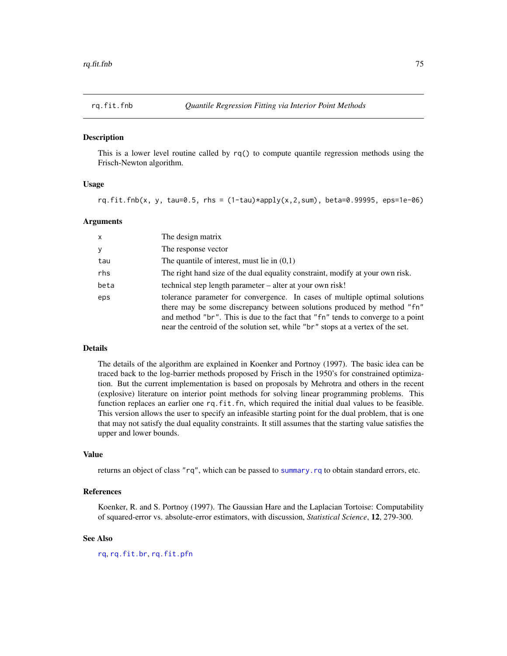<span id="page-74-0"></span>

#### Description

This is a lower level routine called by rq() to compute quantile regression methods using the Frisch-Newton algorithm.

#### Usage

rq.fit.fnb(x, y, tau=0.5, rhs =  $(1-tau)*apply(x,2,sum)$ , beta=0.99995, eps=1e-06)

#### Arguments

| $\mathsf{x}$ | The design matrix                                                                                                                                                                                                                                                                                                            |
|--------------|------------------------------------------------------------------------------------------------------------------------------------------------------------------------------------------------------------------------------------------------------------------------------------------------------------------------------|
| y            | The response vector                                                                                                                                                                                                                                                                                                          |
| tau          | The quantile of interest, must lie in $(0,1)$                                                                                                                                                                                                                                                                                |
| rhs          | The right hand size of the dual equality constraint, modify at your own risk.                                                                                                                                                                                                                                                |
| beta         | technical step length parameter – alter at your own risk!                                                                                                                                                                                                                                                                    |
| eps          | tolerance parameter for convergence. In cases of multiple optimal solutions<br>there may be some discrepancy between solutions produced by method "fn"<br>and method "br". This is due to the fact that "fn" tends to converge to a point<br>near the centroid of the solution set, while "br" stops at a vertex of the set. |

# Details

The details of the algorithm are explained in Koenker and Portnoy (1997). The basic idea can be traced back to the log-barrier methods proposed by Frisch in the 1950's for constrained optimization. But the current implementation is based on proposals by Mehrotra and others in the recent (explosive) literature on interior point methods for solving linear programming problems. This function replaces an earlier one rq.fit.fn, which required the initial dual values to be feasible. This version allows the user to specify an infeasible starting point for the dual problem, that is one that may not satisfy the dual equality constraints. It still assumes that the starting value satisfies the upper and lower bounds.

### Value

returns an object of class "rq", which can be passed to [summary.rq](#page-101-0) to obtain standard errors, etc.

#### References

Koenker, R. and S. Portnoy (1997). The Gaussian Hare and the Laplacian Tortoise: Computability of squared-error vs. absolute-error estimators, with discussion, *Statistical Science*, 12, 279-300.

## See Also

[rq](#page-67-0), [rq.fit.br](#page-71-0), [rq.fit.pfn](#page-78-0)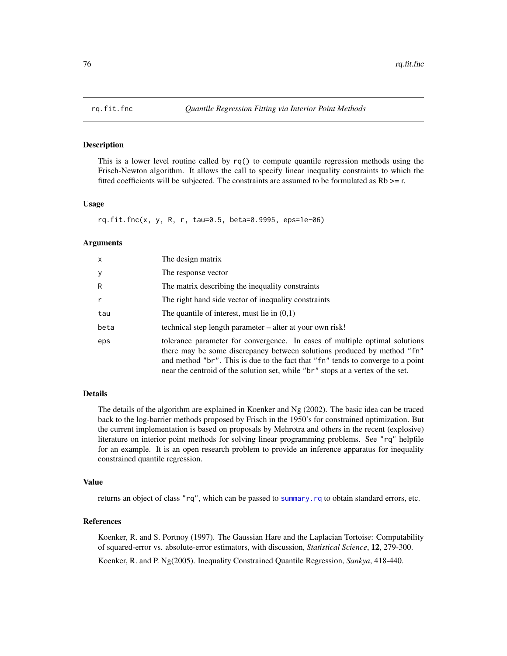## Description

This is a lower level routine called by rq() to compute quantile regression methods using the Frisch-Newton algorithm. It allows the call to specify linear inequality constraints to which the fitted coefficients will be subjected. The constraints are assumed to be formulated as  $Rb \geq r$ .

## Usage

```
rq.fit.fnc(x, y, R, r, tau=0.5, beta=0.9995, eps=1e-06)
```
#### Arguments

| x    | The design matrix                                                                                                                                                                                                                                                                                                            |
|------|------------------------------------------------------------------------------------------------------------------------------------------------------------------------------------------------------------------------------------------------------------------------------------------------------------------------------|
| у    | The response vector                                                                                                                                                                                                                                                                                                          |
| R    | The matrix describing the inequality constraints                                                                                                                                                                                                                                                                             |
| r    | The right hand side vector of inequality constraints                                                                                                                                                                                                                                                                         |
| tau  | The quantile of interest, must lie in $(0,1)$                                                                                                                                                                                                                                                                                |
| beta | technical step length parameter – alter at your own risk!                                                                                                                                                                                                                                                                    |
| eps  | tolerance parameter for convergence. In cases of multiple optimal solutions<br>there may be some discrepancy between solutions produced by method "fn"<br>and method "br". This is due to the fact that "fn" tends to converge to a point<br>near the centroid of the solution set, while "br" stops at a vertex of the set. |

### Details

The details of the algorithm are explained in Koenker and Ng (2002). The basic idea can be traced back to the log-barrier methods proposed by Frisch in the 1950's for constrained optimization. But the current implementation is based on proposals by Mehrotra and others in the recent (explosive) literature on interior point methods for solving linear programming problems. See "rq" helpfile for an example. It is an open research problem to provide an inference apparatus for inequality constrained quantile regression.

#### Value

returns an object of class "rq", which can be passed to [summary.rq](#page-101-0) to obtain standard errors, etc.

#### References

Koenker, R. and S. Portnoy (1997). The Gaussian Hare and the Laplacian Tortoise: Computability of squared-error vs. absolute-error estimators, with discussion, *Statistical Science*, 12, 279-300. Koenker, R. and P. Ng(2005). Inequality Constrained Quantile Regression, *Sankya*, 418-440.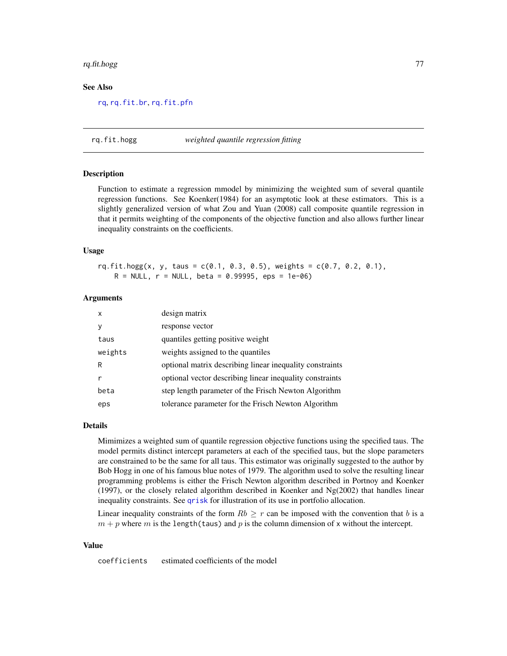# rq.fit.hogg 77

#### See Also

[rq](#page-67-0), [rq.fit.br](#page-71-0), [rq.fit.pfn](#page-78-0)

rq.fit.hogg *weighted quantile regression fitting*

#### Description

Function to estimate a regression mmodel by minimizing the weighted sum of several quantile regression functions. See Koenker(1984) for an asymptotic look at these estimators. This is a slightly generalized version of what Zou and Yuan (2008) call composite quantile regression in that it permits weighting of the components of the objective function and also allows further linear inequality constraints on the coefficients.

#### Usage

 $rq.fit.hogg(x, y, taus = c(0.1, 0.3, 0.5), weights = c(0.7, 0.2, 0.1),$  $R = NULL$ ,  $r = NULL$ , beta = 0.99995, eps = 1e-06)

#### Arguments

| x       | design matrix                                            |
|---------|----------------------------------------------------------|
| v       | response vector                                          |
| taus    | quantiles getting positive weight                        |
| weights | weights assigned to the quantiles                        |
| R       | optional matrix describing linear inequality constraints |
| r       | optional vector describing linear inequality constraints |
| beta    | step length parameter of the Frisch Newton Algorithm     |
| eps     | tolerance parameter for the Frisch Newton Algorithm      |

### Details

Mimimizes a weighted sum of quantile regression objective functions using the specified taus. The model permits distinct intercept parameters at each of the specified taus, but the slope parameters are constrained to be the same for all taus. This estimator was originally suggested to the author by Bob Hogg in one of his famous blue notes of 1979. The algorithm used to solve the resulting linear programming problems is either the Frisch Newton algorithm described in Portnoy and Koenker  $(1997)$ , or the closely related algorithm described in Koenker and Ng $(2002)$  that handles linear inequality constraints. See [qrisk](#page-58-0) for illustration of its use in portfolio allocation.

Linear inequality constraints of the form  $Rb > r$  can be imposed with the convention that b is a  $m + p$  where m is the length(taus) and p is the column dimension of x without the intercept.

#### Value

coefficients estimated coefficients of the model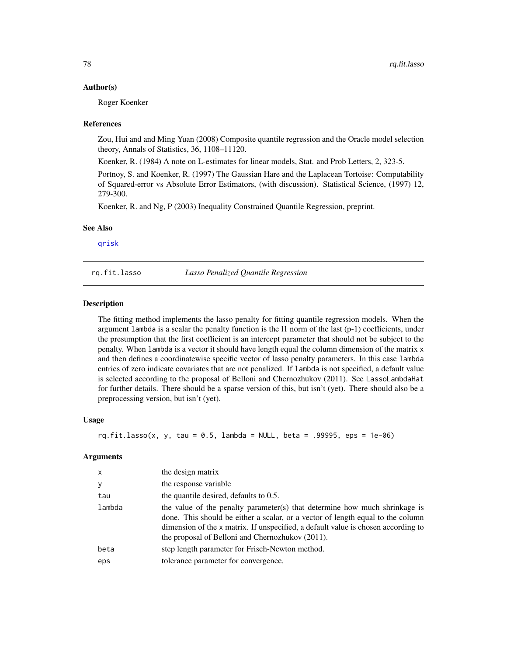#### Author(s)

Roger Koenker

#### References

Zou, Hui and and Ming Yuan (2008) Composite quantile regression and the Oracle model selection theory, Annals of Statistics, 36, 1108–11120.

Koenker, R. (1984) A note on L-estimates for linear models, Stat. and Prob Letters, 2, 323-5.

Portnoy, S. and Koenker, R. (1997) The Gaussian Hare and the Laplacean Tortoise: Computability of Squared-error vs Absolute Error Estimators, (with discussion). Statistical Science, (1997) 12, 279-300.

Koenker, R. and Ng, P (2003) Inequality Constrained Quantile Regression, preprint.

#### See Also

[qrisk](#page-58-0)

<span id="page-77-0"></span>rq.fit.lasso *Lasso Penalized Quantile Regression*

#### **Description**

The fitting method implements the lasso penalty for fitting quantile regression models. When the argument lambda is a scalar the penalty function is the  $11$  norm of the last  $(p-1)$  coefficients, under the presumption that the first coefficient is an intercept parameter that should not be subject to the penalty. When lambda is a vector it should have length equal the column dimension of the matrix x and then defines a coordinatewise specific vector of lasso penalty parameters. In this case lambda entries of zero indicate covariates that are not penalized. If lambda is not specified, a default value is selected according to the proposal of Belloni and Chernozhukov (2011). See LassoLambdaHat for further details. There should be a sparse version of this, but isn't (yet). There should also be a preprocessing version, but isn't (yet).

#### Usage

```
rq.fit.lasso(x, y, tau = 0.5, lambda = NULL, beta = .99995, eps = 1e-06)
```
#### Arguments

| x      | the design matrix                                                                                                                                                                                                                                                                                      |
|--------|--------------------------------------------------------------------------------------------------------------------------------------------------------------------------------------------------------------------------------------------------------------------------------------------------------|
| y      | the response variable                                                                                                                                                                                                                                                                                  |
| tau    | the quantile desired, defaults to $0.5$ .                                                                                                                                                                                                                                                              |
| lambda | the value of the penalty parameter(s) that determine how much shrinkage is<br>done. This should be either a scalar, or a vector of length equal to the column<br>dimension of the x matrix. If unspecified, a default value is chosen according to<br>the proposal of Belloni and Chernozhukov (2011). |
| beta   | step length parameter for Frisch-Newton method.                                                                                                                                                                                                                                                        |
| eps    | tolerance parameter for convergence.                                                                                                                                                                                                                                                                   |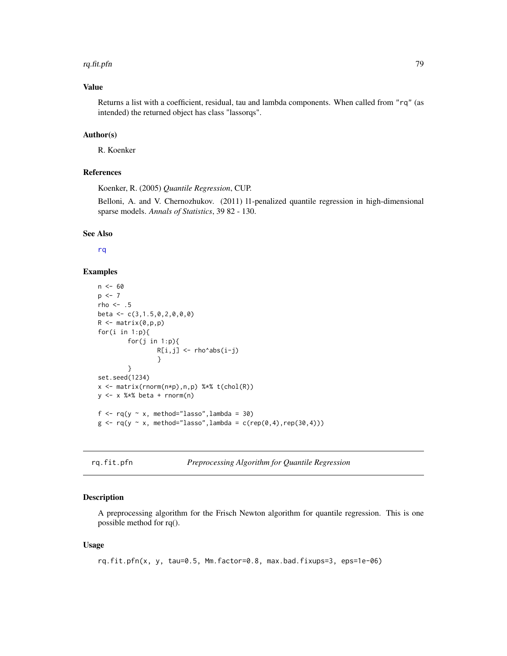#### rq.fit.pfn 79

## Value

Returns a list with a coefficient, residual, tau and lambda components. When called from "rq" (as intended) the returned object has class "lassorqs".

# Author(s)

R. Koenker

## References

Koenker, R. (2005) *Quantile Regression*, CUP.

Belloni, A. and V. Chernozhukov. (2011) l1-penalized quantile regression in high-dimensional sparse models. *Annals of Statistics*, 39 82 - 130.

#### See Also

[rq](#page-67-0)

## Examples

```
n < - 60p \le -7rho <-.5
beta <- c(3,1.5,0,2,0,0,0)
R \leq - matrix(0,p,p)
for(i in 1:p){
         for(j in 1:p){
                  R[i,j] <- rho^abs(i-j)
                  }
         }
set.seed(1234)
x <- matrix(rnorm(n*p),n,p) %*% t(chol(R))
y <- x %*% beta + rnorm(n)
f \leq rq(y \sim x, method="lasso", lambda = 30)
g \leftarrow rq(y \sim x, \text{ method}="lasso", \text{lambda} = c(rep(\theta, 4), rep(3\theta, 4)))
```

```
rq.fit.pfn Preprocessing Algorithm for Quantile Regression
```
## Description

A preprocessing algorithm for the Frisch Newton algorithm for quantile regression. This is one possible method for rq().

#### Usage

rq.fit.pfn(x, y, tau=0.5, Mm.factor=0.8, max.bad.fixups=3, eps=1e-06)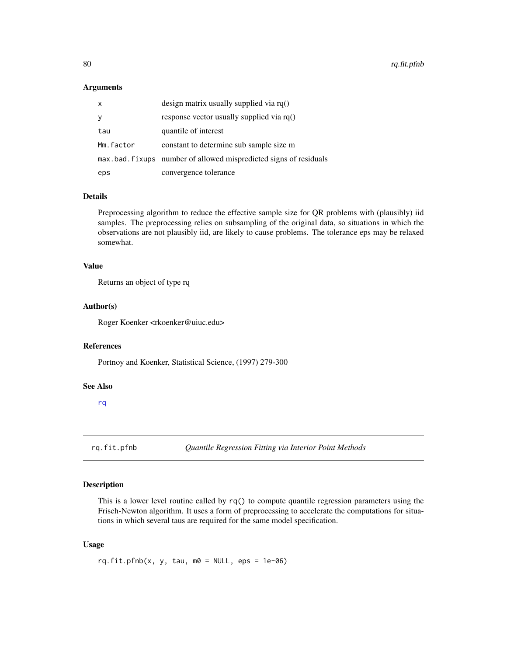#### Arguments

| x         | design matrix usually supplied via $rq()$                         |
|-----------|-------------------------------------------------------------------|
| У         | response vector usually supplied via rq()                         |
| tau       | quantile of interest                                              |
| Mm.factor | constant to determine sub sample size m                           |
|           | max bad. fixups number of allowed mispredicted signs of residuals |
| eps       | convergence tolerance                                             |

## Details

Preprocessing algorithm to reduce the effective sample size for QR problems with (plausibly) iid samples. The preprocessing relies on subsampling of the original data, so situations in which the observations are not plausibly iid, are likely to cause problems. The tolerance eps may be relaxed somewhat.

## Value

Returns an object of type rq

### Author(s)

Roger Koenker <rkoenker@uiuc.edu>

# References

Portnoy and Koenker, Statistical Science, (1997) 279-300

#### See Also

[rq](#page-67-0)

<span id="page-79-0"></span>rq.fit.pfnb *Quantile Regression Fitting via Interior Point Methods*

#### Description

This is a lower level routine called by rq() to compute quantile regression parameters using the Frisch-Newton algorithm. It uses a form of preprocessing to accelerate the computations for situations in which several taus are required for the same model specification.

#### Usage

rq.fit.pfnb(x, y, tau,  $m0 = NULL$ , eps = 1e-06)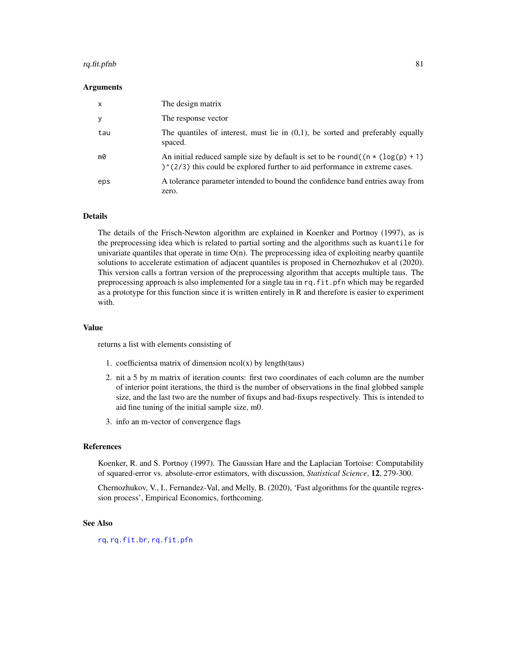#### rq.fit.pfnb 81

#### Arguments

| $\times$ | The design matrix                                                                                                                                                            |
|----------|------------------------------------------------------------------------------------------------------------------------------------------------------------------------------|
| у        | The response vector                                                                                                                                                          |
| tau      | The quantiles of interest, must lie in $(0,1)$ , be sorted and preferably equally<br>spaced.                                                                                 |
| m0       | An initial reduced sample size by default is set to be round( $(n \star (log(p) + 1))$<br>$\binom{1}{2}$ this could be explored further to aid performance in extreme cases. |
| eps      | A tolerance parameter intended to bound the confidence band entries away from<br>zero.                                                                                       |

#### Details

The details of the Frisch-Newton algorithm are explained in Koenker and Portnoy (1997), as is the preprocessing idea which is related to partial sorting and the algorithms such as kuantile for univariate quantiles that operate in time  $O(n)$ . The preprocessing idea of exploiting nearby quantile solutions to accelerate estimation of adjacent quantiles is proposed in Chernozhukov et al (2020). This version calls a fortran version of the preprocessing algorithm that accepts multiple taus. The preprocessing approach is also implemented for a single tau in rq.fit.pfn which may be regarded as a prototype for this function since it is written entirely in R and therefore is easier to experiment with.

#### Value

returns a list with elements consisting of

- 1. coefficientsa matrix of dimension  $ncol(x)$  by length(taus)
- 2. nit a 5 by m matrix of iteration counts: first two coordinates of each column are the number of interior point iterations, the third is the number of observations in the final globbed sample size, and the last two are the number of fixups and bad-fixups respectively. This is intended to aid fine tuning of the initial sample size, m0.
- 3. info an m-vector of convergence flags

## References

Koenker, R. and S. Portnoy (1997). The Gaussian Hare and the Laplacian Tortoise: Computability of squared-error vs. absolute-error estimators, with discussion, *Statistical Science*, 12, 279-300.

Chernozhukov, V., I., Fernandez-Val, and Melly, B. (2020), 'Fast algorithms for the quantile regression process', Empirical Economics, forthcoming.

#### See Also

[rq](#page-67-0), [rq.fit.br](#page-71-0), [rq.fit.pfn](#page-78-0)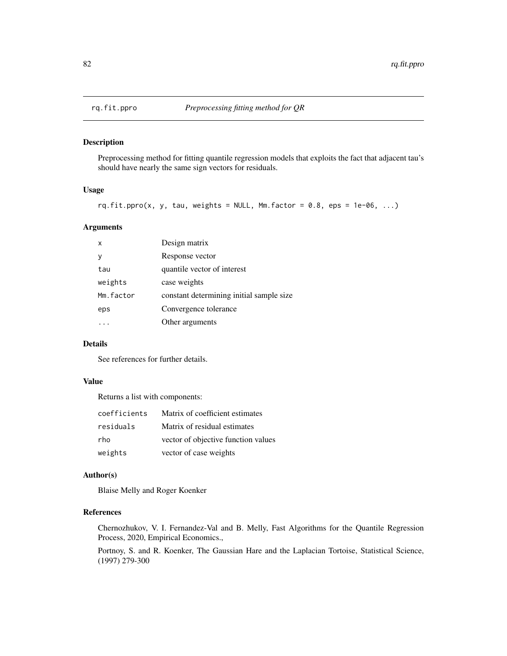## Description

Preprocessing method for fitting quantile regression models that exploits the fact that adjacent tau's should have nearly the same sign vectors for residuals.

#### Usage

 $rq.fit.ppro(x, y, tau, weights = NULL, Mm.factor = 0.8,eps = 1e-06, ...)$ 

## Arguments

| x         | Design matrix                            |
|-----------|------------------------------------------|
| ٧         | Response vector                          |
| tau       | quantile vector of interest              |
| weights   | case weights                             |
| Mm.factor | constant determining initial sample size |
| eps       | Convergence tolerance                    |
|           | Other arguments                          |
|           |                                          |

# Details

See references for further details.

## Value

Returns a list with components:

| coefficients | Matrix of coefficient estimates     |
|--------------|-------------------------------------|
| residuals    | Matrix of residual estimates        |
| rho          | vector of objective function values |
| weights      | vector of case weights              |

## Author(s)

Blaise Melly and Roger Koenker

# References

Chernozhukov, V. I. Fernandez-Val and B. Melly, Fast Algorithms for the Quantile Regression Process, 2020, Empirical Economics.,

Portnoy, S. and R. Koenker, The Gaussian Hare and the Laplacian Tortoise, Statistical Science, (1997) 279-300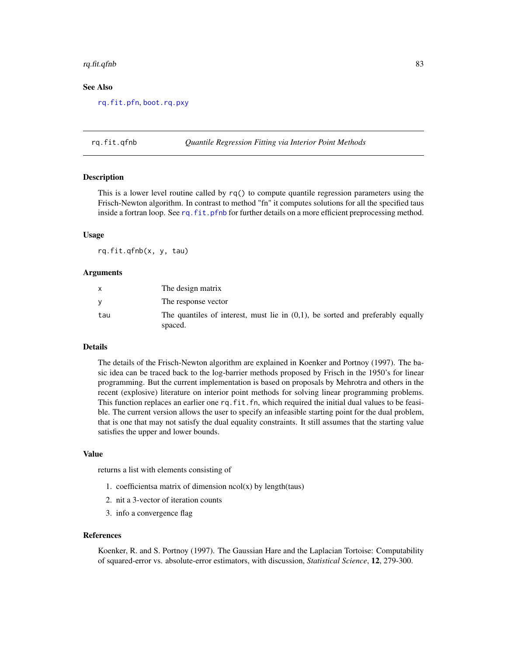#### rq.fit.qfnb 83

## See Also

[rq.fit.pfn](#page-78-0), [boot.rq.pxy](#page-14-0)

#### rq.fit.qfnb *Quantile Regression Fitting via Interior Point Methods*

#### Description

This is a lower level routine called by rq() to compute quantile regression parameters using the Frisch-Newton algorithm. In contrast to method "fn" it computes solutions for all the specified taus inside a fortran loop. See [rq.fit.pfnb](#page-79-0) for further details on a more efficient preprocessing method.

## Usage

rq.fit.qfnb(x, y, tau)

#### Arguments

|     | The design matrix                                                                            |
|-----|----------------------------------------------------------------------------------------------|
|     | The response vector                                                                          |
| tau | The quantiles of interest, must lie in $(0,1)$ , be sorted and preferably equally<br>spaced. |

## Details

The details of the Frisch-Newton algorithm are explained in Koenker and Portnoy (1997). The basic idea can be traced back to the log-barrier methods proposed by Frisch in the 1950's for linear programming. But the current implementation is based on proposals by Mehrotra and others in the recent (explosive) literature on interior point methods for solving linear programming problems. This function replaces an earlier one rq. fit. fn, which required the initial dual values to be feasible. The current version allows the user to specify an infeasible starting point for the dual problem, that is one that may not satisfy the dual equality constraints. It still assumes that the starting value satisfies the upper and lower bounds.

#### Value

returns a list with elements consisting of

- 1. coefficientsa matrix of dimension  $ncol(x)$  by length(taus)
- 2. nit a 3-vector of iteration counts
- 3. info a convergence flag

#### References

Koenker, R. and S. Portnoy (1997). The Gaussian Hare and the Laplacian Tortoise: Computability of squared-error vs. absolute-error estimators, with discussion, *Statistical Science*, 12, 279-300.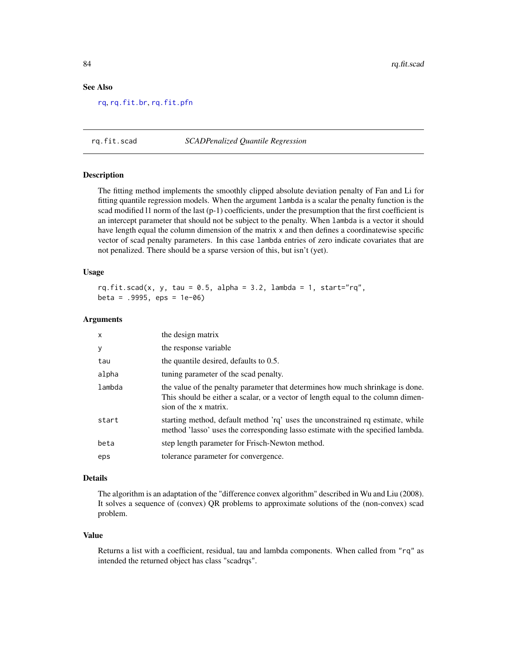## See Also

[rq](#page-67-0), [rq.fit.br](#page-71-0), [rq.fit.pfn](#page-78-0)

## rq.fit.scad *SCADPenalized Quantile Regression*

#### Description

The fitting method implements the smoothly clipped absolute deviation penalty of Fan and Li for fitting quantile regression models. When the argument lambda is a scalar the penalty function is the scad modified 11 norm of the last (p-1) coefficients, under the presumption that the first coefficient is an intercept parameter that should not be subject to the penalty. When lambda is a vector it should have length equal the column dimension of the matrix x and then defines a coordinatewise specific vector of scad penalty parameters. In this case lambda entries of zero indicate covariates that are not penalized. There should be a sparse version of this, but isn't (yet).

## Usage

```
rq.fit.scad(x, y, tau = 0.5, alpha = 3.2, lambda = 1, start="rq",beta = .9995, eps = 1e-06)
```
#### Arguments

| $\mathsf{x}$ | the design matrix                                                                                                                                                                           |
|--------------|---------------------------------------------------------------------------------------------------------------------------------------------------------------------------------------------|
| У            | the response variable                                                                                                                                                                       |
| tau          | the quantile desired, defaults to 0.5.                                                                                                                                                      |
| alpha        | tuning parameter of the scad penalty.                                                                                                                                                       |
| lambda       | the value of the penalty parameter that determines how much shrinkage is done.<br>This should be either a scalar, or a vector of length equal to the column dimen-<br>sion of the x matrix. |
| start        | starting method, default method 'rq' uses the unconstrained rq estimate, while<br>method 'lasso' uses the corresponding lasso estimate with the specified lambda.                           |
| beta         | step length parameter for Frisch-Newton method.                                                                                                                                             |
| eps          | tolerance parameter for convergence.                                                                                                                                                        |

## Details

The algorithm is an adaptation of the "difference convex algorithm" described in Wu and Liu (2008). It solves a sequence of (convex) QR problems to approximate solutions of the (non-convex) scad problem.

#### Value

Returns a list with a coefficient, residual, tau and lambda components. When called from "rq" as intended the returned object has class "scadrqs".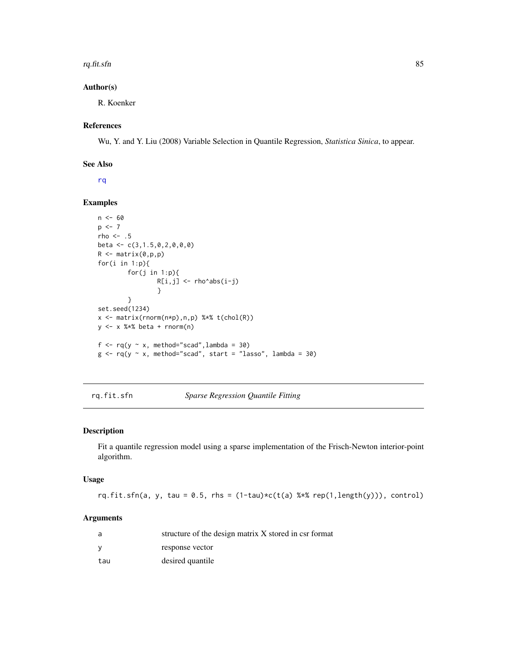#### rq.fit.sfn 85

## Author(s)

R. Koenker

## References

Wu, Y. and Y. Liu (2008) Variable Selection in Quantile Regression, *Statistica Sinica*, to appear.

## See Also

[rq](#page-67-0)

## Examples

```
n < - 60p \le -7rho <-.5
beta <- c(3,1.5,0,2,0,0,0)
R <- matrix(0,p,p)
for(i in 1:p){
        for(j in 1:p){
                 R[i,j] <- rho^abs(i-j)
                 }
        }
set.seed(1234)
x <- matrix(rnorm(n*p),n,p) %*% t(chol(R))
y <- x %*% beta + rnorm(n)
f \leq rq(y \sim x, method="scad", lambda = 30)
g \leq r q(y \sim x, \text{ method="s2a3a" \text{, start = "lasso", lambda = 30})
```
<span id="page-84-0"></span>rq.fit.sfn *Sparse Regression Quantile Fitting*

#### Description

Fit a quantile regression model using a sparse implementation of the Frisch-Newton interior-point algorithm.

## Usage

rq.fit.sfn(a, y, tau = 0.5, rhs =  $(1-tau)*(t(a)$  %\*% rep $(1, length(y)))$ , control)

#### Arguments

| a   | structure of the design matrix X stored in csr format |
|-----|-------------------------------------------------------|
|     | response vector                                       |
| tau | desired quantile                                      |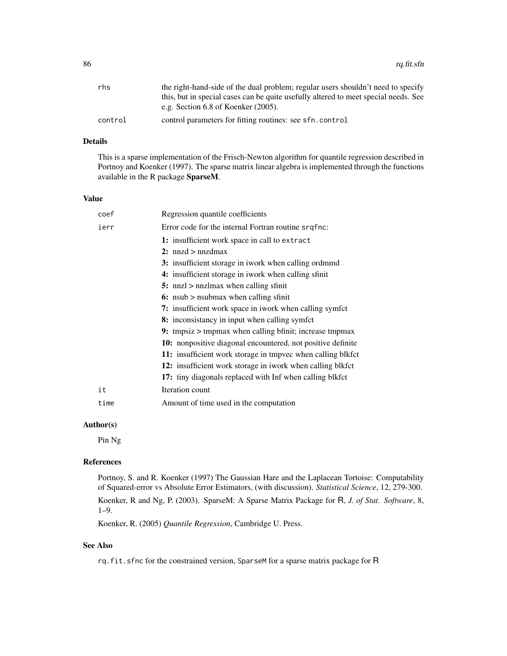| rhs     | the right-hand-side of the dual problem; regular users shouldn't need to specify    |
|---------|-------------------------------------------------------------------------------------|
|         | this, but in special cases can be quite usefully altered to meet special needs. See |
|         | e.g. Section $6.8$ of Koenker $(2005)$ .                                            |
| control | control parameters for fitting routines: see sfn.control                            |

## Details

This is a sparse implementation of the Frisch-Newton algorithm for quantile regression described in Portnoy and Koenker (1997). The sparse matrix linear algebra is implemented through the functions available in the R package SparseM.

#### Value

| coef | Regression quantile coefficients                                                                                                                                                                                                |
|------|---------------------------------------------------------------------------------------------------------------------------------------------------------------------------------------------------------------------------------|
| ierr | Error code for the internal Fortran routine srqfnc:                                                                                                                                                                             |
|      | 1: insufficient work space in call to extract                                                                                                                                                                                   |
|      | 2: $nnzd > nnzdmax$                                                                                                                                                                                                             |
|      | 3: insufficient storage in iwork when calling ordmmd                                                                                                                                                                            |
|      | 4: insufficient storage in iwork when calling sfinit                                                                                                                                                                            |
|      | 5: $nnz1$ > $nnz1$ $mnz1$ $mz1$ $mz1$ $mz1$ $mz1$ $mz1$ $mz1$ $mz1$ $mz1$ $mz1$ $mz1$ $mz1$ $mz1$ $mz1$ $mz1$ $mz1$ $mz1$ $mz1$ $mz1$ $mz1$ $mz1$ $mz1$ $mz1$ $mz1$ $mz1$ $mz1$ $mz1$ $mz1$ $mz1$ $mz1$ $mz1$ $mz1$ $mz1$ $mz1$ |
|      | 6: nsub $>$ nsubmax when calling sfinit                                                                                                                                                                                         |
|      | 7: insufficient work space in iwork when calling symfct                                                                                                                                                                         |
|      | 8: inconsistancy in input when calling symfct                                                                                                                                                                                   |
|      | 9: tmpsiz $>$ tmpmax when calling bfinit; increase tmpmax                                                                                                                                                                       |
|      | <b>10:</b> nonpositive diagonal encountered, not positive definite                                                                                                                                                              |
|      | 11: insufficient work storage in tmpvec when calling blkfct                                                                                                                                                                     |
|      | 12: insufficient work storage in iwork when calling blkfct                                                                                                                                                                      |
|      | 17: tiny diagonals replaced with Inf when calling blkfct                                                                                                                                                                        |
| it   | Iteration count                                                                                                                                                                                                                 |
| time | Amount of time used in the computation                                                                                                                                                                                          |

## Author(s)

Pin Ng

## References

Portnoy, S. and R. Koenker (1997) The Gaussian Hare and the Laplacean Tortoise: Computability of Squared-error vs Absolute Error Estimators, (with discussion). *Statistical Science*, 12, 279-300. Koenker, R and Ng, P. (2003). SparseM: A Sparse Matrix Package for R, *J. of Stat. Software*, 8,

1–9.

Koenker, R. (2005) *Quantile Regression*, Cambridge U. Press.

## See Also

rq.fit.sfnc for the constrained version, SparseM for a sparse matrix package for R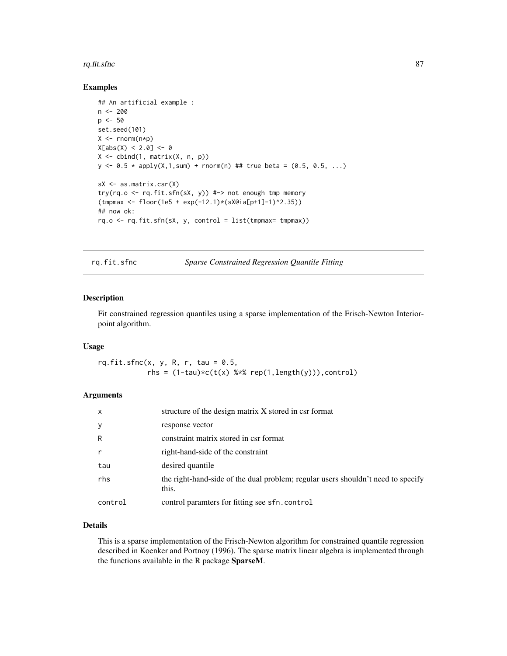#### rq.fit.sfnc 87

## Examples

```
## An artificial example :
n <- 200
p \le -50set.seed(101)
X \leftarrow \text{norm}(n * p)X[abs(X) < 2.0] < -0X \leftarrow \text{cbind}(1, \text{ matrix}(X, n, p))y \le 0.5 * apply(X, 1, sum) + rnorm(n) # true beta = (0.5, 0.5, ...)sX <- as.matrix.csr(X)
try(rq.o <- rq.fit.sfn(sX, y)) #-> not enough tmp memory
(tmpmax <- floor(1e5 + exp(-12.1)*(sX@ia[p+1]-1)^2.35))
## now ok:
rq.o \leftarrow rq.fit.sfn(sX, y, control = list(tmpmax=tmpmax))
```
rq.fit.sfnc *Sparse Constrained Regression Quantile Fitting*

## Description

Fit constrained regression quantiles using a sparse implementation of the Frisch-Newton Interiorpoint algorithm.

## Usage

 $rq.fit.sfnc(x, y, R, r, tau = 0.5,$ rhs =  $(1-tau)*c(t(x)$  %\*% rep $(1, length(y)))$ , control)

## Arguments

| x       | structure of the design matrix X stored in csr format                                     |
|---------|-------------------------------------------------------------------------------------------|
| У       | response vector                                                                           |
| R       | constraint matrix stored in csr format                                                    |
| r       | right-hand-side of the constraint                                                         |
| tau     | desired quantile                                                                          |
| rhs     | the right-hand-side of the dual problem; regular users shouldn't need to specify<br>this. |
| control | control paramters for fitting see sfn.control                                             |

## Details

This is a sparse implementation of the Frisch-Newton algorithm for constrained quantile regression described in Koenker and Portnoy (1996). The sparse matrix linear algebra is implemented through the functions available in the R package SparseM.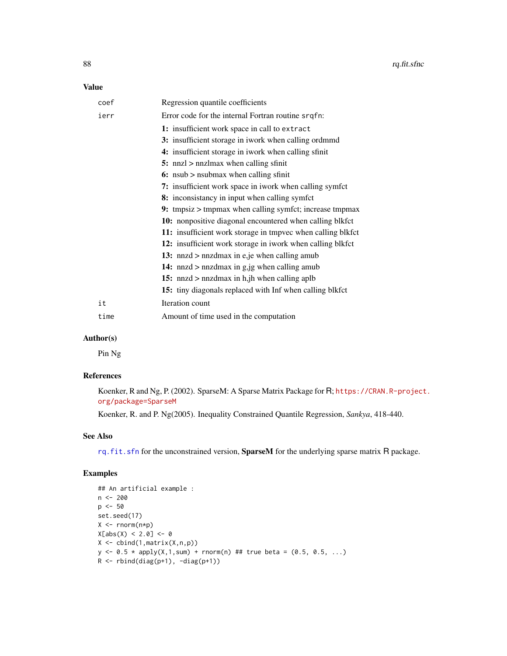## Value

| coef | Regression quantile coefficients                            |
|------|-------------------------------------------------------------|
| ierr | Error code for the internal Fortran routine srqfn:          |
|      | 1: insufficient work space in call to extract               |
|      | 3: insufficient storage in iwork when calling ordmmd        |
|      | 4: insufficient storage in iwork when calling sfinit        |
|      | 5: nnzl $>$ nnzlmax when calling sfinit                     |
|      | 6: nsub $>$ nsubmax when calling sfinit                     |
|      | 7: insufficient work space in iwork when calling symfct     |
|      | 8: inconsistancy in input when calling symfct               |
|      | 9: tmpsiz $>$ tmpmax when calling symfet; increase tmpmax   |
|      | 10: nonpositive diagonal encountered when calling blkfct    |
|      | 11: insufficient work storage in tmpvec when calling blkfct |
|      | 12: insufficient work storage in iwork when calling blkfct  |
|      | 13: nnzd $>$ nnzdmax in e, je when calling amub             |
|      | 14: $nnzd$ > $nnzdmax$ in $g$ , $jg$ when calling amub      |
|      | 15: nnzd $>$ nnzdmax in h <sub>i</sub> h when calling aplb  |
|      | 15: tiny diagonals replaced with Inf when calling blkfct    |
| it   | Iteration count                                             |
| time | Amount of time used in the computation                      |

## Author(s)

Pin Ng

## References

Koenker, R and Ng, P. (2002). SparseM: A Sparse Matrix Package for R; [https://CRAN.R-project](https://CRAN.R-project.org/package=SparseM). [org/package=SparseM](https://CRAN.R-project.org/package=SparseM)

Koenker, R. and P. Ng(2005). Inequality Constrained Quantile Regression, *Sankya*, 418-440.

## See Also

[rq.fit.sfn](#page-84-0) for the unconstrained version, SparseM for the underlying sparse matrix R package.

## Examples

```
## An artificial example :
n < - 200p \le -50set.seed(17)
X \leftarrow \text{norm}(n * p)X[abs(X) < 2.0] < -0X \leftarrow \text{cbind}(1, \text{matrix}(X, n, p))y \le -0.5 * apply(X, 1, sum) + rnorm(n) # true beta = (0.5, 0.5, ...)R \leftarrow rbind(diag(p+1), -diag(p+1))
```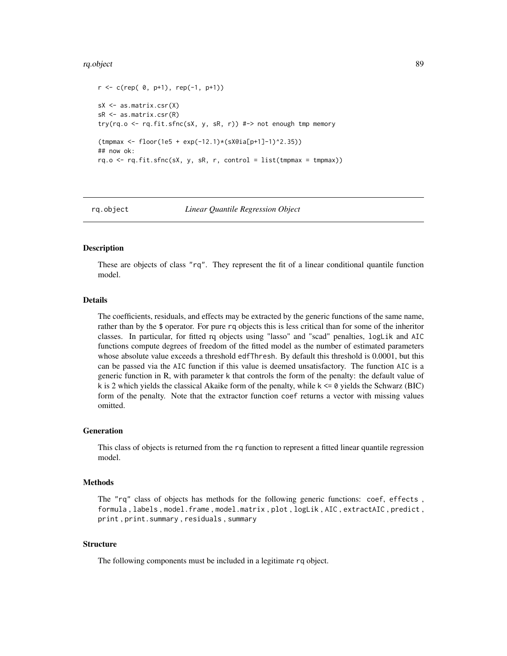#### rq.object 89 and 2012 and 2012 and 2012 and 2012 and 2012 and 2012 and 2012 and 2012 and 2012 and 201

```
r \leq c(rep( 0, p+1), rep(-1, p+1))
sX \leftarrow as.matrix.csr(X)sR <- as.matrix.csr(R)
try(rq.o <- rq.fit.sfnc(sX, y, sR, r)) #-> not enough tmp memory
(tmpmax <- floor(1e5 + exp(-12.1)*(sX@ia[p+1]-1)^2.35))
## now ok:
rq.o \leftarrow rq.fit.sfnc(sX, y, sR, r, control = list(tmpmax = tmpmax))
```
<span id="page-88-0"></span>

```
rq.object Linear Quantile Regression Object
```
#### Description

These are objects of class "rq". They represent the fit of a linear conditional quantile function model.

## Details

The coefficients, residuals, and effects may be extracted by the generic functions of the same name, rather than by the \$ operator. For pure rq objects this is less critical than for some of the inheritor classes. In particular, for fitted rq objects using "lasso" and "scad" penalties, logLik and AIC functions compute degrees of freedom of the fitted model as the number of estimated parameters whose absolute value exceeds a threshold edfThresh. By default this threshold is 0.0001, but this can be passed via the AIC function if this value is deemed unsatisfactory. The function AIC is a generic function in R, with parameter k that controls the form of the penalty: the default value of k is 2 which yields the classical Akaike form of the penalty, while k <= 0 yields the Schwarz (BIC) form of the penalty. Note that the extractor function coef returns a vector with missing values omitted.

#### Generation

This class of objects is returned from the rq function to represent a fitted linear quantile regression model.

#### Methods

The "rq" class of objects has methods for the following generic functions: coef, effects , formula , labels , model.frame , model.matrix , plot , logLik , AIC , extractAIC , predict , print , print.summary , residuals , summary

#### Structure

The following components must be included in a legitimate rq object.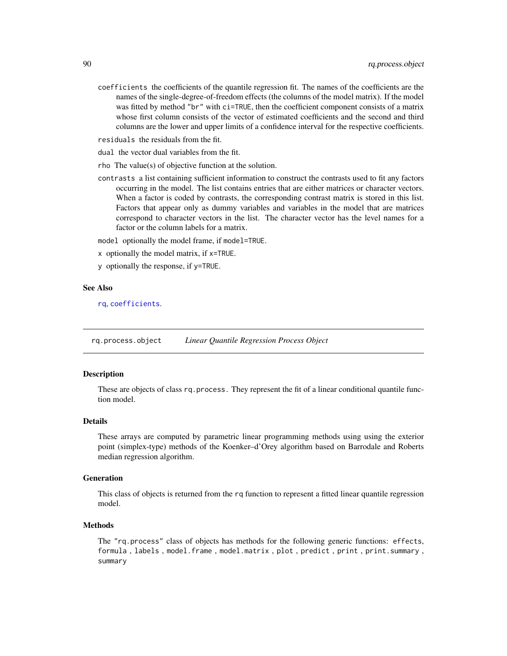- coefficients the coefficients of the quantile regression fit. The names of the coefficients are the names of the single-degree-of-freedom effects (the columns of the model matrix). If the model was fitted by method "br" with ci=TRUE, then the coefficient component consists of a matrix whose first column consists of the vector of estimated coefficients and the second and third columns are the lower and upper limits of a confidence interval for the respective coefficients.
- residuals the residuals from the fit.
- dual the vector dual variables from the fit.
- rho The value(s) of objective function at the solution.
- contrasts a list containing sufficient information to construct the contrasts used to fit any factors occurring in the model. The list contains entries that are either matrices or character vectors. When a factor is coded by contrasts, the corresponding contrast matrix is stored in this list. Factors that appear only as dummy variables and variables in the model that are matrices correspond to character vectors in the list. The character vector has the level names for a factor or the column labels for a matrix.

model optionally the model frame, if model=TRUE.

- x optionally the model matrix, if x=TRUE.
- y optionally the response, if y=TRUE.

#### See Also

[rq](#page-67-0), [coefficients](#page-0-0).

<span id="page-89-0"></span>rq.process.object *Linear Quantile Regression Process Object*

## Description

These are objects of class rq. process. They represent the fit of a linear conditional quantile function model.

#### Details

These arrays are computed by parametric linear programming methods using using the exterior point (simplex-type) methods of the Koenker–d'Orey algorithm based on Barrodale and Roberts median regression algorithm.

## Generation

This class of objects is returned from the rq function to represent a fitted linear quantile regression model.

#### Methods

The "rq.process" class of objects has methods for the following generic functions: effects, formula , labels , model.frame , model.matrix , plot , predict , print , print.summary , summary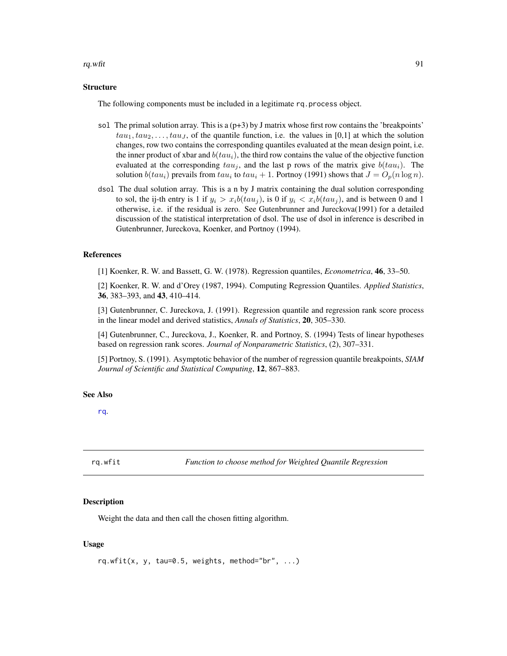#### rq.wfit  $\qquad \qquad \qquad$  91

## **Structure**

The following components must be included in a legitimate rq.process object.

- sol The primal solution array. This is a  $(p+3)$  by J matrix whose first row contains the 'breakpoints'  $tau_1, \tau_2, \ldots, \tau_n,$  of the quantile function, i.e. the values in [0,1] at which the solution changes, row two contains the corresponding quantiles evaluated at the mean design point, i.e. the inner product of xbar and  $b(tau_i)$ , the third row contains the value of the objective function evaluated at the corresponding  $tau_i$ , and the last p rows of the matrix give  $b(tau_i)$ . The solution  $b(tau_i)$  prevails from  $tau_i$  to  $tau_i + 1$ . Portnoy (1991) shows that  $J = O_p(n \log n)$ .
- dsol The dual solution array. This is a n by J matrix containing the dual solution corresponding to sol, the ij-th entry is 1 if  $y_i > x_i b(tau_j)$ , is 0 if  $y_i < x_i b(tau_j)$ , and is between 0 and 1 otherwise, i.e. if the residual is zero. See Gutenbrunner and Jureckova(1991) for a detailed discussion of the statistical interpretation of dsol. The use of dsol in inference is described in Gutenbrunner, Jureckova, Koenker, and Portnoy (1994).

## References

[1] Koenker, R. W. and Bassett, G. W. (1978). Regression quantiles, *Econometrica*, 46, 33–50.

[2] Koenker, R. W. and d'Orey (1987, 1994). Computing Regression Quantiles. *Applied Statistics*, 36, 383–393, and 43, 410–414.

[3] Gutenbrunner, C. Jureckova, J. (1991). Regression quantile and regression rank score process in the linear model and derived statistics, *Annals of Statistics*, 20, 305–330.

[4] Gutenbrunner, C., Jureckova, J., Koenker, R. and Portnoy, S. (1994) Tests of linear hypotheses based on regression rank scores. *Journal of Nonparametric Statistics*, (2), 307–331.

[5] Portnoy, S. (1991). Asymptotic behavior of the number of regression quantile breakpoints, *SIAM Journal of Scientific and Statistical Computing*, 12, 867–883.

## See Also

[rq](#page-67-0).

rq.wfit *Function to choose method for Weighted Quantile Regression*

#### **Description**

Weight the data and then call the chosen fitting algorithm.

#### Usage

rq.wfit(x, y, tau=0.5, weights, method="br", ...)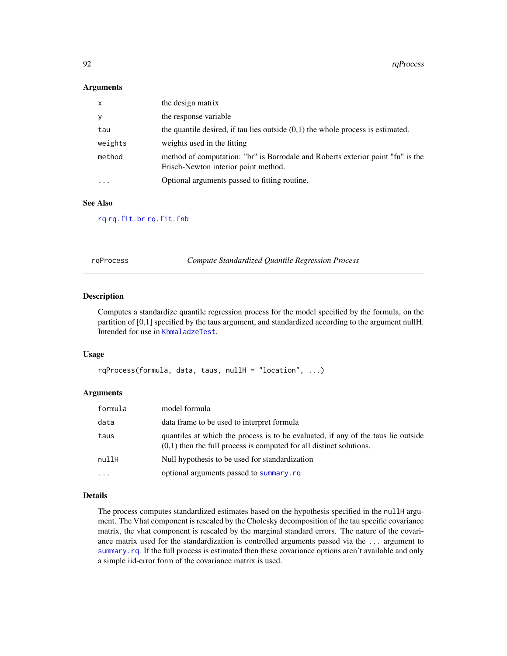92 rqProcess and the contract of the contract of the contract of the contract of the contract of the contract of the contract of the contract of the contract of the contract of the contract of the contract of the contract

#### **Arguments**

| $\mathsf{x}$            | the design matrix                                                                                                       |
|-------------------------|-------------------------------------------------------------------------------------------------------------------------|
| У                       | the response variable                                                                                                   |
| tau                     | the quantile desired, if tau lies outside $(0,1)$ the whole process is estimated.                                       |
| weights                 | weights used in the fitting                                                                                             |
| method                  | method of computation: "br" is Barrodale and Roberts exterior point "fn" is the<br>Frisch-Newton interior point method. |
| $\cdot$ $\cdot$ $\cdot$ | Optional arguments passed to fitting routine.                                                                           |

## See Also

[rq](#page-67-0) [rq.fit.br](#page-71-0) [rq.fit.fnb](#page-74-0)

rqProcess *Compute Standardized Quantile Regression Process*

## Description

Computes a standardize quantile regression process for the model specified by the formula, on the partition of [0,1] specified by the taus argument, and standardized according to the argument nullH. Intended for use in [KhmaladzeTest](#page-28-0).

## Usage

```
rqProcess(formula, data, taus, nullH = "location", ...)
```
#### Arguments

| formula | model formula                                                                                                                                              |
|---------|------------------------------------------------------------------------------------------------------------------------------------------------------------|
| data    | data frame to be used to interpret formula                                                                                                                 |
| taus    | quantiles at which the process is to be evaluated, if any of the taus lie outside<br>$(0,1)$ then the full process is computed for all distinct solutions. |
| nullH   | Null hypothesis to be used for standardization                                                                                                             |
| $\cdot$ | optional arguments passed to summary.rq                                                                                                                    |

## Details

The process computes standardized estimates based on the hypothesis specified in the nullH argument. The Vhat component is rescaled by the Cholesky decomposition of the tau specific covariance matrix, the vhat component is rescaled by the marginal standard errors. The nature of the covariance matrix used for the standardization is controlled arguments passed via the ... argument to [summary.rq](#page-101-0). If the full process is estimated then these covariance options aren't available and only a simple iid-error form of the covariance matrix is used.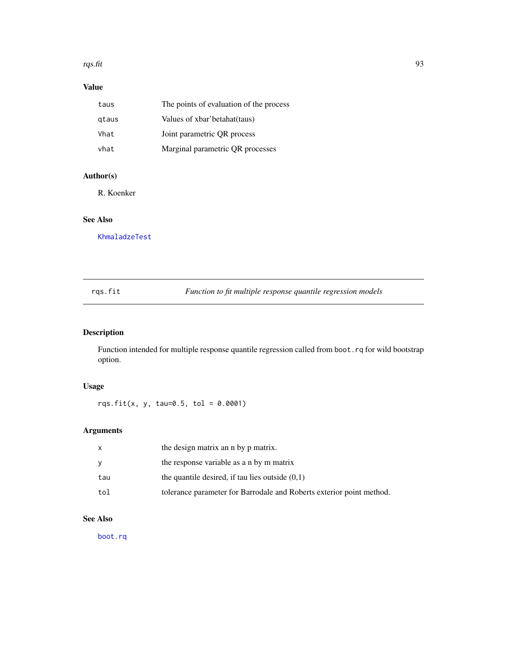#### rqs.fit 93

# Value

| taus  | The points of evaluation of the process |
|-------|-----------------------------------------|
| gtaus | Values of xbar'betahat(taus)            |
| Vhat  | Joint parametric OR process             |
| vhat  | Marginal parametric QR processes        |

# Author(s)

R. Koenker

## See Also

[KhmaladzeTest](#page-28-0)

| Function to fit multiple response quantile regression models<br>rgs.fit |  |
|-------------------------------------------------------------------------|--|
|-------------------------------------------------------------------------|--|

# Description

Function intended for multiple response quantile regression called from boot.rq for wild bootstrap option.

# Usage

rqs.fit(x, y, tau=0.5, tol =  $0.0001$ )

# Arguments

| X   | the design matrix an n by p matrix.                                  |
|-----|----------------------------------------------------------------------|
| y   | the response variable as a n by m matrix                             |
| tau | the quantile desired, if tau lies outside $(0,1)$                    |
| tol | tolerance parameter for Barrodale and Roberts exterior point method. |

# See Also

[boot.rq](#page-10-0)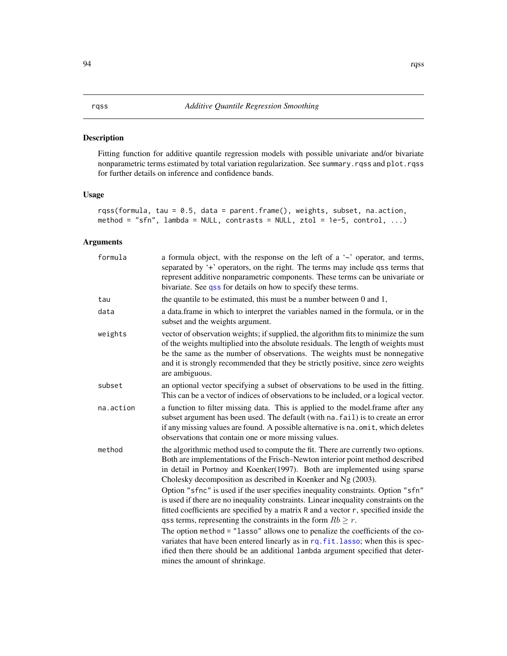## Description

Fitting function for additive quantile regression models with possible univariate and/or bivariate nonparametric terms estimated by total variation regularization. See summary.rqss and plot.rqss for further details on inference and confidence bands.

## Usage

```
rqss(formula, tau = 0.5, data = parent.frame(), weights, subset, na.action,
method = "sfn", lambda = NULL, contrasts = NULL, ztol = 1e-5, control, \dots)
```
## Arguments

| a formula object, with the response on the left of a $\sim$ operator, and terms,<br>separated by '+' operators, on the right. The terms may include qss terms that<br>represent additive nonparametric components. These terms can be univariate or<br>bivariate. See qss for details on how to specify these terms.                                                                                                                                                                                                                                                                                                                                                                                                                                                                                                                                                                                                                               |
|----------------------------------------------------------------------------------------------------------------------------------------------------------------------------------------------------------------------------------------------------------------------------------------------------------------------------------------------------------------------------------------------------------------------------------------------------------------------------------------------------------------------------------------------------------------------------------------------------------------------------------------------------------------------------------------------------------------------------------------------------------------------------------------------------------------------------------------------------------------------------------------------------------------------------------------------------|
| the quantile to be estimated, this must be a number between $0$ and $1$ ,                                                                                                                                                                                                                                                                                                                                                                                                                                                                                                                                                                                                                                                                                                                                                                                                                                                                          |
| a data.frame in which to interpret the variables named in the formula, or in the<br>subset and the weights argument.                                                                                                                                                                                                                                                                                                                                                                                                                                                                                                                                                                                                                                                                                                                                                                                                                               |
| vector of observation weights; if supplied, the algorithm fits to minimize the sum<br>of the weights multiplied into the absolute residuals. The length of weights must<br>be the same as the number of observations. The weights must be nonnegative<br>and it is strongly recommended that they be strictly positive, since zero weights<br>are ambiguous.                                                                                                                                                                                                                                                                                                                                                                                                                                                                                                                                                                                       |
| an optional vector specifying a subset of observations to be used in the fitting.<br>This can be a vector of indices of observations to be included, or a logical vector.                                                                                                                                                                                                                                                                                                                                                                                                                                                                                                                                                                                                                                                                                                                                                                          |
| a function to filter missing data. This is applied to the model.frame after any<br>subset argument has been used. The default (with na. fail) is to create an error<br>if any missing values are found. A possible alternative is na. omit, which deletes<br>observations that contain one or more missing values.                                                                                                                                                                                                                                                                                                                                                                                                                                                                                                                                                                                                                                 |
| the algorithmic method used to compute the fit. There are currently two options.<br>Both are implementations of the Frisch-Newton interior point method described<br>in detail in Portnoy and Koenker(1997). Both are implemented using sparse<br>Cholesky decomposition as described in Koenker and Ng (2003).<br>Option "sfnc" is used if the user specifies inequality constraints. Option "sfn"<br>is used if there are no inequality constraints. Linear inequality constraints on the<br>fitted coefficients are specified by a matrix R and a vector r, specified inside the<br>qss terms, representing the constraints in the form $Rb \ge r$ .<br>The option method = "lasso" allows one to penalize the coefficients of the co-<br>variates that have been entered linearly as in rq. fit. lasso; when this is spec-<br>ified then there should be an additional lambda argument specified that deter-<br>mines the amount of shrinkage. |
|                                                                                                                                                                                                                                                                                                                                                                                                                                                                                                                                                                                                                                                                                                                                                                                                                                                                                                                                                    |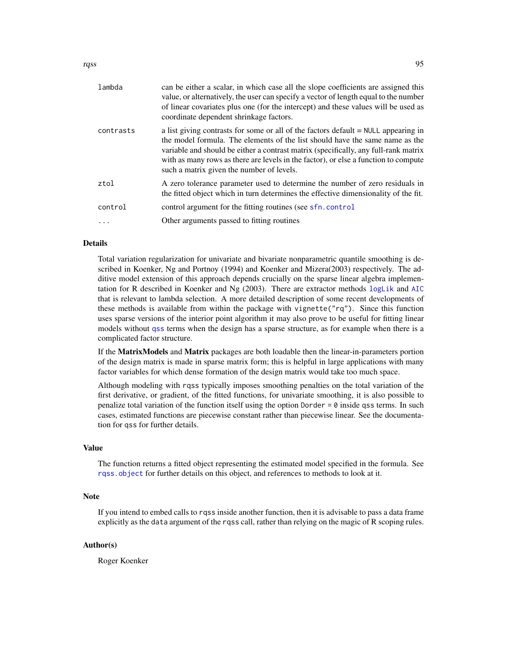rqss 50 a.C. 2006 a.C. 2006 a.C. 2006 a.C. 2006 a.C. 2006 a.C. 2006 a.C. 2006 a.C. 2006 a.C. 2006 a.C. 2006 a.C. 2006 a.C. 2006 a.C. 2006 a.C. 2006 a.C. 2006 a.C. 2006 a.C. 2006 a.C. 2006 a.C. 2006 a.C. 2006 a.C. 2006 a.C.

| lambda    | can be either a scalar, in which case all the slope coefficients are assigned this<br>value, or alternatively, the user can specify a vector of length equal to the number<br>of linear covariates plus one (for the intercept) and these values will be used as<br>coordinate dependent shrinkage factors.                                                                                     |
|-----------|-------------------------------------------------------------------------------------------------------------------------------------------------------------------------------------------------------------------------------------------------------------------------------------------------------------------------------------------------------------------------------------------------|
| contrasts | a list giving contrasts for some or all of the factors default $=$ NULL appearing in<br>the model formula. The elements of the list should have the same name as the<br>variable and should be either a contrast matrix (specifically, any full-rank matrix<br>with as many rows as there are levels in the factor), or else a function to compute<br>such a matrix given the number of levels. |
| ztol      | A zero tolerance parameter used to determine the number of zero residuals in<br>the fitted object which in turn determines the effective dimensionality of the fit.                                                                                                                                                                                                                             |
| control   | control argument for the fitting routines (see sfn. control                                                                                                                                                                                                                                                                                                                                     |
| $\ddots$  | Other arguments passed to fitting routines                                                                                                                                                                                                                                                                                                                                                      |
|           |                                                                                                                                                                                                                                                                                                                                                                                                 |

# Details

Total variation regularization for univariate and bivariate nonparametric quantile smoothing is described in Koenker, Ng and Portnoy (1994) and Koenker and Mizera(2003) respectively. The additive model extension of this approach depends crucially on the sparse linear algebra implementation for R described in Koenker and Ng (2003). There are extractor methods [logLik](#page-0-0) and [AIC](#page-0-0) that is relevant to lambda selection. A more detailed description of some recent developments of these methods is available from within the package with vignette("rq"). Since this function uses sparse versions of the interior point algorithm it may also prove to be useful for fitting linear models without [qss](#page-60-0) terms when the design has a sparse structure, as for example when there is a complicated factor structure.

If the **MatrixModels** and **Matrix** packages are both loadable then the linear-in-parameters portion of the design matrix is made in sparse matrix form; this is helpful in large applications with many factor variables for which dense formation of the design matrix would take too much space.

Although modeling with rqss typically imposes smoothing penalties on the total variation of the first derivative, or gradient, of the fitted functions, for univariate smoothing, it is also possible to penalize total variation of the function itself using the option Dorder  $= 0$  inside qss terms. In such cases, estimated functions are piecewise constant rather than piecewise linear. See the documentation for qss for further details.

#### Value

The function returns a fitted object representing the estimated model specified in the formula. See [rqss.object](#page-95-0) for further details on this object, and references to methods to look at it.

# Note

If you intend to embed calls to rqss inside another function, then it is advisable to pass a data frame explicitly as the data argument of the rqss call, rather than relying on the magic of R scoping rules.

#### Author(s)

Roger Koenker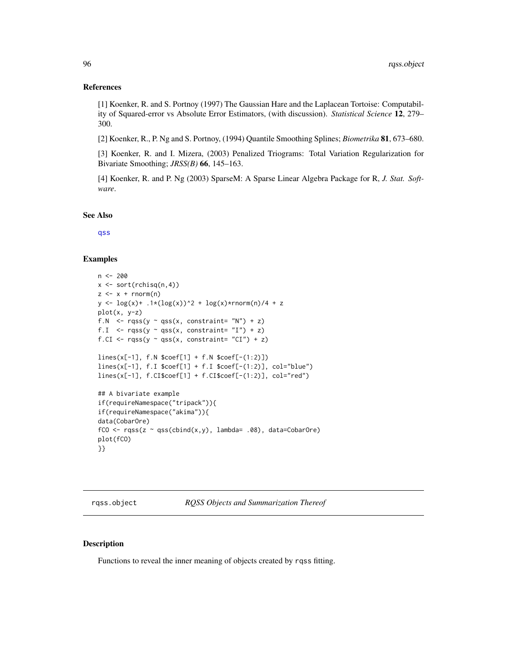## References

[1] Koenker, R. and S. Portnoy (1997) The Gaussian Hare and the Laplacean Tortoise: Computability of Squared-error vs Absolute Error Estimators, (with discussion). *Statistical Science* 12, 279– 300.

[2] Koenker, R., P. Ng and S. Portnoy, (1994) Quantile Smoothing Splines; *Biometrika* 81, 673–680.

[3] Koenker, R. and I. Mizera, (2003) Penalized Triograms: Total Variation Regularization for Bivariate Smoothing; *JRSS(B)* 66, 145–163.

[4] Koenker, R. and P. Ng (2003) SparseM: A Sparse Linear Algebra Package for R, *J. Stat. Software*.

See Also

[qss](#page-60-0)

## Examples

```
n < -200x \leftarrow sort(rchisq(n,4))z \leq x + \text{norm}(n)y \leq log(x) + .1*(log(x))^2 + log(x)*rnorm(n)/4 + zplot(x, y-z)
f.N \leq rqss(y \sim qss(x, constraint= "N") + z)
f.I \leq rqss(y \sim qss(x, constraint= "I") + z)
f.CI \leq rqss(y \sim qss(x, constraint= "CI") + z)
lines(x[-1], f.N $coef[1] + f.N $coef[-(1:2)])
lines(x[-1], f.I $coef[1] + f.I $coef[-(1:2)], col="blue")
lines(x[-1], f.CI$coef[1] + f.CI$coef[-(1:2)], col="red")
## A bivariate example
if(requireNamespace("tripack")){
if(requireNamespace("akima")){
data(CobarOre)
fCO \leq r \text{qss}(z \sim \text{qss}(\text{cbind}(x, y)), \text{lambda} = .08), data=CobarOre)
plot(fCO)
}}
```
<span id="page-95-0"></span>rqss.object *RQSS Objects and Summarization Thereof*

#### Description

Functions to reveal the inner meaning of objects created by rqss fitting.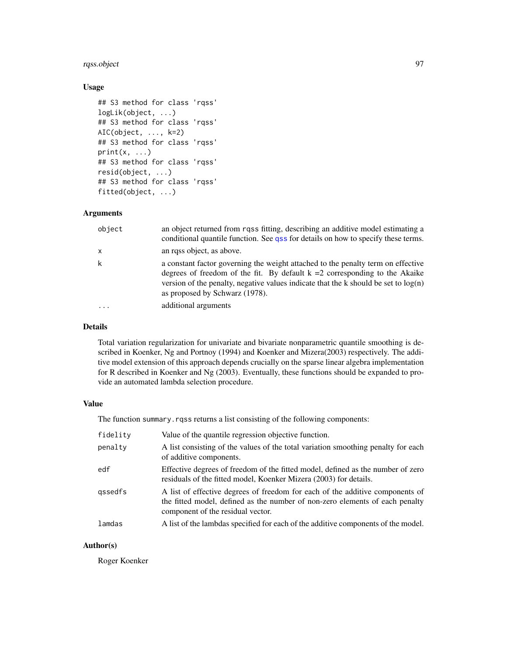## rqss.object 97

# Usage

```
## S3 method for class 'rqss'
logLik(object, ...)
## S3 method for class 'rqss'
AIC(object, ..., k=2)
## S3 method for class 'rqss'
print(x, \ldots)## S3 method for class 'rqss'
resid(object, ...)
## S3 method for class 'rqss'
fitted(object, ...)
```
## Arguments

| object       | an object returned from rqss fitting, describing an additive model estimating a<br>conditional quantile function. See qss for details on how to specify these terms.                                                                                                                         |
|--------------|----------------------------------------------------------------------------------------------------------------------------------------------------------------------------------------------------------------------------------------------------------------------------------------------|
| $\mathsf{x}$ | an rgss object, as above.                                                                                                                                                                                                                                                                    |
| $\mathsf{k}$ | a constant factor governing the weight attached to the penalty term on effective<br>degrees of freedom of the fit. By default $k = 2$ corresponding to the Akaike<br>version of the penalty, negative values indicate that the k should be set to $log(n)$<br>as proposed by Schwarz (1978). |
| $\cdots$     | additional arguments                                                                                                                                                                                                                                                                         |

## Details

Total variation regularization for univariate and bivariate nonparametric quantile smoothing is described in Koenker, Ng and Portnoy (1994) and Koenker and Mizera(2003) respectively. The additive model extension of this approach depends crucially on the sparse linear algebra implementation for R described in Koenker and Ng (2003). Eventually, these functions should be expanded to provide an automated lambda selection procedure.

## Value

The function summary. rqss returns a list consisting of the following components:

| fidelity | Value of the quantile regression objective function.                                                                                                                                               |
|----------|----------------------------------------------------------------------------------------------------------------------------------------------------------------------------------------------------|
| penalty  | A list consisting of the values of the total variation smoothing penalty for each<br>of additive components.                                                                                       |
| edf      | Effective degrees of freedom of the fitted model, defined as the number of zero<br>residuals of the fitted model, Koenker Mizera (2003) for details.                                               |
| gssedfs  | A list of effective degrees of freedom for each of the additive components of<br>the fitted model, defined as the number of non-zero elements of each penalty<br>component of the residual vector. |
| lamdas   | A list of the lambdas specified for each of the additive components of the model.                                                                                                                  |

## Author(s)

Roger Koenker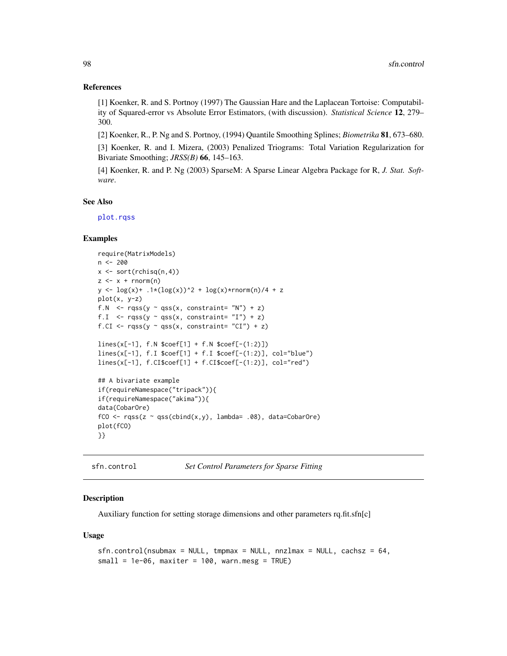## References

[1] Koenker, R. and S. Portnoy (1997) The Gaussian Hare and the Laplacean Tortoise: Computability of Squared-error vs Absolute Error Estimators, (with discussion). *Statistical Science* 12, 279– 300.

[2] Koenker, R., P. Ng and S. Portnoy, (1994) Quantile Smoothing Splines; *Biometrika* 81, 673–680.

[3] Koenker, R. and I. Mizera, (2003) Penalized Triograms: Total Variation Regularization for Bivariate Smoothing; *JRSS(B)* 66, 145–163.

[4] Koenker, R. and P. Ng (2003) SparseM: A Sparse Linear Algebra Package for R, *J. Stat. Software*.

#### See Also

[plot.rqss](#page-48-0)

#### Examples

```
require(MatrixModels)
n < -200x <- sort(rchisq(n,4))
z \leq x + \text{norm}(n)y \leq -\log(x) + .1*(\log(x))^2 + \log(x)*rnorm(n)/4 + zplot(x, y-z)
f.N \leq rqss(y \sim qss(x, constraint= "N") + z)
f.I \leq rqss(y \sim qss(x, constraint= "I") + z)
f.CI \leq rqss(y \sim qss(x, constraint= "CI") + z)
lines(x[-1], f.N $coef[1] + f.N $coef[-(1:2)])
lines(x[-1], f.I $coef[1] + f.I $coef[-(1:2)], col="blue")
lines(x[-1], f.CIscoeff[1] + f.CIscoeff[-(1:2)], col="red")## A bivariate example
if(requireNamespace("tripack")){
if(requireNamespace("akima")){
data(CobarOre)
fCO \leq r \text{qss}(z \sim \text{qss}(\text{cbind}(x, y)), \text{lambda} = .08), data=CobarOre)
plot(fCO)
}}
```
<span id="page-97-0"></span>sfn.control *Set Control Parameters for Sparse Fitting*

#### **Description**

Auxiliary function for setting storage dimensions and other parameters rq.fit.sfn[c]

#### Usage

```
sfn.control(nsubmax = NULL, tmpmax = NULL, nnzlmax = NULL, cachsz = 64,
small = 1e-06, maxiter = 100, warn.mesg = TRUE)
```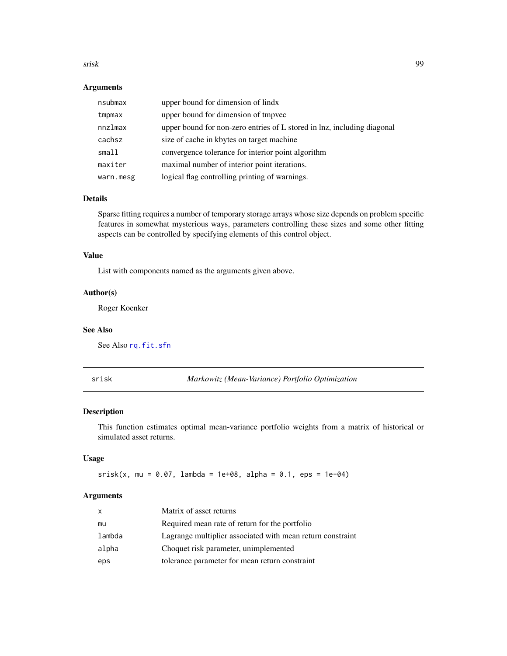#### srisk 99

## Arguments

| nsubmax   | upper bound for dimension of lindx                                      |
|-----------|-------------------------------------------------------------------------|
| tmpmax    | upper bound for dimension of tmpvec                                     |
| nnzlmax   | upper bound for non-zero entries of L stored in lnz, including diagonal |
| cachsz    | size of cache in kbytes on target machine                               |
| small     | convergence tolerance for interior point algorithm                      |
| maxiter   | maximal number of interior point iterations.                            |
| warn.mesg | logical flag controlling printing of warnings.                          |

#### Details

Sparse fitting requires a number of temporary storage arrays whose size depends on problem specific features in somewhat mysterious ways, parameters controlling these sizes and some other fitting aspects can be controlled by specifying elements of this control object.

## Value

List with components named as the arguments given above.

#### Author(s)

Roger Koenker

#### See Also

See Also [rq.fit.sfn](#page-84-0)

srisk *Markowitz (Mean-Variance) Portfolio Optimization*

## Description

This function estimates optimal mean-variance portfolio weights from a matrix of historical or simulated asset returns.

## Usage

 $srisk(x, mu = 0.07, lambda = 1e+08, alpha = 0.1,eps = 1e-04)$ 

#### Arguments

| $\mathsf{x}$ | Matrix of asset returns                                    |
|--------------|------------------------------------------------------------|
| mu           | Required mean rate of return for the portfolio             |
| lambda       | Lagrange multiplier associated with mean return constraint |
| alpha        | Choquet risk parameter, unimplemented                      |
| eps          | tolerance parameter for mean return constraint             |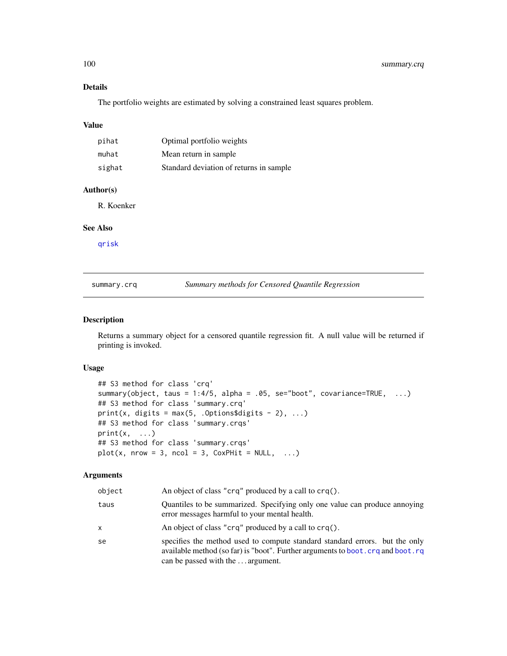## Details

The portfolio weights are estimated by solving a constrained least squares problem.

## Value

| pihat  | Optimal portfolio weights                |
|--------|------------------------------------------|
| muhat  | Mean return in sample                    |
| sighat | Standard deviation of returns in sample. |

## Author(s)

R. Koenker

## See Also

[qrisk](#page-58-0)

summary.crq *Summary methods for Censored Quantile Regression*

## Description

Returns a summary object for a censored quantile regression fit. A null value will be returned if printing is invoked.

## Usage

```
## S3 method for class 'crq'
summary(object, taus = 1:4/5, alpha = .05, se="boot", covariance=TRUE, ...)
## S3 method for class 'summary.crq'
print(x, digits = max(5, .Options$digits - 2), ...)
## S3 method for class 'summary.crqs'
print(x, \ldots)## S3 method for class 'summary.crqs'
plot(x, nrow = 3, ncol = 3, CoxPHit = NULL, ...)
```
## Arguments

| object | An object of class "crq" produced by a call to crq().                                                                                                                                                |
|--------|------------------------------------------------------------------------------------------------------------------------------------------------------------------------------------------------------|
| taus   | Quantiles to be summarized. Specifying only one value can produce annoying<br>error messages harmful to your mental health.                                                                          |
| x      | An object of class "crq" produced by a call to crq().                                                                                                                                                |
| se     | specifies the method used to compute standard standard errors. but the only<br>available method (so far) is "boot". Further arguments to boot. crq and boot. rq<br>can be passed with the  argument. |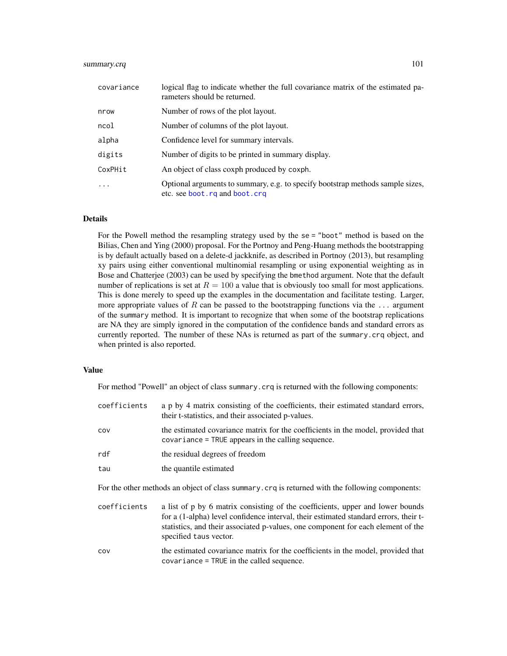## summary.crq 101

| covariance | logical flag to indicate whether the full covariance matrix of the estimated pa-<br>rameters should be returned.  |
|------------|-------------------------------------------------------------------------------------------------------------------|
| nrow       | Number of rows of the plot layout.                                                                                |
| ncol       | Number of columns of the plot layout.                                                                             |
| alpha      | Confidence level for summary intervals.                                                                           |
| digits     | Number of digits to be printed in summary display.                                                                |
| CoxPHit    | An object of class coxph produced by coxph.                                                                       |
| $\cdot$    | Optional arguments to summary, e.g. to specify bootstrap methods sample sizes,<br>etc. see boot. rq and boot. crq |

## Details

For the Powell method the resampling strategy used by the se = "boot" method is based on the Bilias, Chen and Ying (2000) proposal. For the Portnoy and Peng-Huang methods the bootstrapping is by default actually based on a delete-d jackknife, as described in Portnoy (2013), but resampling xy pairs using either conventional multinomial resampling or using exponential weighting as in Bose and Chatterjee (2003) can be used by specifying the bmethod argument. Note that the default number of replications is set at  $R = 100$  a value that is obviously too small for most applications. This is done merely to speed up the examples in the documentation and facilitate testing. Larger, more appropriate values of R can be passed to the bootstrapping functions via the ... argument of the summary method. It is important to recognize that when some of the bootstrap replications are NA they are simply ignored in the computation of the confidence bands and standard errors as currently reported. The number of these NAs is returned as part of the summary.crq object, and when printed is also reported.

# Value

For method "Powell" an object of class summary.crq is returned with the following components:

| coefficients | a p by 4 matrix consisting of the coefficients, their estimated standard errors,<br>their t-statistics, and their associated p-values.                                                                                                                     |
|--------------|------------------------------------------------------------------------------------------------------------------------------------------------------------------------------------------------------------------------------------------------------------|
| COV          | the estimated covariance matrix for the coefficients in the model, provided that<br>covariance = TRUE appears in the calling sequence.                                                                                                                     |
| rdf          | the residual degrees of freedom                                                                                                                                                                                                                            |
| tau          | the quantile estimated                                                                                                                                                                                                                                     |
|              | For the other methods an object of class summary. crq is returned with the following components:                                                                                                                                                           |
| coefficients | a list of p by 6 matrix consisting of the coefficients, upper and lower bounds<br>for a (1-alpha) level confidence interval, their estimated standard errors, their t-<br>statistics, and their associated p-values, one component for each element of the |

cov the estimated covariance matrix for the coefficients in the model, provided that covariance = TRUE in the called sequence.

specified taus vector.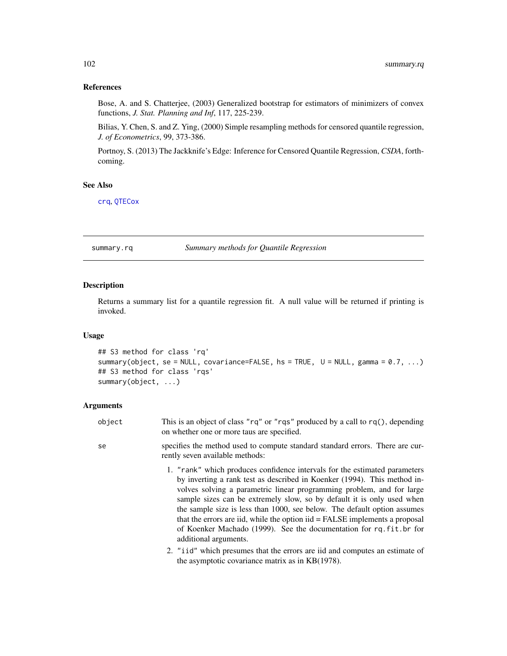## References

Bose, A. and S. Chatterjee, (2003) Generalized bootstrap for estimators of minimizers of convex functions, *J. Stat. Planning and Inf*, 117, 225-239.

Bilias, Y. Chen, S. and Z. Ying, (2000) Simple resampling methods for censored quantile regression, *J. of Econometrics*, 99, 373-386.

Portnoy, S. (2013) The Jackknife's Edge: Inference for Censored Quantile Regression, *CSDA*, forthcoming.

#### See Also

[crq](#page-18-0), [QTECox](#page-62-0)

<span id="page-101-0"></span>summary.rq *Summary methods for Quantile Regression*

## Description

Returns a summary list for a quantile regression fit. A null value will be returned if printing is invoked.

#### Usage

```
## S3 method for class 'rq'
summary(object, se = NULL, covariance=FALSE, hs = TRUE, U = NULL, gamma = 0.7, ...)
## S3 method for class 'rqs'
summary(object, ...)
```
#### Arguments

- object This is an object of class "rq" or "rqs" produced by a call to rq(), depending on whether one or more taus are specified.
- se specifies the method used to compute standard standard errors. There are currently seven available methods:
	- 1. "rank" which produces confidence intervals for the estimated parameters by inverting a rank test as described in Koenker (1994). This method involves solving a parametric linear programming problem, and for large sample sizes can be extremely slow, so by default it is only used when the sample size is less than 1000, see below. The default option assumes that the errors are iid, while the option iid = FALSE implements a proposal of Koenker Machado (1999). See the documentation for rq.fit.br for additional arguments.
	- 2. "iid" which presumes that the errors are iid and computes an estimate of the asymptotic covariance matrix as in KB(1978).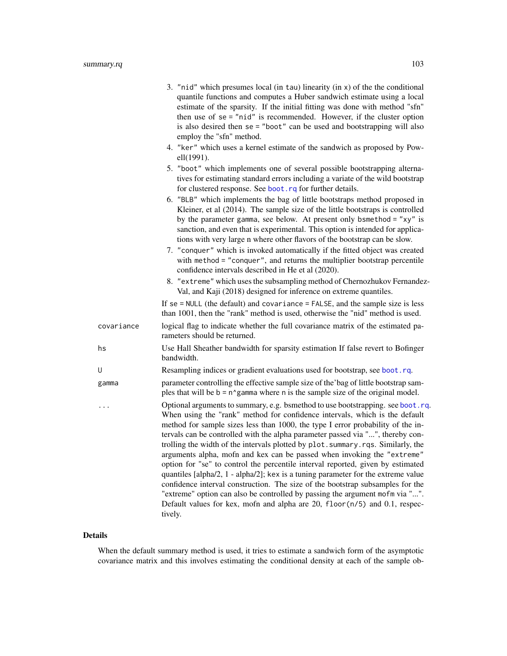|            | 3. "nid" which presumes local (in tau) linearity (in x) of the the conditional<br>quantile functions and computes a Huber sandwich estimate using a local<br>estimate of the sparsity. If the initial fitting was done with method "sfn"<br>then use of $se = "nid"$ is recommended. However, if the cluster option<br>is also desired then se = "boot" can be used and bootstrapping will also<br>employ the "sfn" method.                                                                                                                                                                                                                                                                                                                                                                                                                                                                                                          |
|------------|--------------------------------------------------------------------------------------------------------------------------------------------------------------------------------------------------------------------------------------------------------------------------------------------------------------------------------------------------------------------------------------------------------------------------------------------------------------------------------------------------------------------------------------------------------------------------------------------------------------------------------------------------------------------------------------------------------------------------------------------------------------------------------------------------------------------------------------------------------------------------------------------------------------------------------------|
|            | 4. "ker" which uses a kernel estimate of the sandwich as proposed by Pow-<br>ell(1991).                                                                                                                                                                                                                                                                                                                                                                                                                                                                                                                                                                                                                                                                                                                                                                                                                                              |
|            | 5. "boot" which implements one of several possible bootstrapping alterna-<br>tives for estimating standard errors including a variate of the wild bootstrap<br>for clustered response. See boot.rq for further details.                                                                                                                                                                                                                                                                                                                                                                                                                                                                                                                                                                                                                                                                                                              |
|            | 6. "BLB" which implements the bag of little bootstraps method proposed in<br>Kleiner, et al (2014). The sample size of the little bootstraps is controlled<br>by the parameter gamma, see below. At present only bsmethod = " $xy$ " is<br>sanction, and even that is experimental. This option is intended for applica-<br>tions with very large n where other flavors of the bootstrap can be slow.                                                                                                                                                                                                                                                                                                                                                                                                                                                                                                                                |
|            | 7. "conquer" which is invoked automatically if the fitted object was created<br>with method = "conquer", and returns the multiplier bootstrap percentile<br>confidence intervals described in He et al (2020).                                                                                                                                                                                                                                                                                                                                                                                                                                                                                                                                                                                                                                                                                                                       |
|            | 8. "extreme" which uses the subsampling method of Chernozhukov Fernandez-<br>Val, and Kaji (2018) designed for inference on extreme quantiles.                                                                                                                                                                                                                                                                                                                                                                                                                                                                                                                                                                                                                                                                                                                                                                                       |
|            | If $se = NULL$ (the default) and covariance = FALSE, and the sample size is less<br>than 1001, then the "rank" method is used, otherwise the "nid" method is used.                                                                                                                                                                                                                                                                                                                                                                                                                                                                                                                                                                                                                                                                                                                                                                   |
| covariance | logical flag to indicate whether the full covariance matrix of the estimated pa-<br>rameters should be returned.                                                                                                                                                                                                                                                                                                                                                                                                                                                                                                                                                                                                                                                                                                                                                                                                                     |
| hs         | Use Hall Sheather bandwidth for sparsity estimation If false revert to Bofinger<br>bandwidth.                                                                                                                                                                                                                                                                                                                                                                                                                                                                                                                                                                                                                                                                                                                                                                                                                                        |
| U          | Resampling indices or gradient evaluations used for bootstrap, see boot.rq.                                                                                                                                                                                                                                                                                                                                                                                                                                                                                                                                                                                                                                                                                                                                                                                                                                                          |
| gamma      | parameter controlling the effective sample size of the bag of little bootstrap sam-<br>ples that will be $b = n$ gamma where n is the sample size of the original model.                                                                                                                                                                                                                                                                                                                                                                                                                                                                                                                                                                                                                                                                                                                                                             |
|            | Optional arguments to summary, e.g. bsmethod to use bootstrapping. see boot.rq.<br>When using the "rank" method for confidence intervals, which is the default<br>method for sample sizes less than 1000, the type I error probability of the in-<br>tervals can be controlled with the alpha parameter passed via "", thereby con-<br>trolling the width of the intervals plotted by plot.summary.rqs. Similarly, the<br>arguments alpha, mofn and kex can be passed when invoking the "extreme"<br>option for "se" to control the percentile interval reported, given by estimated<br>quantiles [alpha/2, 1 - alpha/2]; kex is a tuning parameter for the extreme value<br>confidence interval construction. The size of the bootstrap subsamples for the<br>"extreme" option can also be controlled by passing the argument mofm via "".<br>Default values for kex, mofn and alpha are 20, floor(n/5) and 0.1, respec-<br>tively. |

## Details

When the default summary method is used, it tries to estimate a sandwich form of the asymptotic covariance matrix and this involves estimating the conditional density at each of the sample ob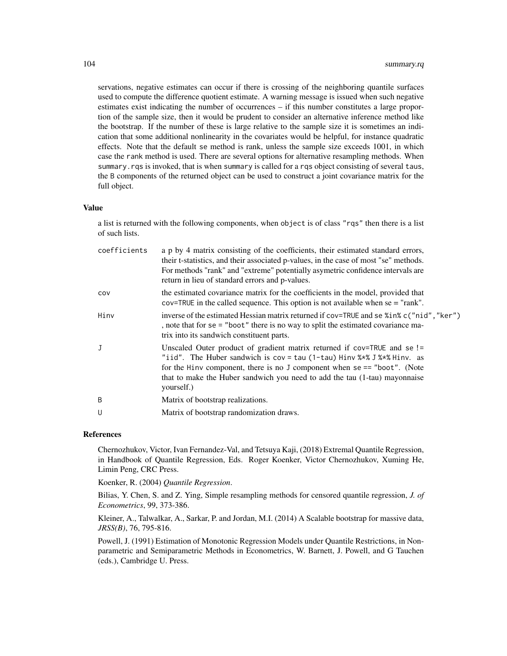servations, negative estimates can occur if there is crossing of the neighboring quantile surfaces used to compute the difference quotient estimate. A warning message is issued when such negative estimates exist indicating the number of occurrences – if this number constitutes a large proportion of the sample size, then it would be prudent to consider an alternative inference method like the bootstrap. If the number of these is large relative to the sample size it is sometimes an indication that some additional nonlinearity in the covariates would be helpful, for instance quadratic effects. Note that the default se method is rank, unless the sample size exceeds 1001, in which case the rank method is used. There are several options for alternative resampling methods. When summary.rqs is invoked, that is when summary is called for a rqs object consisting of several taus, the B components of the returned object can be used to construct a joint covariance matrix for the full object.

#### Value

a list is returned with the following components, when object is of class "rqs" then there is a list of such lists.

| coefficients | a p by 4 matrix consisting of the coefficients, their estimated standard errors,<br>their t-statistics, and their associated p-values, in the case of most "se" methods.<br>For methods "rank" and "extreme" potentially asymetric confidence intervals are<br>return in lieu of standard errors and p-values.                     |
|--------------|------------------------------------------------------------------------------------------------------------------------------------------------------------------------------------------------------------------------------------------------------------------------------------------------------------------------------------|
| COV          | the estimated covariance matrix for the coefficients in the model, provided that<br>$cov=TRUE$ in the called sequence. This option is not available when $se = "rank".$                                                                                                                                                            |
| Hinv         | inverse of the estimated Hessian matrix returned if cov=TRUE and se % in% c("nid", "ker")<br>, note that for se = "boot" there is no way to split the estimated covariance ma-<br>trix into its sandwich constituent parts.                                                                                                        |
| J            | Unscaled Outer product of gradient matrix returned if cov=TRUE and se!=<br>"iid". The Huber sandwich is $cov = tau(1-tau)$ Hinv $% *$ J $*$ $*$ Hinv. as<br>for the Hinv component, there is no J component when $se == "boot".$ (Note<br>that to make the Huber sandwich you need to add the tau (1-tau) mayonnaise<br>yourself.) |
| B            | Matrix of bootstrap realizations.                                                                                                                                                                                                                                                                                                  |
| U            | Matrix of bootstrap randomization draws.                                                                                                                                                                                                                                                                                           |

### References

Chernozhukov, Victor, Ivan Fernandez-Val, and Tetsuya Kaji, (2018) Extremal Quantile Regression, in Handbook of Quantile Regression, Eds. Roger Koenker, Victor Chernozhukov, Xuming He, Limin Peng, CRC Press.

Koenker, R. (2004) *Quantile Regression*.

Bilias, Y. Chen, S. and Z. Ying, Simple resampling methods for censored quantile regression, *J. of Econometrics*, 99, 373-386.

Kleiner, A., Talwalkar, A., Sarkar, P. and Jordan, M.I. (2014) A Scalable bootstrap for massive data, *JRSS(B)*, 76, 795-816.

Powell, J. (1991) Estimation of Monotonic Regression Models under Quantile Restrictions, in Nonparametric and Semiparametric Methods in Econometrics, W. Barnett, J. Powell, and G Tauchen (eds.), Cambridge U. Press.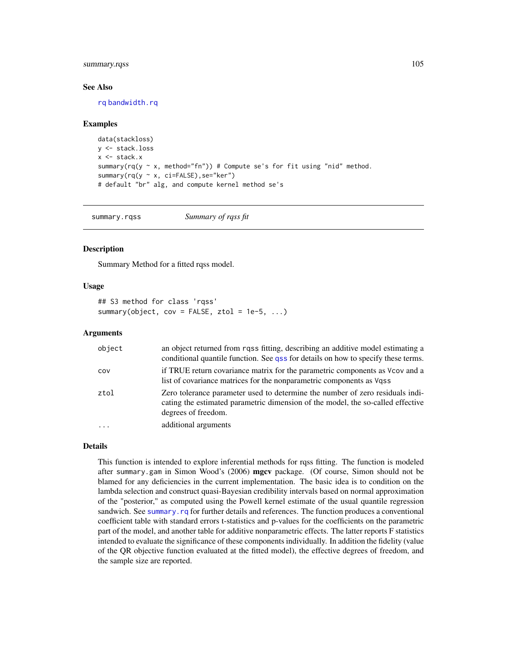## summary.rqss 105

#### See Also

[rq](#page-67-0) [bandwidth.rq](#page-7-0)

#### Examples

```
data(stackloss)
y <- stack.loss
x <- stack.x
summary(rq(y \sim x, method="fn")) # Compute se's for fit using "nid" method.
summary(rq(y ~ x, ci=FALSE), se="ker")
# default "br" alg, and compute kernel method se's
```
summary.rqss *Summary of rqss fit*

## Description

Summary Method for a fitted rqss model.

#### Usage

```
## S3 method for class 'rqss'
summary(object, cov = FALSE, ztol = 1e-5, ...)
```
#### Arguments

| object | an object returned from rqss fitting, describing an additive model estimating a<br>conditional quantile function. See gss for details on how to specify these terms.                    |
|--------|-----------------------------------------------------------------------------------------------------------------------------------------------------------------------------------------|
| COV    | if TRUE return covariance matrix for the parametric components as Vcov and a<br>list of covariance matrices for the nonparametric components as Vgss                                    |
| ztol   | Zero tolerance parameter used to determine the number of zero residuals indi-<br>cating the estimated parametric dimension of the model, the so-called effective<br>degrees of freedom. |
|        | additional arguments                                                                                                                                                                    |

## Details

This function is intended to explore inferential methods for rqss fitting. The function is modeled after summary.gam in Simon Wood's (2006) mgcv package. (Of course, Simon should not be blamed for any deficiencies in the current implementation. The basic idea is to condition on the lambda selection and construct quasi-Bayesian credibility intervals based on normal approximation of the "posterior," as computed using the Powell kernel estimate of the usual quantile regression sandwich. See summary, rq for further details and references. The function produces a conventional coefficient table with standard errors t-statistics and p-values for the coefficients on the parametric part of the model, and another table for additive nonparametric effects. The latter reports F statistics intended to evaluate the significance of these components individually. In addition the fidelity (value of the QR objective function evaluated at the fitted model), the effective degrees of freedom, and the sample size are reported.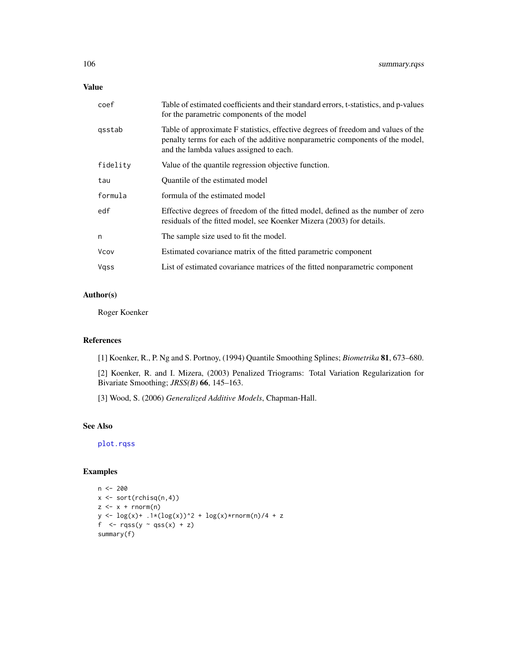## Value

| coef        | Table of estimated coefficients and their standard errors, t-statistics, and p-values<br>for the parametric components of the model                                                                           |
|-------------|---------------------------------------------------------------------------------------------------------------------------------------------------------------------------------------------------------------|
| gsstab      | Table of approximate F statistics, effective degrees of freedom and values of the<br>penalty terms for each of the additive nonparametric components of the model,<br>and the lambda values assigned to each. |
| fidelity    | Value of the quantile regression objective function.                                                                                                                                                          |
| tau         | Quantile of the estimated model                                                                                                                                                                               |
| formula     | formula of the estimated model                                                                                                                                                                                |
| edf         | Effective degrees of freedom of the fitted model, defined as the number of zero<br>residuals of the fitted model, see Koenker Mizera (2003) for details.                                                      |
| n           | The sample size used to fit the model.                                                                                                                                                                        |
| <b>Vcov</b> | Estimated covariance matrix of the fitted parametric component                                                                                                                                                |
| Vgss        | List of estimated covariance matrices of the fitted nonparametric component                                                                                                                                   |

#### Author(s)

Roger Koenker

## References

[1] Koenker, R., P. Ng and S. Portnoy, (1994) Quantile Smoothing Splines; *Biometrika* 81, 673–680.

[2] Koenker, R. and I. Mizera, (2003) Penalized Triograms: Total Variation Regularization for Bivariate Smoothing; *JRSS(B)* 66, 145–163.

[3] Wood, S. (2006) *Generalized Additive Models*, Chapman-Hall.

# See Also

[plot.rqss](#page-48-0)

## Examples

```
n < - 200x \leftarrow sort(rchisq(n,4))z \leq x + \text{norm}(n)y \leq -\log(x) + .1*(\log(x))^2 + \log(x)*rnorm(n)/4 + zf \leq rqss(y \sim qss(x) + z)
summary(f)
```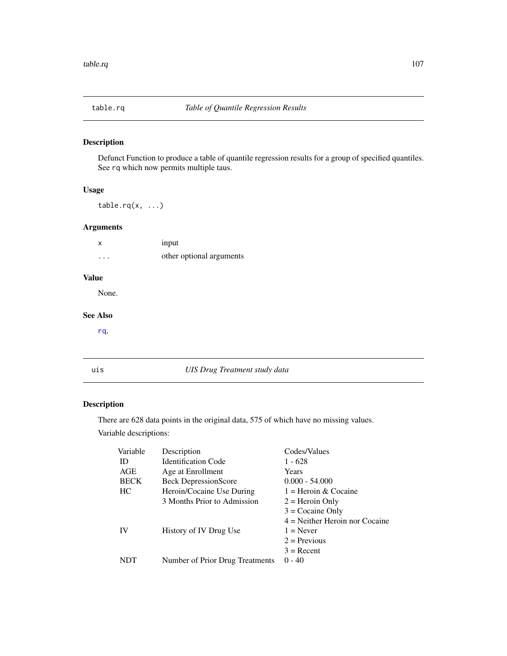## Description

Defunct Function to produce a table of quantile regression results for a group of specified quantiles. See rq which now permits multiple taus.

## Usage

 $table.rq(x, ...)$ 

## Arguments

| X        | input                    |
|----------|--------------------------|
| $\cdots$ | other optional arguments |

# Value

None.

#### See Also

[rq](#page-67-0),

uis *UIS Drug Treatment study data*

# Description

There are 628 data points in the original data, 575 of which have no missing values. Variable descriptions:

| Variable    | Description                     | Codes/Values                     |
|-------------|---------------------------------|----------------------------------|
| ID          | <b>Identification Code</b>      | 1 - 628                          |
| AGE         | Age at Enrollment               | Years                            |
| <b>BECK</b> | <b>Beck DepressionScore</b>     | $0.000 - 54.000$                 |
| HC          | Heroin/Cocaine Use During       | $1 =$ Heroin & Cocaine           |
|             | 3 Months Prior to Admission     | $2 =$ Heroin Only                |
|             |                                 | $3 =$ Cocaine Only               |
|             |                                 | $4$ = Neither Heroin nor Cocaine |
| <b>IV</b>   | History of IV Drug Use          | $1 =$ Never                      |
|             |                                 | $2$ = Previous                   |
|             |                                 | $3 =$ Recent                     |
| NDT         | Number of Prior Drug Treatments | $0 - 40$                         |
|             |                                 |                                  |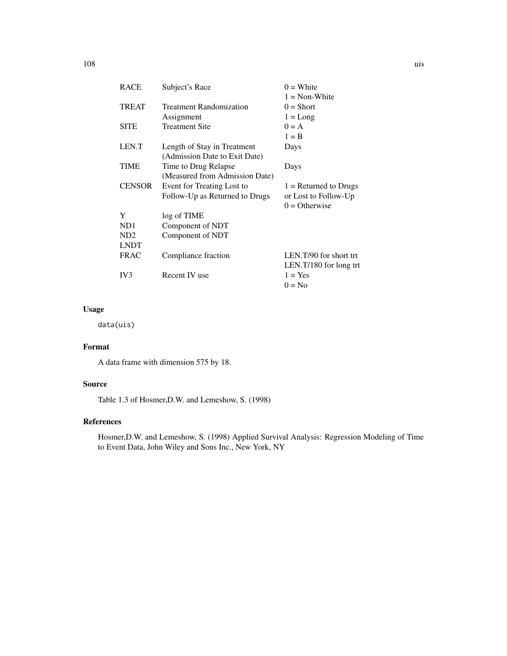| <b>RACE</b>   | Subject's Race                 | $0 =$ White             |
|---------------|--------------------------------|-------------------------|
|               |                                | $1 = \text{Non-White}$  |
| <b>TREAT</b>  | <b>Treatment Randomization</b> | $0 = Short$             |
|               | Assignment                     | $1 = Long$              |
| <b>SITE</b>   | <b>Treatment Site</b>          | $0 = A$                 |
|               |                                | $1 = B$                 |
| LEN.T         | Length of Stay in Treatment    | Days                    |
|               | (Admission Date to Exit Date)  |                         |
| TIME          | Time to Drug Relapse           | Days                    |
|               | (Measured from Admission Date) |                         |
| <b>CENSOR</b> | Event for Treating Lost to     | $1 =$ Returned to Drugs |
|               | Follow-Up as Returned to Drugs | or Lost to Follow-Up    |
|               |                                | $0 =$ Otherwise         |
| Y             | log of TIME                    |                         |
| ND1           | Component of NDT               |                         |
| ND2           | Component of NDT               |                         |
| LNDT          |                                |                         |
| <b>FRAC</b>   | Compliance fraction            | LEN.T/90 for short trt  |
|               |                                | LEN.T/180 for long trt  |
| IV3           | Recent IV use                  | $1 = Yes$               |
|               |                                | $0 = No$                |

## Usage

data(uis)

# Format

A data frame with dimension 575 by 18.

# Source

Table 1.3 of Hosmer,D.W. and Lemeshow, S. (1998)

## References

Hosmer,D.W. and Lemeshow, S. (1998) Applied Survival Analysis: Regression Modeling of Time to Event Data, John Wiley and Sons Inc., New York, NY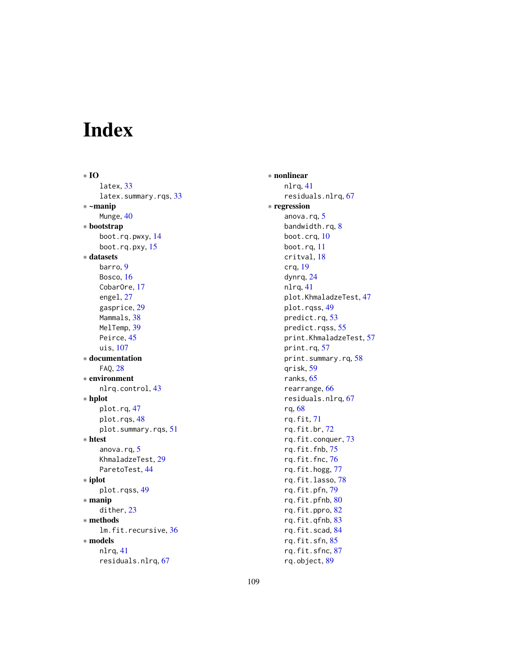# Index

∗ IO latex, [33](#page-32-0) latex.summary.rqs, [33](#page-32-0) ∗ ~manip Munge, [40](#page-39-0) ∗ bootstrap boot.rq.pwxy, [14](#page-13-0) boot.rq.pxy, [15](#page-14-0) ∗ datasets barro, [9](#page-8-0) Bosco, [16](#page-15-0) CobarOre, [17](#page-16-0) engel, [27](#page-26-0) gasprice, [29](#page-28-0) Mammals, [38](#page-37-0) MelTemp, [39](#page-38-0) Peirce, [45](#page-44-0) uis, [107](#page-106-0) ∗ documentation FAQ, [28](#page-27-0) ∗ environment nlrq.control, [43](#page-42-0) ∗ hplot plot.rq, [47](#page-46-0) plot.rqs, [48](#page-47-0) plot.summary.rqs, [51](#page-50-0) ∗ htest anova.rq, [5](#page-4-0) KhmaladzeTest, [29](#page-28-0) ParetoTest, [44](#page-43-0) ∗ iplot plot.rqss, [49](#page-48-0) ∗ manip dither, [23](#page-22-0) ∗ methods lm.fit.recursive, [36](#page-35-0) ∗ models nlrq, [41](#page-40-0) residuals.nlrq, [67](#page-66-0)

∗ nonlinear nlrq, [41](#page-40-0) residuals.nlrq, [67](#page-66-0) ∗ regression anova.rq, [5](#page-4-0) bandwidth.rq, [8](#page-7-0) boot.crq, [10](#page-9-0) boot.rq, [11](#page-10-0) critval, [18](#page-17-0) crq, [19](#page-18-0) dynrq, [24](#page-23-0) nlrq, [41](#page-40-0) plot.KhmaladzeTest, [47](#page-46-0) plot.rqss, [49](#page-48-0) predict.rq, [53](#page-52-0) predict.rqss, [55](#page-54-0) print.KhmaladzeTest, [57](#page-56-0) print.rq, [57](#page-56-0) print.summary.rq, [58](#page-57-0) qrisk, [59](#page-58-0) ranks, [65](#page-64-0) rearrange, [66](#page-65-0) residuals.nlrq, [67](#page-66-0) rq, [68](#page-67-0) rq.fit, [71](#page-70-0) rq.fit.br, [72](#page-71-0) rq.fit.conquer, [73](#page-72-0) rq.fit.fnb, [75](#page-74-0) rq.fit.fnc, [76](#page-75-0) rq.fit.hogg, [77](#page-76-0) rq.fit.lasso, [78](#page-77-0) rq.fit.pfn, [79](#page-78-0) rq.fit.pfnb, [80](#page-79-0) rq.fit.ppro, [82](#page-81-0) rq.fit.qfnb, [83](#page-82-0) rq.fit.scad, [84](#page-83-0) rq.fit.sfn, [85](#page-84-0) rq.fit.sfnc, [87](#page-86-0) rq.object, [89](#page-88-0)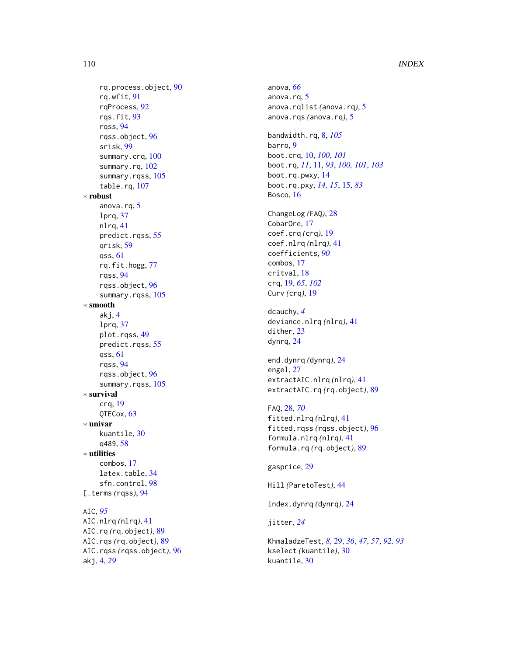# 110 INDEX

```
rq.process.object
, 90
    rq.wfit
, 91
    rqProcess
, 92
    rqs.fit
, 93
    rqss
, 94
    rqss.object
, 96
    srisk
, 99
    100
    102
    105
    107
∗ robust
    5
    lprq
, 37
    nlrq
, 41
    predict.rqss
, 55
    qrisk
, 59
    qss
, 61
    rq.fit.hogg
, 77
    rqss
, 94
    rqss.object
, 96
    105
∗ smooth
    akj
,
4
    lprq
, 37
    plot.rqss
, 49
    55
    qss
, 61
    rqss
, 94
    rqss.object
, 96
    105
∗ survival
    crq
, 19
    QTECox
, 63
∗ univar
    kuantile
, 30
    q489
, 58
∗ utilities
    combos
, 17
    34
    sfn.control
, 98
94
AIC
, 95
AIC.nlrq
(nlrq
)
, 41
AIC.rq
(rq.object
)
, 89
AIC.rqs
(rq.object
)
, 89
AIC.rqss
(rqss.object
)
, 96
```
akj , [4](#page-3-0) , *[29](#page-28-0)*

anova , *[66](#page-65-0)* anova.rq, [5](#page-4-0) anova.rqlist *(*anova.rq *)* , [5](#page-4-0) anova.rqs *(*anova.rq *)* , [5](#page-4-0) bandwidth.rq , [8](#page-7-0) , *[105](#page-104-0)* barro, [9](#page-8-0) boot.crq , [10](#page-9-0) , *[100](#page-99-0) , [101](#page-100-0)* boot.rq , *[11](#page-10-0)* , [11](#page-10-0) , *[93](#page-92-0)* , *[100](#page-99-0) , [101](#page-100-0)* , *[103](#page-102-0)* boot.rq.pwxy , [14](#page-13-0) boot.rq.pxy , *[14](#page-13-0) , [15](#page-14-0)* , [15](#page-14-0) , *[83](#page-82-0)* Bosco, [16](#page-15-0) ChangeLog *(*FAQ *)* , [28](#page-27-0) CobarOre, [17](#page-16-0)

coef.crq *(*crq *)* , [19](#page-18-0) coef.nlrq *(*nlrq *)* , [41](#page-40-0) coefficients , *[90](#page-89-0)* combos , [17](#page-16-0) critval , [18](#page-17-0) crq , [19](#page-18-0) , *[65](#page-64-0)* , *[102](#page-101-0)* Curv *(*crq *)* , [19](#page-18-0)

dcauchy , *[4](#page-3-0)* deviance.nlrq *(*nlrq *)* , [41](#page-40-0) dither, [23](#page-22-0) dynrq , [24](#page-23-0)

end.dynrq *(*dynrq *)* , [24](#page-23-0) engel , [27](#page-26-0) extractAIC.nlrq *(*nlrq *)* , [41](#page-40-0) extractAIC.rq *(*rq.object *)* , [89](#page-88-0)

# FAQ , [28](#page-27-0) , *[70](#page-69-0)* fitted.nlrq *(*nlrq *)* , [41](#page-40-0) fitted.rqss *(*rqss.object *)* , [96](#page-95-0) formula.nlrq *(*nlrq *)* , [41](#page-40-0) formula.rq *(*rq.object *)* , [89](#page-88-0)

gasprice , [29](#page-28-0)

Hill *(*ParetoTest *)* , [44](#page-43-0)

index.dynrq *(*dynrq *)* , [24](#page-23-0)

jitter , *[24](#page-23-0)*

KhmaladzeTest , *[8](#page-7-0)* , [29](#page-28-0) , *[36](#page-35-0)* , *[47](#page-46-0)* , *[57](#page-56-0)* , *[92](#page-91-0) , [93](#page-92-0)* kselect *(*kuantile *)* , [30](#page-29-0) kuantile , [30](#page-29-0)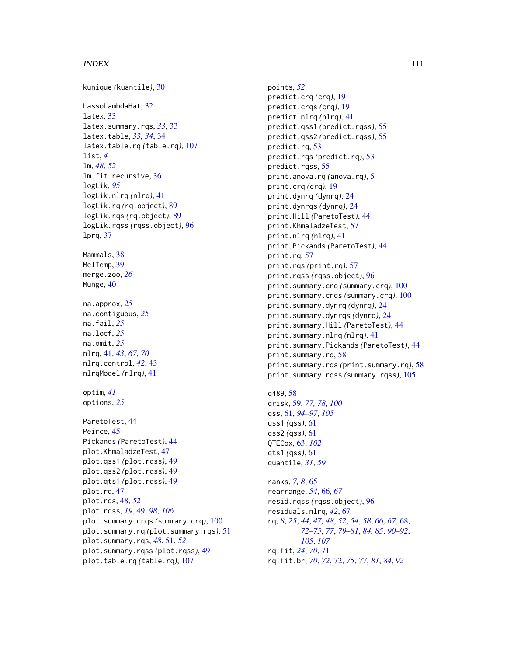### INDEX 111

kunique *(*kuantile*)*, [30](#page-29-0) LassoLambdaHat, [32](#page-31-0) latex, [33](#page-32-0) latex.summary.rqs, *[33](#page-32-0)*, [33](#page-32-0) latex.table, *[33,](#page-32-0) [34](#page-33-0)*, [34](#page-33-0) latex.table.rq *(*table.rq*)*, [107](#page-106-0) list, *[4](#page-3-0)* lm, *[48](#page-47-0)*, *[52](#page-51-0)* lm.fit.recursive, [36](#page-35-0) logLik, *[95](#page-94-0)* logLik.nlrq *(*nlrq*)*, [41](#page-40-0) logLik.rq *(*rq.object*)*, [89](#page-88-0) logLik.rqs *(*rq.object*)*, [89](#page-88-0) logLik.rqss *(*rqss.object*)*, [96](#page-95-0) lprq, [37](#page-36-0) Mammals, [38](#page-37-0) MelTemp, [39](#page-38-0) merge.zoo, *[26](#page-25-0)* Munge, [40](#page-39-0) na.approx, *[25](#page-24-0)* na.contiguous, *[25](#page-24-0)* na.fail, *[25](#page-24-0)* na.locf, *[25](#page-24-0)* na.omit, *[25](#page-24-0)* nlrq, [41,](#page-40-0) *[43](#page-42-0)*, *[67](#page-66-0)*, *[70](#page-69-0)* nlrq.control, *[42](#page-41-0)*, [43](#page-42-0) nlrqModel *(*nlrq*)*, [41](#page-40-0) optim, *[41](#page-40-0)* options, *[25](#page-24-0)* ParetoTest, [44](#page-43-0) Peirce, [45](#page-44-0) Pickands *(*ParetoTest*)*, [44](#page-43-0) plot.KhmaladzeTest, [47](#page-46-0) plot.qss1 *(*plot.rqss*)*, [49](#page-48-0) plot.qss2 *(*plot.rqss*)*, [49](#page-48-0) plot.qts1 *(*plot.rqss*)*, [49](#page-48-0) plot.rq, [47](#page-46-0) plot.rqs, [48,](#page-47-0) *[52](#page-51-0)* plot.rqss, *[19](#page-18-0)*, [49,](#page-48-0) *[98](#page-97-0)*, *[106](#page-105-0)* plot.summary.crqs *(*summary.crq*)*, [100](#page-99-0) plot.summary.rq *(*plot.summary.rqs*)*, [51](#page-50-0) plot.summary.rqs, *[48](#page-47-0)*, [51,](#page-50-0) *[52](#page-51-0)* plot.summary.rqss *(*plot.rqss*)*, [49](#page-48-0) plot.table.rq *(*table.rq*)*, [107](#page-106-0)

points, *[52](#page-51-0)* predict.crq *(*crq*)*, [19](#page-18-0) predict.crqs *(*crq*)*, [19](#page-18-0) predict.nlrq *(*nlrq*)*, [41](#page-40-0) predict.qss1 *(*predict.rqss*)*, [55](#page-54-0) predict.qss2 *(*predict.rqss*)*, [55](#page-54-0) predict.rq, [53](#page-52-0) predict.rqs *(*predict.rq*)*, [53](#page-52-0) predict.rqss, [55](#page-54-0) print.anova.rq *(*anova.rq*)*, [5](#page-4-0) print.crq *(*crq*)*, [19](#page-18-0) print.dynrq *(*dynrq*)*, [24](#page-23-0) print.dynrqs *(*dynrq*)*, [24](#page-23-0) print.Hill *(*ParetoTest*)*, [44](#page-43-0) print.KhmaladzeTest, [57](#page-56-0) print.nlrq *(*nlrq*)*, [41](#page-40-0) print.Pickands *(*ParetoTest*)*, [44](#page-43-0) print.rq, [57](#page-56-0) print.rqs *(*print.rq*)*, [57](#page-56-0) print.rqss *(*rqss.object*)*, [96](#page-95-0) print.summary.crq *(*summary.crq*)*, [100](#page-99-0) print.summary.crqs *(*summary.crq*)*, [100](#page-99-0) print.summary.dynrq *(*dynrq*)*, [24](#page-23-0) print.summary.dynrqs *(*dynrq*)*, [24](#page-23-0) print.summary.Hill *(*ParetoTest*)*, [44](#page-43-0) print.summary.nlrq *(*nlrq*)*, [41](#page-40-0) print.summary.Pickands *(*ParetoTest*)*, [44](#page-43-0) print.summary.rq, [58](#page-57-0) print.summary.rqs *(*print.summary.rq*)*, [58](#page-57-0) print.summary.rqss *(*summary.rqss*)*, [105](#page-104-0)

q489, [58](#page-57-0) qrisk, [59,](#page-58-0) *[77,](#page-76-0) [78](#page-77-0)*, *[100](#page-99-0)* qss, [61,](#page-60-0) *[94](#page-93-0)[–97](#page-96-0)*, *[105](#page-104-0)* qss1 *(*qss*)*, [61](#page-60-0) qss2 *(*qss*)*, [61](#page-60-0) QTECox, [63,](#page-62-0) *[102](#page-101-0)* qts1 *(*qss*)*, [61](#page-60-0) quantile, *[31](#page-30-0)*, *[59](#page-58-0)*

ranks, *[7,](#page-6-0) [8](#page-7-0)*, [65](#page-64-0) rearrange, *[54](#page-53-0)*, [66,](#page-65-0) *[67](#page-66-0)* resid.rqss *(*rqss.object*)*, [96](#page-95-0) residuals.nlrq, *[42](#page-41-0)*, [67](#page-66-0) rq, *[8](#page-7-0)*, *[25](#page-24-0)*, *[44](#page-43-0)*, *[47,](#page-46-0) [48](#page-47-0)*, *[52](#page-51-0)*, *[54](#page-53-0)*, *[58](#page-57-0)*, *[66,](#page-65-0) [67](#page-66-0)*, [68,](#page-67-0) *[72](#page-71-0)[–75](#page-74-0)*, *[77](#page-76-0)*, *[79](#page-78-0)[–81](#page-80-0)*, *[84,](#page-83-0) [85](#page-84-0)*, *[90](#page-89-0)[–92](#page-91-0)*, *[105](#page-104-0)*, *[107](#page-106-0)* rq.fit, *[24](#page-23-0)*, *[70](#page-69-0)*, [71](#page-70-0) rq.fit.br, *[70](#page-69-0)*, *[72](#page-71-0)*, [72,](#page-71-0) *[75](#page-74-0)*, *[77](#page-76-0)*, *[81](#page-80-0)*, *[84](#page-83-0)*, *[92](#page-91-0)*